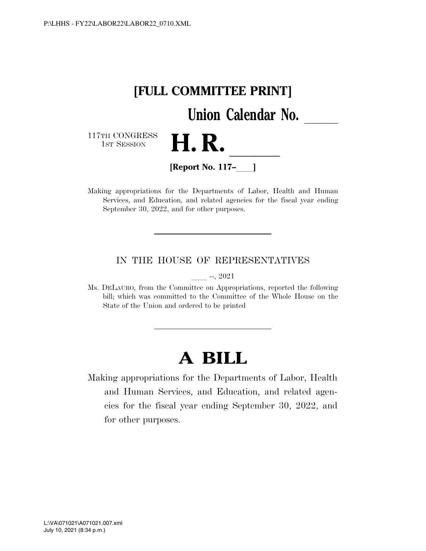

Making appropriations for the Departments of Labor, Health and Human Services, and Education, and related agencies for the fiscal year ending September 30, 2022, and for other purposes.

## IN THE HOUSE OF REPRESENTATIVES

 $-$ , 2021

Ms. DELAURO, from the Committee on Appropriations, reported the following bill; which was committed to the Committee of the Whole House on the State of the Union and ordered to be printed

# **A BILL**

Making appropriations for the Departments of Labor, Health and Human Services, and Education, and related agencies for the fiscal year ending September 30, 2022, and for other purposes.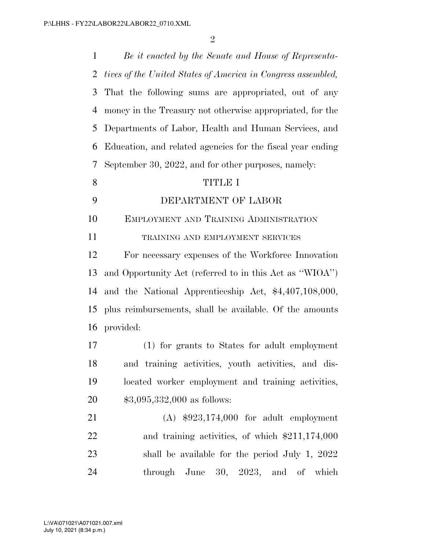| $\mathbf{1}$   | Be it enacted by the Senate and House of Representa-         |
|----------------|--------------------------------------------------------------|
| $\overline{2}$ | tives of the United States of America in Congress assembled, |
| 3              | That the following sums are appropriated, out of any         |
| $\overline{4}$ | money in the Treasury not otherwise appropriated, for the    |
| 5              | Departments of Labor, Health and Human Services, and         |
| 6              | Education, and related agencies for the fiscal year ending   |
| 7              | September 30, 2022, and for other purposes, namely:          |
| 8              | <b>TITLE I</b>                                               |
| 9              | DEPARTMENT OF LABOR                                          |
| 10             | EMPLOYMENT AND TRAINING ADMINISTRATION                       |
| 11             | TRAINING AND EMPLOYMENT SERVICES                             |
| 12             | For necessary expenses of the Workforce Innovation           |
| 13             | and Opportunity Act (referred to in this Act as "WIOA")      |
| 14             | and the National Apprenticeship Act, $$4,407,108,000,$       |
| 15             | plus reimbursements, shall be available. Of the amounts      |
| 16             | provided:                                                    |
| 17             | (1) for grants to States for a dult employment               |
| 18             | and training activities, youth activities, and dis-          |
| 19             | located worker employment and training activities,           |
| 20             | $$3,095,332,000$ as follows:                                 |
| 21             | $(A)$ \$923,174,000 for adult employment                     |
| 22             | and training activities, of which $$211,174,000$             |
| 23             | shall be available for the period July 1, $2022$             |
| 24             | through June 30, 2023, and of<br>which                       |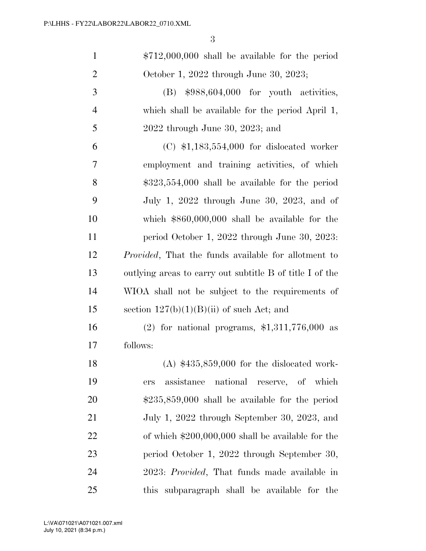| $\mathbf{1}$   | $$712,000,000$ shall be available for the period            |
|----------------|-------------------------------------------------------------|
| $\overline{2}$ | October 1, 2022 through June 30, 2023;                      |
| $\mathfrak{Z}$ | $$988,604,000$ for youth activities,<br>(B)                 |
| $\overline{4}$ | which shall be available for the period April 1,            |
| 5              | $2022$ through June 30, 2023; and                           |
| 6              | $(C)$ \$1,183,554,000 for dislocated worker                 |
| 7              | employment and training activities, of which                |
| 8              | $$323,554,000$ shall be available for the period            |
| 9              | July 1, 2022 through June 30, 2023, and of                  |
| 10             | which $$860,000,000$ shall be available for the             |
| 11             | period October 1, 2022 through June 30, 2023:               |
| 12             | <i>Provided</i> , That the funds available for allotment to |
| 13             | outlying areas to carry out subtitle B of title I of the    |
| 14             | WIOA shall not be subject to the requirements of            |
| 15             | section $127(b)(1)(B)(ii)$ of such Act; and                 |
| 16             | $(2)$ for national programs, \$1,311,776,000 as             |
| 17             | follows:                                                    |
| 18             | $(A)$ \$435,859,000 for the dislocated work-                |
| 19             | national reserve, of which<br>assistance<br>ers             |
| 20             | $$235,859,000$ shall be available for the period            |
| 21             | July 1, 2022 through September 30, 2023, and                |
| 22             | of which $$200,000,000$ shall be available for the          |
| 23             | period October 1, 2022 through September 30,                |
| 24             | 2023: <i>Provided</i> , That funds made available in        |
| 25             | this subparagraph shall be available for the                |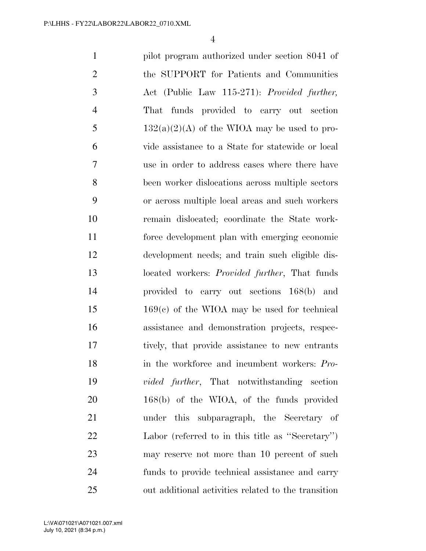pilot program authorized under section 8041 of the SUPPORT for Patients and Communities Act (Public Law 115-271): *Provided further,*  That funds provided to carry out section 5 132(a)(2)(A) of the WIOA may be used to pro- vide assistance to a State for statewide or local use in order to address cases where there have been worker dislocations across multiple sectors or across multiple local areas and such workers remain dislocated; coordinate the State work- force development plan with emerging economic development needs; and train such eligible dis- located workers: *Provided further*, That funds provided to carry out sections 168(b) and 169(c) of the WIOA may be used for technical assistance and demonstration projects, respec- tively, that provide assistance to new entrants in the workforce and incumbent workers: *Pro- vided further*, That notwithstanding section 168(b) of the WIOA, of the funds provided under this subparagraph, the Secretary of Labor (referred to in this title as ''Secretary'') may reserve not more than 10 percent of such funds to provide technical assistance and carry out additional activities related to the transition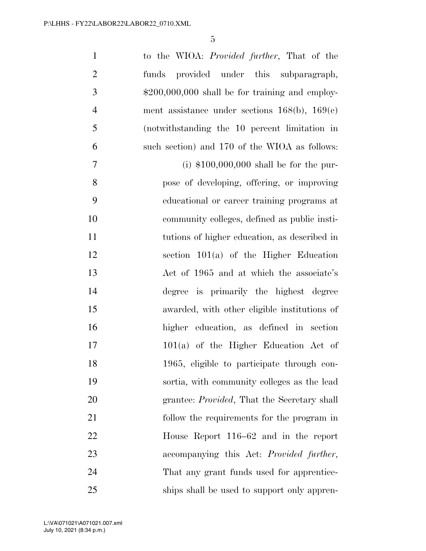| $\mathbf{1}$   | to the WIOA: <i>Provided further</i> , That of the  |
|----------------|-----------------------------------------------------|
| $\overline{2}$ | provided under this subparagraph,<br>funds          |
| $\mathfrak{Z}$ | $$200,000,000$ shall be for training and employ-    |
| $\overline{4}$ | ment assistance under sections $168(b)$ , $169(c)$  |
| 5              | (notwithstanding the 10 percent limitation in       |
| 6              | such section) and 170 of the WIOA as follows:       |
| $\tau$         | (i) $$100,000,000$ shall be for the pur-            |
| 8              | pose of developing, offering, or improving          |
| 9              | educational or career training programs at          |
| 10             | community colleges, defined as public insti-        |
| 11             | tutions of higher education, as described in        |
| 12             | section $101(a)$ of the Higher Education            |
| 13             | Act of 1965 and at which the associate's            |
| 14             | degree is primarily the highest degree              |
| 15             | awarded, with other eligible institutions of        |
| 16             | higher education, as defined in section             |
| 17             | $101(a)$ of the Higher Education Act of             |
| 18             | 1965, eligible to participate through con-          |
| 19             | sortia, with community colleges as the lead         |
| 20             | grantee: <i>Provided</i> , That the Secretary shall |
| 21             | follow the requirements for the program in          |
| 22             | House Report 116–62 and in the report               |
| 23             | accompanying this Act: Provided further,            |
| 24             | That any grant funds used for apprentice-           |
| 25             | ships shall be used to support only appren-         |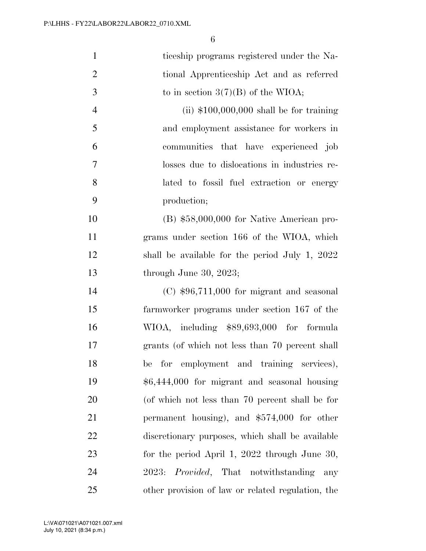| $\mathbf{1}$   | ticeship programs registered under the Na-                    |
|----------------|---------------------------------------------------------------|
| $\overline{2}$ | tional Apprenticeship Act and as referred                     |
| 3              | to in section $3(7)(B)$ of the WIOA;                          |
| $\overline{4}$ | (ii) $$100,000,000$ shall be for training                     |
| 5              | and employment assistance for workers in                      |
| 6              | communities that have experienced job                         |
| $\tau$         | losses due to dislocations in industries re-                  |
| 8              | lated to fossil fuel extraction or energy                     |
| 9              | production;                                                   |
| 10             | $(B)$ \$58,000,000 for Native American pro-                   |
| 11             | grams under section 166 of the WIOA, which                    |
| 12             | shall be available for the period July 1, $2022$              |
| 13             | through June 30, 2023;                                        |
| 14             | $(C)$ \$96,711,000 for migrant and seasonal                   |
| 15             | farmworker programs under section 167 of the                  |
| 16             | WIOA, including \$89,693,000 for formula                      |
| 17             | grants (of which not less than 70 percent shall               |
| 18             | be for employment and training services),                     |
| 19             | \$6,444,000 for migrant and seasonal housing                  |
| 20             | (of which not less than 70 percent shall be for               |
| 21             | permanent housing), and $$574,000$ for other                  |
| 22             | discretionary purposes, which shall be available              |
| 23             | for the period April 1, 2022 through June 30,                 |
| 24             | <i>Provided</i> , That notwithstanding<br><b>2023:</b><br>any |
| 25             | other provision of law or related regulation, the             |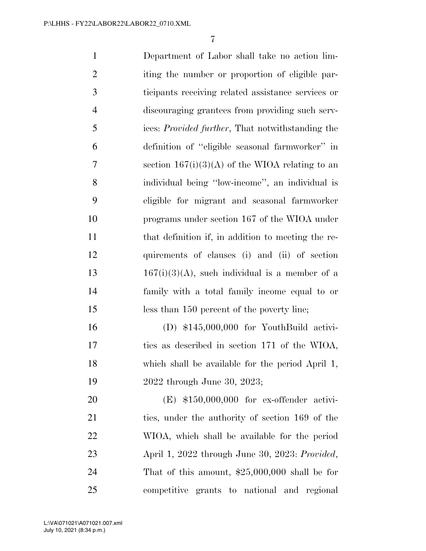Department of Labor shall take no action lim-2 iting the number or proportion of eligible par- ticipants receiving related assistance services or discouraging grantees from providing such serv- ices: *Provided further*, That notwithstanding the definition of ''eligible seasonal farmworker'' in section 167(i)(3)(A) of the WIOA relating to an individual being ''low-income'', an individual is eligible for migrant and seasonal farmworker programs under section 167 of the WIOA under 11 that definition if, in addition to meeting the re- quirements of clauses (i) and (ii) of section  $167(i)(3)(A)$ , such individual is a member of a family with a total family income equal to or less than 150 percent of the poverty line; (D) \$145,000,000 for YouthBuild activi- ties as described in section 171 of the WIOA, which shall be available for the period April 1, 2022 through June 30, 2023; (E) \$150,000,000 for ex-offender activi-21 ties, under the authority of section 169 of the

 WIOA, which shall be available for the period April 1, 2022 through June 30, 2023: *Provided*, That of this amount, \$25,000,000 shall be for competitive grants to national and regional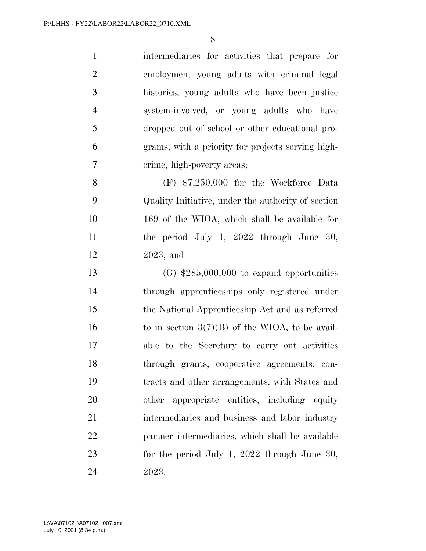intermediaries for activities that prepare for employment young adults with criminal legal histories, young adults who have been justice system-involved, or young adults who have dropped out of school or other educational pro- grams, with a priority for projects serving high-crime, high-poverty areas;

 (F) \$7,250,000 for the Workforce Data Quality Initiative, under the authority of section 169 of the WIOA, which shall be available for the period July 1, 2022 through June 30, 2023; and

 (G) \$285,000,000 to expand opportunities through apprenticeships only registered under the National Apprenticeship Act and as referred 16 to in section  $3(7)(B)$  of the WIOA, to be avail- able to the Secretary to carry out activities through grants, cooperative agreements, con- tracts and other arrangements, with States and other appropriate entities, including equity intermediaries and business and labor industry partner intermediaries, which shall be available for the period July 1, 2022 through June 30, 2023.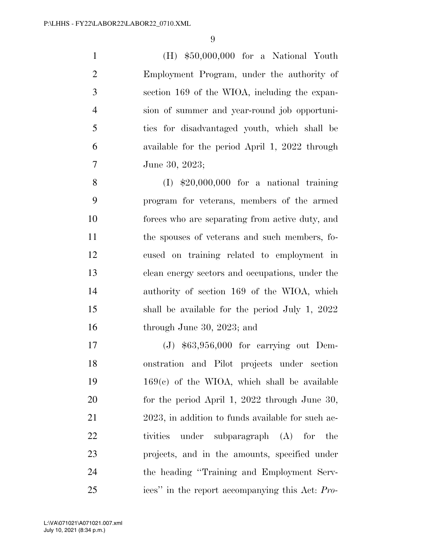(H) \$50,000,000 for a National Youth Employment Program, under the authority of section 169 of the WIOA, including the expan- sion of summer and year-round job opportuni- ties for disadvantaged youth, which shall be available for the period April 1, 2022 through June 30, 2023;

 (I) \$20,000,000 for a national training program for veterans, members of the armed forces who are separating from active duty, and the spouses of veterans and such members, fo- cused on training related to employment in clean energy sectors and occupations, under the authority of section 169 of the WIOA, which shall be available for the period July 1, 2022 through June 30, 2023; and

 (J) \$63,956,000 for carrying out Dem- onstration and Pilot projects under section 169(c) of the WIOA, which shall be available 20 for the period April 1, 2022 through June 30, 2023, in addition to funds available for such ac- tivities under subparagraph (A) for the projects, and in the amounts, specified under the heading ''Training and Employment Serv-ices'' in the report accompanying this Act: *Pro-*

July 10, 2021 (8:34 p.m.) L:\VA\071021\A071021.007.xml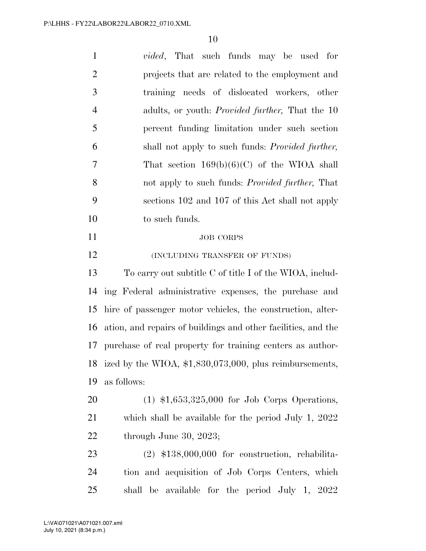| $\mathbf{1}$   | <i>vided</i> , That such funds may be used for                |
|----------------|---------------------------------------------------------------|
| $\overline{2}$ | projects that are related to the employment and               |
| 3              | training needs of dislocated workers, other                   |
| $\overline{4}$ | adults, or youth: <i>Provided further</i> , That the 10       |
| 5              | percent funding limitation under such section                 |
| 6              | shall not apply to such funds: <i>Provided further</i> ,      |
| $\tau$         | That section $169(b)(6)(C)$ of the WIOA shall                 |
| 8              | not apply to such funds: <i>Provided further</i> , That       |
| 9              | sections 102 and 107 of this Act shall not apply              |
| 10             | to such funds.                                                |
| 11             | <b>JOB CORPS</b>                                              |
| 12             | (INCLUDING TRANSFER OF FUNDS)                                 |
| 13             | To carry out subtitle C of title I of the WIOA, includ-       |
| 14             | ing Federal administrative expenses, the purchase and         |
| 15             | hire of passenger motor vehicles, the construction, alter-    |
| 16             | ation, and repairs of buildings and other facilities, and the |
| 17             | purchase of real property for training centers as author-     |
| 18             | ized by the WIOA, \$1,830,073,000, plus reimbursements,       |
| 19             | as follows:                                                   |
| 20             | $(1)$ \$1,653,325,000 for Job Corps Operations,               |
| 21             | which shall be available for the period July 1, $2022$        |
| 22             | through June 30, 2023;                                        |
| 23             | $(2)$ \$138,000,000 for construction, rehabilita-             |
| 24             | tion and acquisition of Job Corps Centers, which              |
| 25             | shall be available for the period July 1, 2022                |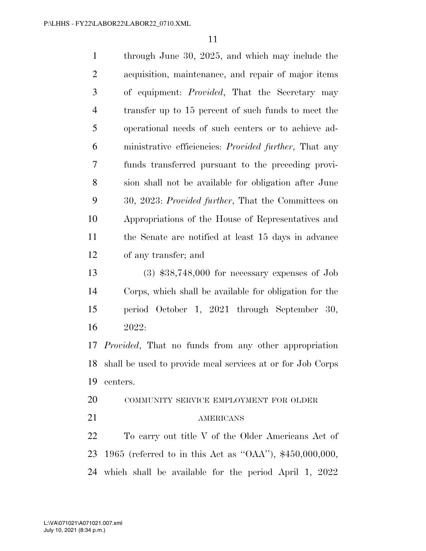| $\mathbf{1}$   | through June 30, 2025, and which may include the              |
|----------------|---------------------------------------------------------------|
| $\overline{2}$ | acquisition, maintenance, and repair of major items           |
| 3              | of equipment: <i>Provided</i> , That the Secretary may        |
| $\overline{4}$ | transfer up to 15 percent of such funds to meet the           |
| 5              | operational needs of such centers or to achieve ad-           |
| 6              | ministrative efficiencies: <i>Provided further</i> , That any |
| $\overline{7}$ | funds transferred pursuant to the preceding provi-            |
| 8              | sion shall not be available for obligation after June         |
| 9              | 30, 2023: Provided further, That the Committees on            |
| 10             | Appropriations of the House of Representatives and            |
| 11             | the Senate are notified at least 15 days in advance           |
| 12             | of any transfer; and                                          |
| 13             | $(3)$ \$38,748,000 for necessary expenses of Job              |
| 14             | Corps, which shall be available for obligation for the        |
| 15             | period October 1, 2021 through September 30,                  |
| 16             | 2022:                                                         |
| 17             | <i>Provided</i> , That no funds from any other appropriation  |
| 18             | shall be used to provide meal services at or for Job Corps    |
| 19             | centers.                                                      |
| 20             | COMMUNITY SERVICE EMPLOYMENT FOR OLDER                        |

## 21 AMERICANS

 To carry out title V of the Older Americans Act of 1965 (referred to in this Act as ''OAA''), \$450,000,000, which shall be available for the period April 1, 2022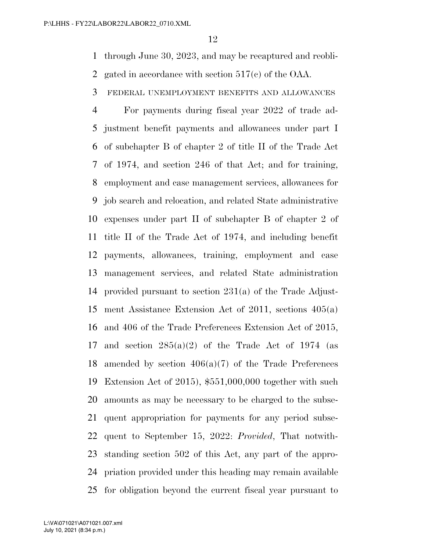through June 30, 2023, and may be recaptured and reobli-

gated in accordance with section 517(c) of the OAA.

FEDERAL UNEMPLOYMENT BENEFITS AND ALLOWANCES

 For payments during fiscal year 2022 of trade ad- justment benefit payments and allowances under part I of subchapter B of chapter 2 of title II of the Trade Act of 1974, and section 246 of that Act; and for training, employment and case management services, allowances for job search and relocation, and related State administrative expenses under part II of subchapter B of chapter 2 of title II of the Trade Act of 1974, and including benefit payments, allowances, training, employment and case management services, and related State administration provided pursuant to section 231(a) of the Trade Adjust- ment Assistance Extension Act of 2011, sections 405(a) and 406 of the Trade Preferences Extension Act of 2015, 17 and section  $285(a)(2)$  of the Trade Act of 1974 (as amended by section 406(a)(7) of the Trade Preferences Extension Act of 2015), \$551,000,000 together with such amounts as may be necessary to be charged to the subse- quent appropriation for payments for any period subse- quent to September 15, 2022: *Provided*, That notwith- standing section 502 of this Act, any part of the appro- priation provided under this heading may remain available for obligation beyond the current fiscal year pursuant to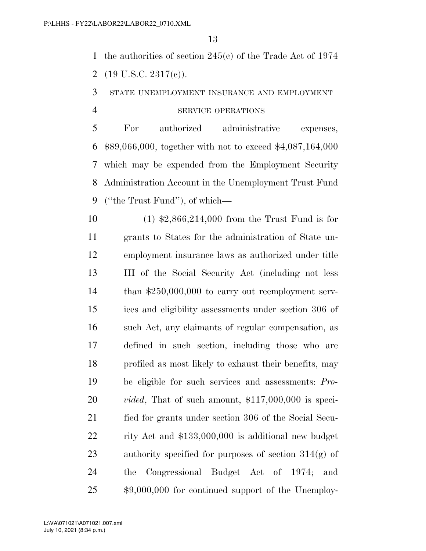the authorities of section 245(c) of the Trade Act of 1974

2  $(19 \text{ U.S.C. } 2317(c))$ .

STATE UNEMPLOYMENT INSURANCE AND EMPLOYMENT

## SERVICE OPERATIONS

 For authorized administrative expenses, \$89,066,000, together with not to exceed \$4,087,164,000 which may be expended from the Employment Security Administration Account in the Unemployment Trust Fund (''the Trust Fund''), of which—

 (1) \$2,866,214,000 from the Trust Fund is for grants to States for the administration of State un- employment insurance laws as authorized under title III of the Social Security Act (including not less than \$250,000,000 to carry out reemployment serv- ices and eligibility assessments under section 306 of such Act, any claimants of regular compensation, as defined in such section, including those who are profiled as most likely to exhaust their benefits, may be eligible for such services and assessments: *Pro- vided*, That of such amount, \$117,000,000 is speci- fied for grants under section 306 of the Social Secu- rity Act and \$133,000,000 is additional new budget authority specified for purposes of section 314(g) of the Congressional Budget Act of 1974; and \$9,000,000 for continued support of the Unemploy-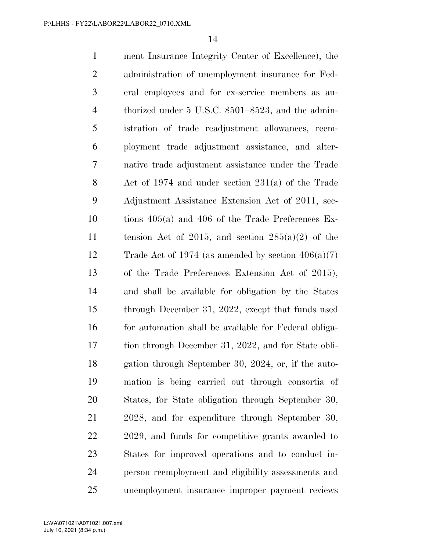ment Insurance Integrity Center of Excellence), the administration of unemployment insurance for Fed- eral employees and for ex-service members as au- thorized under 5 U.S.C. 8501–8523, and the admin- istration of trade readjustment allowances, reem- ployment trade adjustment assistance, and alter- native trade adjustment assistance under the Trade Act of 1974 and under section 231(a) of the Trade Adjustment Assistance Extension Act of 2011, sec- tions 405(a) and 406 of the Trade Preferences Ex-11 tension Act of 2015, and section  $285(a)(2)$  of the 12 Trade Act of 1974 (as amended by section  $406(a)(7)$  of the Trade Preferences Extension Act of 2015), and shall be available for obligation by the States through December 31, 2022, except that funds used 16 for automation shall be available for Federal obliga- tion through December 31, 2022, and for State obli- gation through September 30, 2024, or, if the auto- mation is being carried out through consortia of States, for State obligation through September 30, 2028, and for expenditure through September 30, 2029, and funds for competitive grants awarded to States for improved operations and to conduct in- person reemployment and eligibility assessments and unemployment insurance improper payment reviews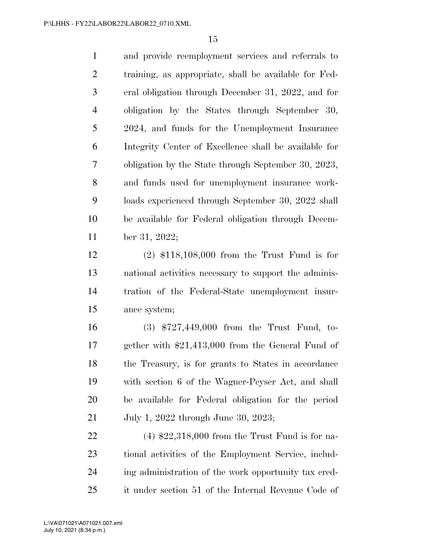and provide reemployment services and referrals to training, as appropriate, shall be available for Fed- eral obligation through December 31, 2022, and for obligation by the States through September 30, 2024, and funds for the Unemployment Insurance Integrity Center of Excellence shall be available for obligation by the State through September 30, 2023, and funds used for unemployment insurance work- loads experienced through September 30, 2022 shall be available for Federal obligation through Decem-ber 31, 2022;

 (2) \$118,108,000 from the Trust Fund is for national activities necessary to support the adminis- tration of the Federal-State unemployment insur-ance system;

 (3) \$727,449,000 from the Trust Fund, to- gether with \$21,413,000 from the General Fund of the Treasury, is for grants to States in accordance with section 6 of the Wagner-Peyser Act, and shall be available for Federal obligation for the period July 1, 2022 through June 30, 2023;

 (4) \$22,318,000 from the Trust Fund is for na- tional activities of the Employment Service, includ- ing administration of the work opportunity tax cred-it under section 51 of the Internal Revenue Code of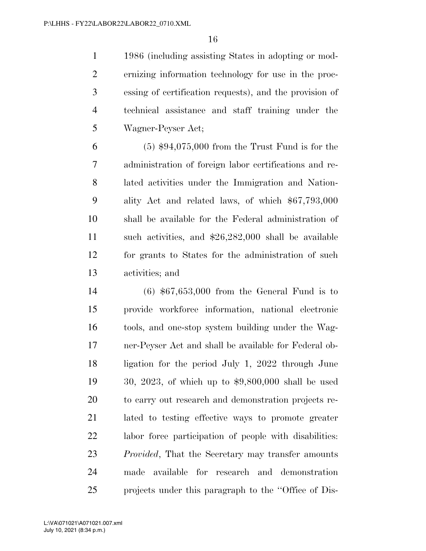1986 (including assisting States in adopting or mod- ernizing information technology for use in the proc- essing of certification requests), and the provision of technical assistance and staff training under the Wagner-Peyser Act;

 (5) \$94,075,000 from the Trust Fund is for the administration of foreign labor certifications and re- lated activities under the Immigration and Nation- ality Act and related laws, of which \$67,793,000 shall be available for the Federal administration of such activities, and \$26,282,000 shall be available for grants to States for the administration of such activities; and

 (6) \$67,653,000 from the General Fund is to provide workforce information, national electronic tools, and one-stop system building under the Wag- ner-Peyser Act and shall be available for Federal ob- ligation for the period July 1, 2022 through June 30, 2023, of which up to \$9,800,000 shall be used to carry out research and demonstration projects re- lated to testing effective ways to promote greater labor force participation of people with disabilities: *Provided*, That the Secretary may transfer amounts made available for research and demonstration projects under this paragraph to the ''Office of Dis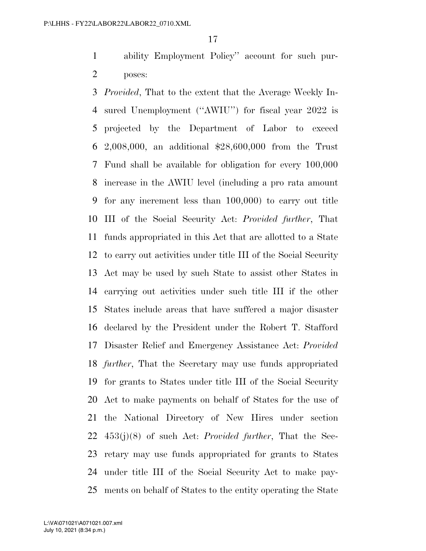ability Employment Policy'' account for such pur-poses:

 *Provided*, That to the extent that the Average Weekly In- sured Unemployment (''AWIU'') for fiscal year 2022 is projected by the Department of Labor to exceed 2,008,000, an additional \$28,600,000 from the Trust Fund shall be available for obligation for every 100,000 increase in the AWIU level (including a pro rata amount for any increment less than 100,000) to carry out title III of the Social Security Act: *Provided further*, That funds appropriated in this Act that are allotted to a State to carry out activities under title III of the Social Security Act may be used by such State to assist other States in carrying out activities under such title III if the other States include areas that have suffered a major disaster declared by the President under the Robert T. Stafford Disaster Relief and Emergency Assistance Act: *Provided further*, That the Secretary may use funds appropriated for grants to States under title III of the Social Security Act to make payments on behalf of States for the use of the National Directory of New Hires under section 453(j)(8) of such Act: *Provided further*, That the Sec- retary may use funds appropriated for grants to States under title III of the Social Security Act to make pay-ments on behalf of States to the entity operating the State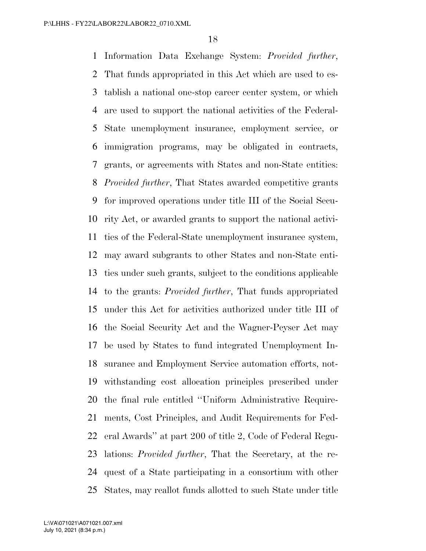Information Data Exchange System: *Provided further*, That funds appropriated in this Act which are used to es- tablish a national one-stop career center system, or which are used to support the national activities of the Federal- State unemployment insurance, employment service, or immigration programs, may be obligated in contracts, grants, or agreements with States and non-State entities: *Provided further*, That States awarded competitive grants for improved operations under title III of the Social Secu- rity Act, or awarded grants to support the national activi- ties of the Federal-State unemployment insurance system, may award subgrants to other States and non-State enti- ties under such grants, subject to the conditions applicable to the grants: *Provided further*, That funds appropriated under this Act for activities authorized under title III of the Social Security Act and the Wagner-Peyser Act may be used by States to fund integrated Unemployment In- surance and Employment Service automation efforts, not- withstanding cost allocation principles prescribed under the final rule entitled ''Uniform Administrative Require- ments, Cost Principles, and Audit Requirements for Fed- eral Awards'' at part 200 of title 2, Code of Federal Regu- lations: *Provided further*, That the Secretary, at the re- quest of a State participating in a consortium with other States, may reallot funds allotted to such State under title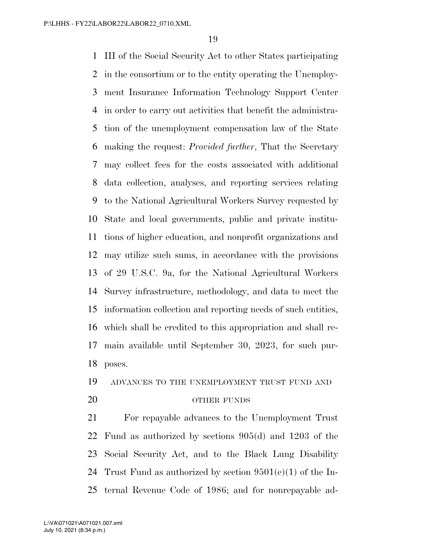III of the Social Security Act to other States participating in the consortium or to the entity operating the Unemploy- ment Insurance Information Technology Support Center in order to carry out activities that benefit the administra- tion of the unemployment compensation law of the State making the request: *Provided further*, That the Secretary may collect fees for the costs associated with additional data collection, analyses, and reporting services relating to the National Agricultural Workers Survey requested by State and local governments, public and private institu- tions of higher education, and nonprofit organizations and may utilize such sums, in accordance with the provisions of 29 U.S.C. 9a, for the National Agricultural Workers Survey infrastructure, methodology, and data to meet the information collection and reporting needs of such entities, which shall be credited to this appropriation and shall re- main available until September 30, 2023, for such pur-poses.

## ADVANCES TO THE UNEMPLOYMENT TRUST FUND AND

#### 20 OTHER FUNDS

 For repayable advances to the Unemployment Trust Fund as authorized by sections 905(d) and 1203 of the Social Security Act, and to the Black Lung Disability 24 Trust Fund as authorized by section  $9501(e)(1)$  of the In-ternal Revenue Code of 1986; and for nonrepayable ad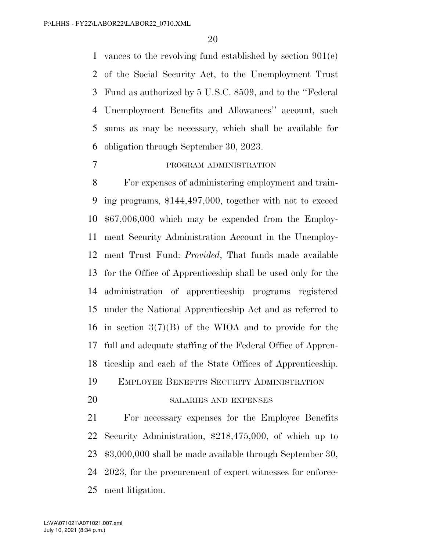vances to the revolving fund established by section 901(e) of the Social Security Act, to the Unemployment Trust Fund as authorized by 5 U.S.C. 8509, and to the ''Federal Unemployment Benefits and Allowances'' account, such sums as may be necessary, which shall be available for obligation through September 30, 2023.

#### PROGRAM ADMINISTRATION

 For expenses of administering employment and train- ing programs, \$144,497,000, together with not to exceed \$67,006,000 which may be expended from the Employ- ment Security Administration Account in the Unemploy- ment Trust Fund: *Provided*, That funds made available for the Office of Apprenticeship shall be used only for the administration of apprenticeship programs registered under the National Apprenticeship Act and as referred to in section 3(7)(B) of the WIOA and to provide for the full and adequate staffing of the Federal Office of Appren- ticeship and each of the State Offices of Apprenticeship. EMPLOYEE BENEFITS SECURITY ADMINISTRATION

#### SALARIES AND EXPENSES

 For necessary expenses for the Employee Benefits Security Administration, \$218,475,000, of which up to \$3,000,000 shall be made available through September 30, 2023, for the procurement of expert witnesses for enforce-ment litigation.

July 10, 2021 (8:34 p.m.) L:\VA\071021\A071021.007.xml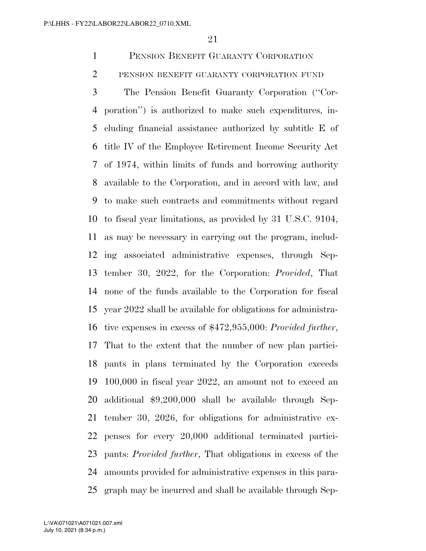PENSION BENEFIT GUARANTY CORPORATION

PENSION BENEFIT GUARANTY CORPORATION FUND

 The Pension Benefit Guaranty Corporation (''Cor- poration'') is authorized to make such expenditures, in- cluding financial assistance authorized by subtitle E of title IV of the Employee Retirement Income Security Act of 1974, within limits of funds and borrowing authority available to the Corporation, and in accord with law, and to make such contracts and commitments without regard to fiscal year limitations, as provided by 31 U.S.C. 9104, as may be necessary in carrying out the program, includ- ing associated administrative expenses, through Sep- tember 30, 2022, for the Corporation: *Provided*, That none of the funds available to the Corporation for fiscal year 2022 shall be available for obligations for administra- tive expenses in excess of \$472,955,000: *Provided further*, That to the extent that the number of new plan partici- pants in plans terminated by the Corporation exceeds 100,000 in fiscal year 2022, an amount not to exceed an additional \$9,200,000 shall be available through Sep- tember 30, 2026, for obligations for administrative ex- penses for every 20,000 additional terminated partici- pants: *Provided further*, That obligations in excess of the amounts provided for administrative expenses in this para-graph may be incurred and shall be available through Sep-

July 10, 2021 (8:34 p.m.) L:\VA\071021\A071021.007.xml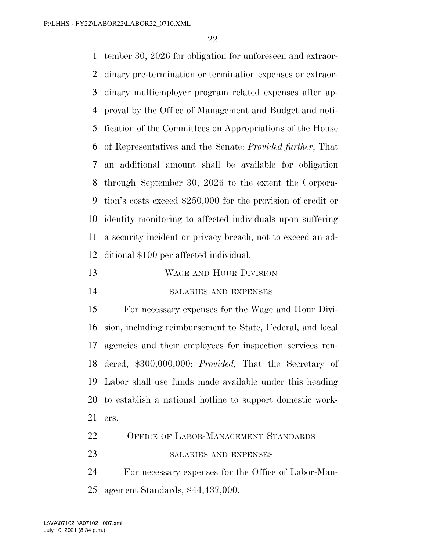tember 30, 2026 for obligation for unforeseen and extraor- dinary pre-termination or termination expenses or extraor- dinary multiemployer program related expenses after ap- proval by the Office of Management and Budget and noti- fication of the Committees on Appropriations of the House of Representatives and the Senate: *Provided further*, That an additional amount shall be available for obligation through September 30, 2026 to the extent the Corpora- tion's costs exceed \$250,000 for the provision of credit or identity monitoring to affected individuals upon suffering a security incident or privacy breach, not to exceed an ad-ditional \$100 per affected individual.

- WAGE AND HOUR DIVISION
- SALARIES AND EXPENSES

 For necessary expenses for the Wage and Hour Divi- sion, including reimbursement to State, Federal, and local agencies and their employees for inspection services ren- dered, \$300,000,000: *Provided,* That the Secretary of Labor shall use funds made available under this heading to establish a national hotline to support domestic work-ers.

- 22 OFFICE OF LABOR-MANAGEMENT STANDARDS
- 23 SALARIES AND EXPENSES

 For necessary expenses for the Office of Labor-Man-agement Standards, \$44,437,000.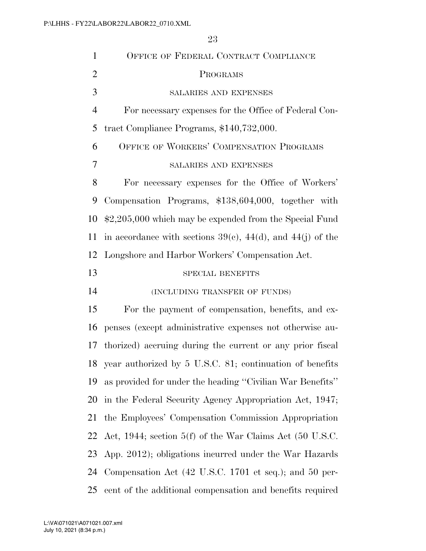| 1              | OFFICE OF FEDERAL CONTRACT COMPLIANCE                               |
|----------------|---------------------------------------------------------------------|
| $\overline{2}$ | PROGRAMS                                                            |
| 3              | SALARIES AND EXPENSES                                               |
| $\overline{4}$ | For necessary expenses for the Office of Federal Con-               |
| 5              | tract Compliance Programs, \$140,732,000.                           |
| 6              | OFFICE OF WORKERS' COMPENSATION PROGRAMS                            |
| 7              | <b>SALARIES AND EXPENSES</b>                                        |
| 8              | For necessary expenses for the Office of Workers'                   |
| 9              | Compensation Programs, \$138,604,000, together with                 |
| 10             | \$2,205,000 which may be expended from the Special Fund             |
| 11             | in accordance with sections $39(e)$ , $44(d)$ , and $44(j)$ of the  |
| 12             | Longshore and Harbor Workers' Compensation Act.                     |
| 13             | <b>SPECIAL BENEFITS</b>                                             |
| 14             | (INCLUDING TRANSFER OF FUNDS)                                       |
| 15             | For the payment of compensation, benefits, and ex-                  |
| 16             | penses (except administrative expenses not otherwise au-            |
| 17             | thorized) accruing during the current or any prior fiscal           |
| 18             | year authorized by 5 U.S.C. 81; continuation of benefits            |
| 19             | as provided for under the heading "Civilian War Benefits"           |
| 20             | in the Federal Security Agency Appropriation Act, 1947;             |
| 21             | the Employees' Compensation Commission Appropriation                |
| 22             | Act, 1944; section 5(f) of the War Claims Act $(50 \text{ U.S.C.})$ |
| 23             | App. 2012); obligations incurred under the War Hazards              |
| 24             | Compensation Act (42 U.S.C. 1701 et seq.); and 50 per-              |
| 25             | cent of the additional compensation and benefits required           |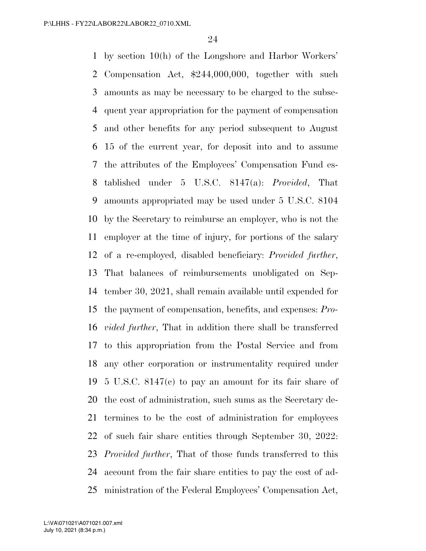by section 10(h) of the Longshore and Harbor Workers' Compensation Act, \$244,000,000, together with such amounts as may be necessary to be charged to the subse- quent year appropriation for the payment of compensation and other benefits for any period subsequent to August 15 of the current year, for deposit into and to assume the attributes of the Employees' Compensation Fund es- tablished under 5 U.S.C. 8147(a): *Provided*, That amounts appropriated may be used under 5 U.S.C. 8104 by the Secretary to reimburse an employer, who is not the employer at the time of injury, for portions of the salary of a re-employed, disabled beneficiary: *Provided further*, That balances of reimbursements unobligated on Sep- tember 30, 2021, shall remain available until expended for the payment of compensation, benefits, and expenses: *Pro- vided further*, That in addition there shall be transferred to this appropriation from the Postal Service and from any other corporation or instrumentality required under 5 U.S.C. 8147(c) to pay an amount for its fair share of the cost of administration, such sums as the Secretary de- termines to be the cost of administration for employees of such fair share entities through September 30, 2022: *Provided further*, That of those funds transferred to this account from the fair share entities to pay the cost of ad-ministration of the Federal Employees' Compensation Act,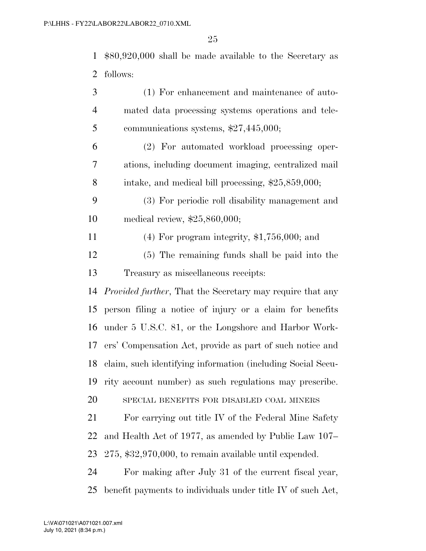\$80,920,000 shall be made available to the Secretary as follows:

| 3              | (1) For enhancement and maintenance of auto-                      |
|----------------|-------------------------------------------------------------------|
| $\overline{4}$ | mated data processing systems operations and tele-                |
| 5              | communications systems, \$27,445,000;                             |
| 6              | (2) For automated workload processing oper-                       |
| 7              | ations, including document imaging, centralized mail              |
| 8              | intake, and medical bill processing, \$25,859,000;                |
| 9              | (3) For periodic roll disability management and                   |
| 10             | medical review, $$25,860,000;$                                    |
| 11             | $(4)$ For program integrity, \$1,756,000; and                     |
| 12             | (5) The remaining funds shall be paid into the                    |
| 13             | Treasury as miscellaneous receipts:                               |
| 14             | <i>Provided further</i> , That the Secretary may require that any |
| 15             | person filing a notice of injury or a claim for benefits          |
| 16             | under 5 U.S.C. 81, or the Longshore and Harbor Work-              |
| 17             | ers' Compensation Act, provide as part of such notice and         |
| 18             | claim, such identifying information (including Social Secu-       |
| 19             | rity account number) as such regulations may prescribe.           |
| 20             | SPECIAL BENEFITS FOR DISABLED COAL MINERS                         |
| 21             | For carrying out title IV of the Federal Mine Safety              |
| 22             | and Health Act of 1977, as amended by Public Law 107–             |
| 23             | $275, $32,970,000,$ to remain available until expended.           |
| 24             | For making after July 31 of the current fiscal year,              |
| 25             | benefit payments to individuals under title IV of such Act,       |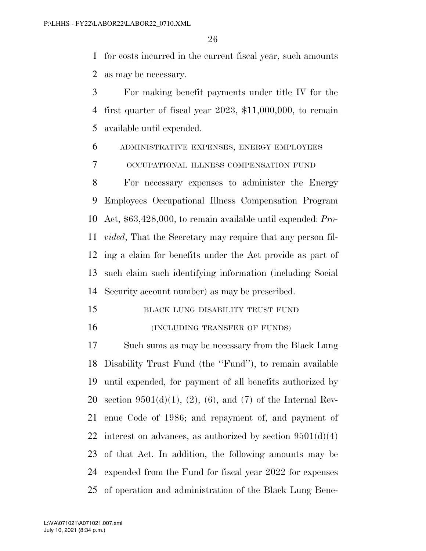for costs incurred in the current fiscal year, such amounts as may be necessary.

 For making benefit payments under title IV for the first quarter of fiscal year 2023, \$11,000,000, to remain available until expended.

ADMINISTRATIVE EXPENSES, ENERGY EMPLOYEES

OCCUPATIONAL ILLNESS COMPENSATION FUND

 For necessary expenses to administer the Energy Employees Occupational Illness Compensation Program Act, \$63,428,000, to remain available until expended: *Pro- vided*, That the Secretary may require that any person fil- ing a claim for benefits under the Act provide as part of such claim such identifying information (including Social Security account number) as may be prescribed.

15 BLACK LUNG DISABILITY TRUST FUND

16 (INCLUDING TRANSFER OF FUNDS)

 Such sums as may be necessary from the Black Lung Disability Trust Fund (the ''Fund''), to remain available until expended, for payment of all benefits authorized by 20 section  $9501(d)(1)$ ,  $(2)$ ,  $(6)$ , and  $(7)$  of the Internal Rev- enue Code of 1986; and repayment of, and payment of 22 interest on advances, as authorized by section  $9501(d)(4)$  of that Act. In addition, the following amounts may be expended from the Fund for fiscal year 2022 for expenses of operation and administration of the Black Lung Bene-

July 10, 2021 (8:34 p.m.) L:\VA\071021\A071021.007.xml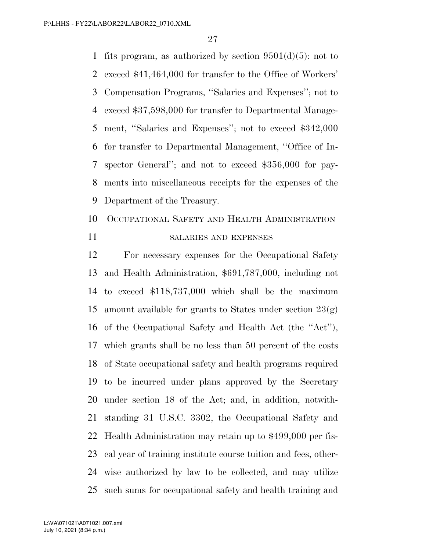1 fits program, as authorized by section  $9501(d)(5)$ : not to exceed \$41,464,000 for transfer to the Office of Workers' Compensation Programs, ''Salaries and Expenses''; not to exceed \$37,598,000 for transfer to Departmental Manage- ment, ''Salaries and Expenses''; not to exceed \$342,000 for transfer to Departmental Management, ''Office of In- spector General''; and not to exceed \$356,000 for pay- ments into miscellaneous receipts for the expenses of the Department of the Treasury.

## OCCUPATIONAL SAFETY AND HEALTH ADMINISTRATION

### SALARIES AND EXPENSES

 For necessary expenses for the Occupational Safety and Health Administration, \$691,787,000, including not to exceed \$118,737,000 which shall be the maximum 15 amount available for grants to States under section  $23(g)$  of the Occupational Safety and Health Act (the ''Act''), which grants shall be no less than 50 percent of the costs of State occupational safety and health programs required to be incurred under plans approved by the Secretary under section 18 of the Act; and, in addition, notwith- standing 31 U.S.C. 3302, the Occupational Safety and Health Administration may retain up to \$499,000 per fis- cal year of training institute course tuition and fees, other- wise authorized by law to be collected, and may utilize such sums for occupational safety and health training and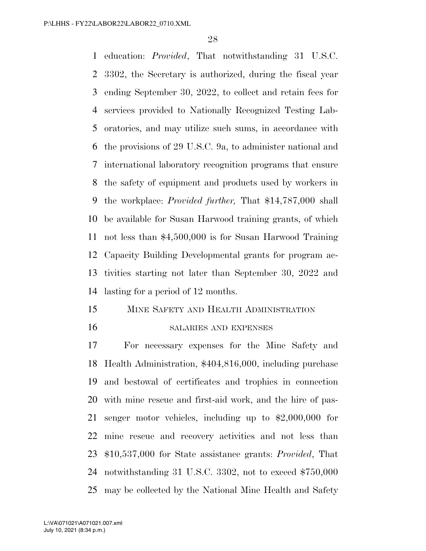education: *Provided*, That notwithstanding 31 U.S.C. 3302, the Secretary is authorized, during the fiscal year ending September 30, 2022, to collect and retain fees for services provided to Nationally Recognized Testing Lab- oratories, and may utilize such sums, in accordance with the provisions of 29 U.S.C. 9a, to administer national and international laboratory recognition programs that ensure the safety of equipment and products used by workers in the workplace: *Provided further,* That \$14,787,000 shall be available for Susan Harwood training grants, of which not less than \$4,500,000 is for Susan Harwood Training Capacity Building Developmental grants for program ac- tivities starting not later than September 30, 2022 and lasting for a period of 12 months.

## MINE SAFETY AND HEALTH ADMINISTRATION

#### SALARIES AND EXPENSES

 For necessary expenses for the Mine Safety and Health Administration, \$404,816,000, including purchase and bestowal of certificates and trophies in connection with mine rescue and first-aid work, and the hire of pas- senger motor vehicles, including up to \$2,000,000 for mine rescue and recovery activities and not less than \$10,537,000 for State assistance grants: *Provided*, That notwithstanding 31 U.S.C. 3302, not to exceed \$750,000 may be collected by the National Mine Health and Safety

July 10, 2021 (8:34 p.m.) L:\VA\071021\A071021.007.xml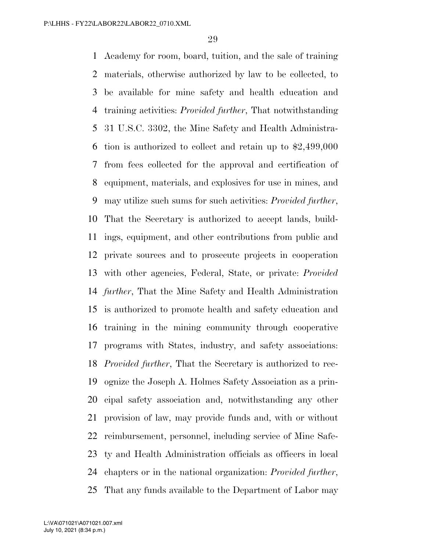Academy for room, board, tuition, and the sale of training materials, otherwise authorized by law to be collected, to be available for mine safety and health education and training activities: *Provided further*, That notwithstanding 31 U.S.C. 3302, the Mine Safety and Health Administra- tion is authorized to collect and retain up to \$2,499,000 from fees collected for the approval and certification of equipment, materials, and explosives for use in mines, and may utilize such sums for such activities: *Provided further*, That the Secretary is authorized to accept lands, build- ings, equipment, and other contributions from public and private sources and to prosecute projects in cooperation with other agencies, Federal, State, or private: *Provided further*, That the Mine Safety and Health Administration is authorized to promote health and safety education and training in the mining community through cooperative programs with States, industry, and safety associations: *Provided further*, That the Secretary is authorized to rec- ognize the Joseph A. Holmes Safety Association as a prin- cipal safety association and, notwithstanding any other provision of law, may provide funds and, with or without reimbursement, personnel, including service of Mine Safe- ty and Health Administration officials as officers in local chapters or in the national organization: *Provided further*, That any funds available to the Department of Labor may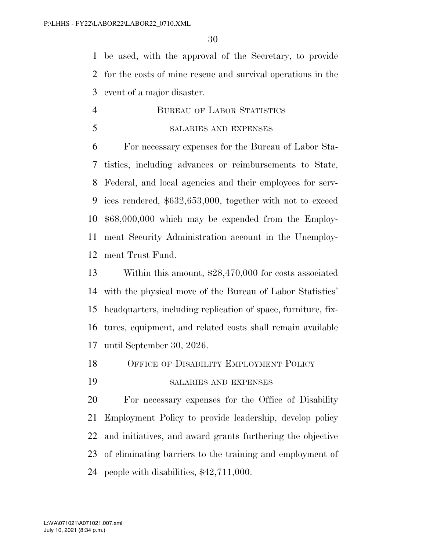be used, with the approval of the Secretary, to provide for the costs of mine rescue and survival operations in the event of a major disaster.

 BUREAU OF LABOR STATISTICS SALARIES AND EXPENSES

 For necessary expenses for the Bureau of Labor Sta- tistics, including advances or reimbursements to State, Federal, and local agencies and their employees for serv- ices rendered, \$632,653,000, together with not to exceed \$68,000,000 which may be expended from the Employ- ment Security Administration account in the Unemploy-ment Trust Fund.

 Within this amount, \$28,470,000 for costs associated with the physical move of the Bureau of Labor Statistics' headquarters, including replication of space, furniture, fix- tures, equipment, and related costs shall remain available until September 30, 2026.

- OFFICE OF DISABILITY EMPLOYMENT POLICY
- SALARIES AND EXPENSES

 For necessary expenses for the Office of Disability Employment Policy to provide leadership, develop policy and initiatives, and award grants furthering the objective of eliminating barriers to the training and employment of people with disabilities, \$42,711,000.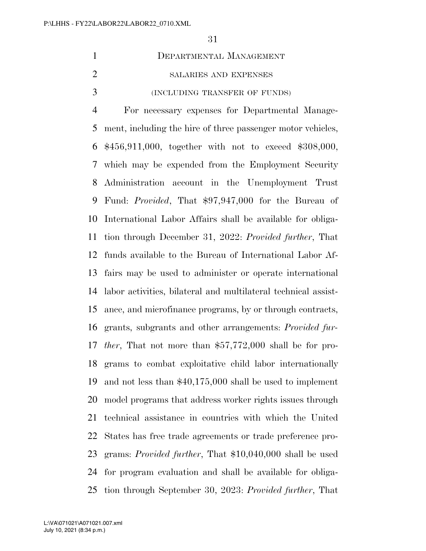| DEPARTMENTAL MANAGEMENT       |
|-------------------------------|
| SALARIES AND EXPENSES         |
| (INCLUDING TRANSFER OF FUNDS) |

 For necessary expenses for Departmental Manage- ment, including the hire of three passenger motor vehicles, \$456,911,000, together with not to exceed \$308,000, which may be expended from the Employment Security Administration account in the Unemployment Trust Fund: *Provided*, That \$97,947,000 for the Bureau of International Labor Affairs shall be available for obliga- tion through December 31, 2022: *Provided further*, That funds available to the Bureau of International Labor Af- fairs may be used to administer or operate international labor activities, bilateral and multilateral technical assist- ance, and microfinance programs, by or through contracts, grants, subgrants and other arrangements: *Provided fur- ther*, That not more than \$57,772,000 shall be for pro- grams to combat exploitative child labor internationally and not less than \$40,175,000 shall be used to implement model programs that address worker rights issues through technical assistance in countries with which the United States has free trade agreements or trade preference pro- grams: *Provided further*, That \$10,040,000 shall be used for program evaluation and shall be available for obliga-tion through September 30, 2023: *Provided further*, That

July 10, 2021 (8:34 p.m.) L:\VA\071021\A071021.007.xml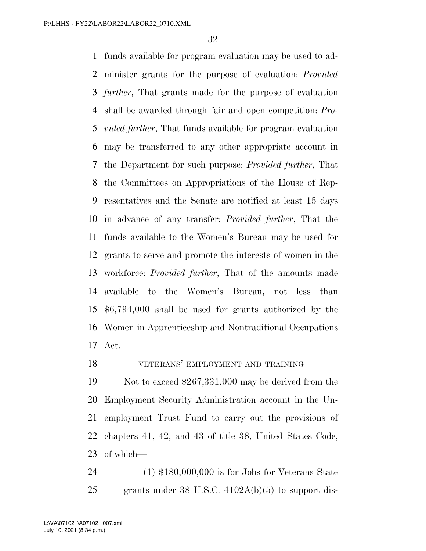funds available for program evaluation may be used to ad- minister grants for the purpose of evaluation: *Provided further*, That grants made for the purpose of evaluation shall be awarded through fair and open competition: *Pro- vided further*, That funds available for program evaluation may be transferred to any other appropriate account in the Department for such purpose: *Provided further*, That the Committees on Appropriations of the House of Rep- resentatives and the Senate are notified at least 15 days in advance of any transfer: *Provided further*, That the funds available to the Women's Bureau may be used for grants to serve and promote the interests of women in the workforce: *Provided further*, That of the amounts made available to the Women's Bureau, not less than \$6,794,000 shall be used for grants authorized by the Women in Apprenticeship and Nontraditional Occupations Act.

VETERANS' EMPLOYMENT AND TRAINING

 Not to exceed \$267,331,000 may be derived from the Employment Security Administration account in the Un- employment Trust Fund to carry out the provisions of chapters 41, 42, and 43 of title 38, United States Code, of which—

 (1) \$180,000,000 is for Jobs for Veterans State grants under 38 U.S.C. 4102A(b)(5) to support dis-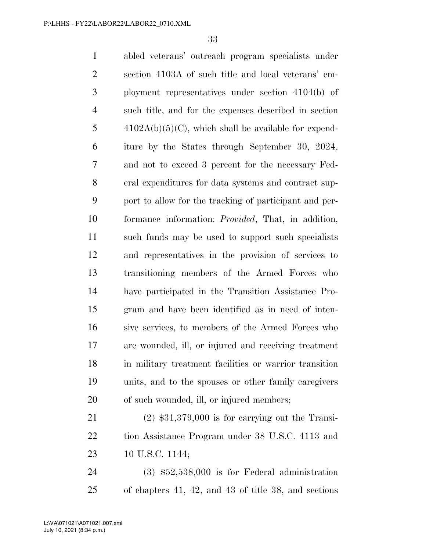abled veterans' outreach program specialists under section 4103A of such title and local veterans' em- ployment representatives under section 4104(b) of such title, and for the expenses described in section  $4102A(b)(5)(C)$ , which shall be available for expend- iture by the States through September 30, 2024, and not to exceed 3 percent for the necessary Fed- eral expenditures for data systems and contract sup- port to allow for the tracking of participant and per- formance information: *Provided*, That, in addition, such funds may be used to support such specialists and representatives in the provision of services to transitioning members of the Armed Forces who have participated in the Transition Assistance Pro- gram and have been identified as in need of inten- sive services, to members of the Armed Forces who are wounded, ill, or injured and receiving treatment in military treatment facilities or warrior transition units, and to the spouses or other family caregivers 20 of such wounded, ill, or injured members; (2) \$31,379,000 is for carrying out the Transi- tion Assistance Program under 38 U.S.C. 4113 and 10 U.S.C. 1144;

 (3) \$52,538,000 is for Federal administration of chapters 41, 42, and 43 of title 38, and sections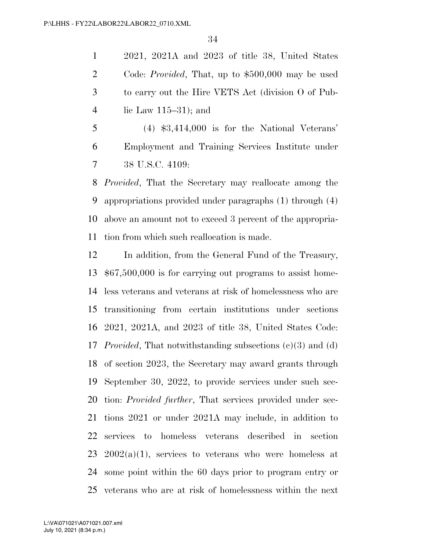2021, 2021A and 2023 of title 38, United States Code: *Provided*, That, up to \$500,000 may be used to carry out the Hire VETS Act (division O of Pub-lic Law 115–31); and

 (4) \$3,414,000 is for the National Veterans' Employment and Training Services Institute under 38 U.S.C. 4109:

 *Provided*, That the Secretary may reallocate among the appropriations provided under paragraphs (1) through (4) above an amount not to exceed 3 percent of the appropria-tion from which such reallocation is made.

 In addition, from the General Fund of the Treasury, \$67,500,000 is for carrying out programs to assist home- less veterans and veterans at risk of homelessness who are transitioning from certain institutions under sections 2021, 2021A, and 2023 of title 38, United States Code: *Provided*, That notwithstanding subsections (c)(3) and (d) of section 2023, the Secretary may award grants through September 30, 2022, to provide services under such sec- tion: *Provided further*, That services provided under sec- tions 2021 or under 2021A may include, in addition to services to homeless veterans described in section 23 2002(a)(1), services to veterans who were homeless at some point within the 60 days prior to program entry or veterans who are at risk of homelessness within the next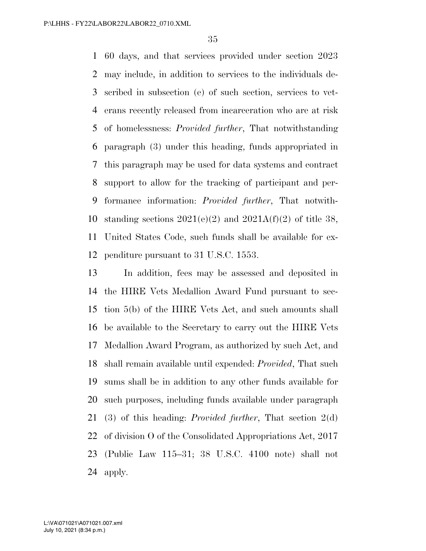60 days, and that services provided under section 2023 may include, in addition to services to the individuals de- scribed in subsection (e) of such section, services to vet- erans recently released from incarceration who are at risk of homelessness: *Provided further*, That notwithstanding paragraph (3) under this heading, funds appropriated in this paragraph may be used for data systems and contract support to allow for the tracking of participant and per- formance information: *Provided further*, That notwith-10 standing sections  $2021(e)(2)$  and  $2021A(f)(2)$  of title 38, United States Code, such funds shall be available for ex-penditure pursuant to 31 U.S.C. 1553.

 In addition, fees may be assessed and deposited in the HIRE Vets Medallion Award Fund pursuant to sec- tion 5(b) of the HIRE Vets Act, and such amounts shall be available to the Secretary to carry out the HIRE Vets Medallion Award Program, as authorized by such Act, and shall remain available until expended: *Provided*, That such sums shall be in addition to any other funds available for such purposes, including funds available under paragraph (3) of this heading: *Provided further*, That section 2(d) of division O of the Consolidated Appropriations Act, 2017 (Public Law 115–31; 38 U.S.C. 4100 note) shall not apply.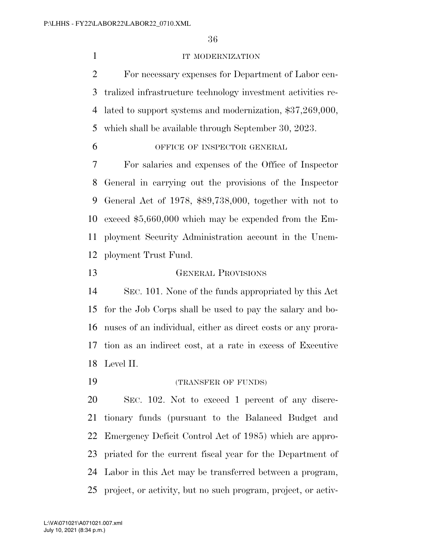### **IT MODERNIZATION**

 For necessary expenses for Department of Labor cen- tralized infrastructure technology investment activities re- lated to support systems and modernization, \$37,269,000, which shall be available through September 30, 2023.

## OFFICE OF INSPECTOR GENERAL

 For salaries and expenses of the Office of Inspector General in carrying out the provisions of the Inspector General Act of 1978, \$89,738,000, together with not to exceed \$5,660,000 which may be expended from the Em- ployment Security Administration account in the Unem-ployment Trust Fund.

GENERAL PROVISIONS

 SEC. 101. None of the funds appropriated by this Act for the Job Corps shall be used to pay the salary and bo- nuses of an individual, either as direct costs or any prora- tion as an indirect cost, at a rate in excess of Executive Level II.

(TRANSFER OF FUNDS)

 SEC. 102. Not to exceed 1 percent of any discre- tionary funds (pursuant to the Balanced Budget and Emergency Deficit Control Act of 1985) which are appro- priated for the current fiscal year for the Department of Labor in this Act may be transferred between a program, project, or activity, but no such program, project, or activ-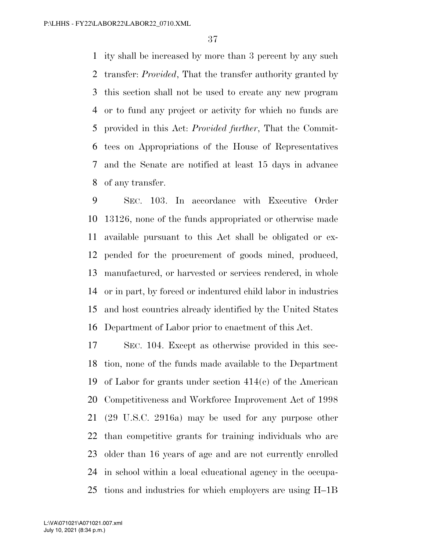ity shall be increased by more than 3 percent by any such transfer: *Provided*, That the transfer authority granted by this section shall not be used to create any new program or to fund any project or activity for which no funds are provided in this Act: *Provided further*, That the Commit- tees on Appropriations of the House of Representatives and the Senate are notified at least 15 days in advance of any transfer.

 SEC. 103. In accordance with Executive Order 13126, none of the funds appropriated or otherwise made available pursuant to this Act shall be obligated or ex- pended for the procurement of goods mined, produced, manufactured, or harvested or services rendered, in whole or in part, by forced or indentured child labor in industries and host countries already identified by the United States Department of Labor prior to enactment of this Act.

 SEC. 104. Except as otherwise provided in this sec- tion, none of the funds made available to the Department of Labor for grants under section 414(c) of the American Competitiveness and Workforce Improvement Act of 1998 (29 U.S.C. 2916a) may be used for any purpose other than competitive grants for training individuals who are older than 16 years of age and are not currently enrolled in school within a local educational agency in the occupa-tions and industries for which employers are using H–1B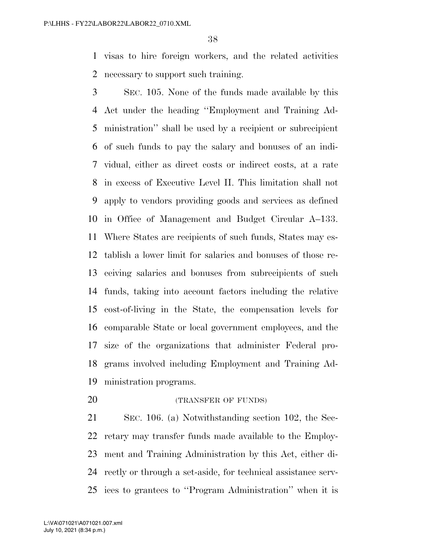visas to hire foreign workers, and the related activities necessary to support such training.

 SEC. 105. None of the funds made available by this Act under the heading ''Employment and Training Ad- ministration'' shall be used by a recipient or subrecipient of such funds to pay the salary and bonuses of an indi- vidual, either as direct costs or indirect costs, at a rate in excess of Executive Level II. This limitation shall not apply to vendors providing goods and services as defined in Office of Management and Budget Circular A–133. Where States are recipients of such funds, States may es- tablish a lower limit for salaries and bonuses of those re- ceiving salaries and bonuses from subrecipients of such funds, taking into account factors including the relative cost-of-living in the State, the compensation levels for comparable State or local government employees, and the size of the organizations that administer Federal pro- grams involved including Employment and Training Ad-ministration programs.

**(TRANSFER OF FUNDS)** 

 SEC. 106. (a) Notwithstanding section 102, the Sec- retary may transfer funds made available to the Employ- ment and Training Administration by this Act, either di- rectly or through a set-aside, for technical assistance serv-ices to grantees to ''Program Administration'' when it is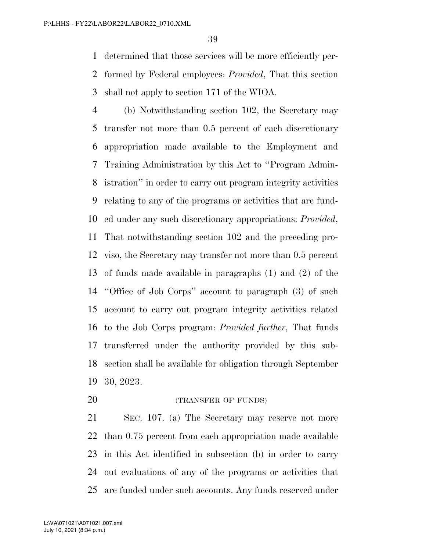determined that those services will be more efficiently per- formed by Federal employees: *Provided*, That this section shall not apply to section 171 of the WIOA.

 (b) Notwithstanding section 102, the Secretary may transfer not more than 0.5 percent of each discretionary appropriation made available to the Employment and Training Administration by this Act to ''Program Admin- istration'' in order to carry out program integrity activities relating to any of the programs or activities that are fund- ed under any such discretionary appropriations: *Provided*, That notwithstanding section 102 and the preceding pro- viso, the Secretary may transfer not more than 0.5 percent of funds made available in paragraphs (1) and (2) of the ''Office of Job Corps'' account to paragraph (3) of such account to carry out program integrity activities related to the Job Corps program: *Provided further*, That funds transferred under the authority provided by this sub- section shall be available for obligation through September 30, 2023.

**(TRANSFER OF FUNDS)** 

 SEC. 107. (a) The Secretary may reserve not more than 0.75 percent from each appropriation made available in this Act identified in subsection (b) in order to carry out evaluations of any of the programs or activities that are funded under such accounts. Any funds reserved under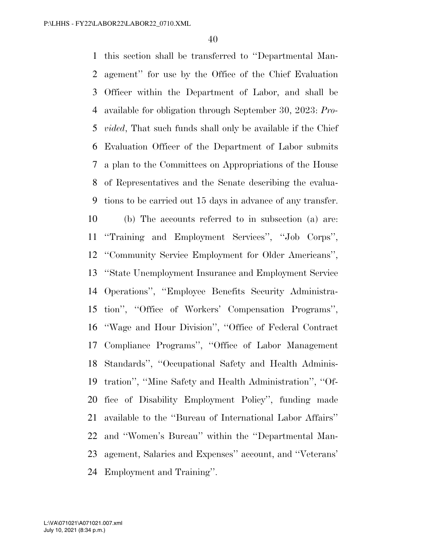this section shall be transferred to ''Departmental Man- agement'' for use by the Office of the Chief Evaluation Officer within the Department of Labor, and shall be available for obligation through September 30, 2023: *Pro- vided*, That such funds shall only be available if the Chief Evaluation Officer of the Department of Labor submits a plan to the Committees on Appropriations of the House of Representatives and the Senate describing the evalua- tions to be carried out 15 days in advance of any transfer. (b) The accounts referred to in subsection (a) are: ''Training and Employment Services'', ''Job Corps'', ''Community Service Employment for Older Americans'', ''State Unemployment Insurance and Employment Service Operations'', ''Employee Benefits Security Administra- tion'', ''Office of Workers' Compensation Programs'', ''Wage and Hour Division'', ''Office of Federal Contract Compliance Programs'', ''Office of Labor Management Standards'', ''Occupational Safety and Health Adminis- tration'', ''Mine Safety and Health Administration'', ''Of- fice of Disability Employment Policy'', funding made available to the ''Bureau of International Labor Affairs'' and ''Women's Bureau'' within the ''Departmental Man- agement, Salaries and Expenses'' account, and ''Veterans' Employment and Training''.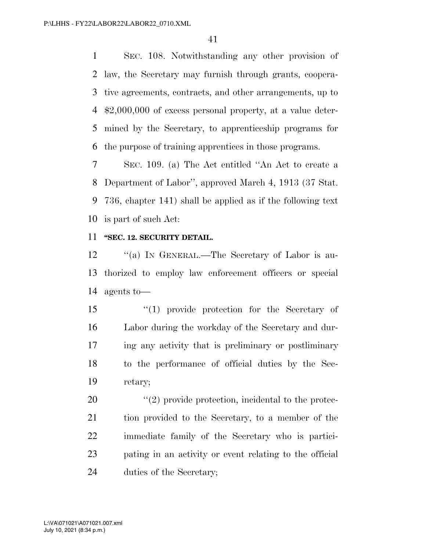SEC. 108. Notwithstanding any other provision of law, the Secretary may furnish through grants, coopera- tive agreements, contracts, and other arrangements, up to \$2,000,000 of excess personal property, at a value deter- mined by the Secretary, to apprenticeship programs for the purpose of training apprentices in those programs.

 SEC. 109. (a) The Act entitled ''An Act to create a Department of Labor'', approved March 4, 1913 (37 Stat. 736, chapter 141) shall be applied as if the following text is part of such Act:

#### **''SEC. 12. SECURITY DETAIL.**

12 "(a) IN GENERAL.—The Secretary of Labor is au- thorized to employ law enforcement officers or special agents to—

 ''(1) provide protection for the Secretary of Labor during the workday of the Secretary and dur- ing any activity that is preliminary or postliminary to the performance of official duties by the Sec-retary;

 ''(2) provide protection, incidental to the protec- tion provided to the Secretary, to a member of the immediate family of the Secretary who is partici- pating in an activity or event relating to the official duties of the Secretary;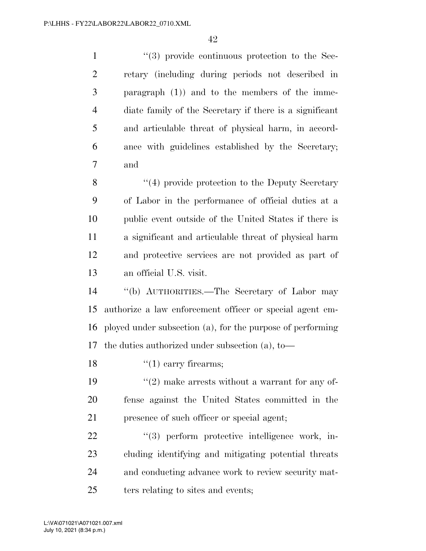$(3)$  provide continuous protection to the Sec- retary (including during periods not described in paragraph (1)) and to the members of the imme- diate family of the Secretary if there is a significant and articulable threat of physical harm, in accord- ance with guidelines established by the Secretary; and 8 ''(4) provide protection to the Deputy Secretary of Labor in the performance of official duties at a public event outside of the United States if there is a significant and articulable threat of physical harm and protective services are not provided as part of an official U.S. visit. ''(b) AUTHORITIES.—The Secretary of Labor may authorize a law enforcement officer or special agent em- ployed under subsection (a), for the purpose of performing the duties authorized under subsection (a), to—  $\frac{1}{2}$  (1) carry firearms;  $\frac{1}{2}$  make arrests without a warrant for any of- fense against the United States committed in the presence of such officer or special agent;  $(3)$  perform protective intelligence work, in- cluding identifying and mitigating potential threats and conducting advance work to review security mat-25 ters relating to sites and events;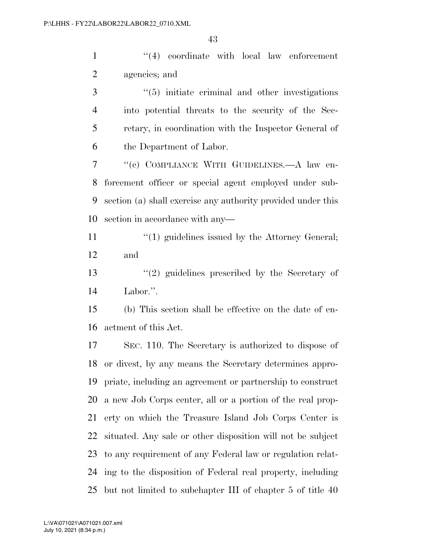1 ''(4) coordinate with local law enforcement agencies; and

3 ''(5) initiate criminal and other investigations into potential threats to the security of the Sec- retary, in coordination with the Inspector General of the Department of Labor.

 ''(c) COMPLIANCE WITH GUIDELINES.—A law en- forcement officer or special agent employed under sub- section (a) shall exercise any authority provided under this section in accordance with any—

11 ''(1) guidelines issued by the Attorney General; and

 ''(2) guidelines prescribed by the Secretary of Labor.''.

 (b) This section shall be effective on the date of en-actment of this Act.

 SEC. 110. The Secretary is authorized to dispose of or divest, by any means the Secretary determines appro- priate, including an agreement or partnership to construct a new Job Corps center, all or a portion of the real prop- erty on which the Treasure Island Job Corps Center is situated. Any sale or other disposition will not be subject to any requirement of any Federal law or regulation relat- ing to the disposition of Federal real property, including but not limited to subchapter III of chapter 5 of title 40

July 10, 2021 (8:34 p.m.) L:\VA\071021\A071021.007.xml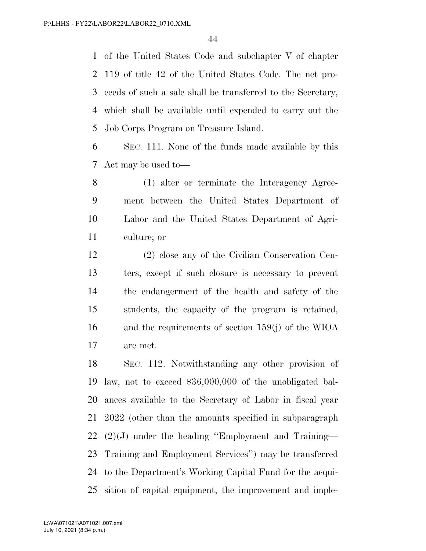of the United States Code and subchapter V of chapter 119 of title 42 of the United States Code. The net pro- ceeds of such a sale shall be transferred to the Secretary, which shall be available until expended to carry out the Job Corps Program on Treasure Island.

 SEC. 111. None of the funds made available by this Act may be used to—

 (1) alter or terminate the Interagency Agree- ment between the United States Department of Labor and the United States Department of Agri-culture; or

 (2) close any of the Civilian Conservation Cen- ters, except if such closure is necessary to prevent the endangerment of the health and safety of the students, the capacity of the program is retained, and the requirements of section 159(j) of the WIOA are met.

 SEC. 112. Notwithstanding any other provision of law, not to exceed \$36,000,000 of the unobligated bal- ances available to the Secretary of Labor in fiscal year 2022 (other than the amounts specified in subparagraph (2)(J) under the heading ''Employment and Training— Training and Employment Services'') may be transferred to the Department's Working Capital Fund for the acqui-sition of capital equipment, the improvement and imple-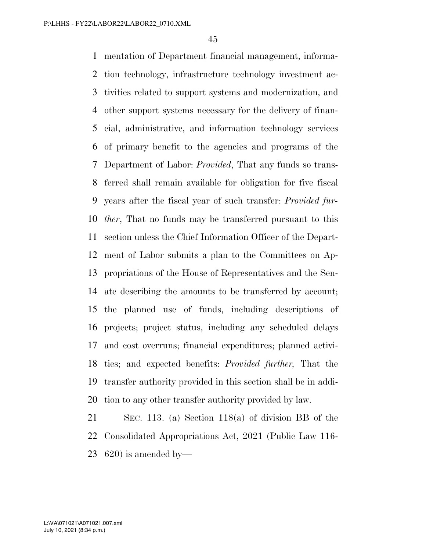mentation of Department financial management, informa- tion technology, infrastructure technology investment ac- tivities related to support systems and modernization, and other support systems necessary for the delivery of finan- cial, administrative, and information technology services of primary benefit to the agencies and programs of the Department of Labor: *Provided*, That any funds so trans- ferred shall remain available for obligation for five fiscal years after the fiscal year of such transfer: *Provided fur- ther*, That no funds may be transferred pursuant to this section unless the Chief Information Officer of the Depart- ment of Labor submits a plan to the Committees on Ap- propriations of the House of Representatives and the Sen- ate describing the amounts to be transferred by account; the planned use of funds, including descriptions of projects; project status, including any scheduled delays and cost overruns; financial expenditures; planned activi- ties; and expected benefits: *Provided further,* That the transfer authority provided in this section shall be in addi-tion to any other transfer authority provided by law.

 SEC. 113. (a) Section 118(a) of division BB of the Consolidated Appropriations Act, 2021 (Public Law 116- 23 is amended by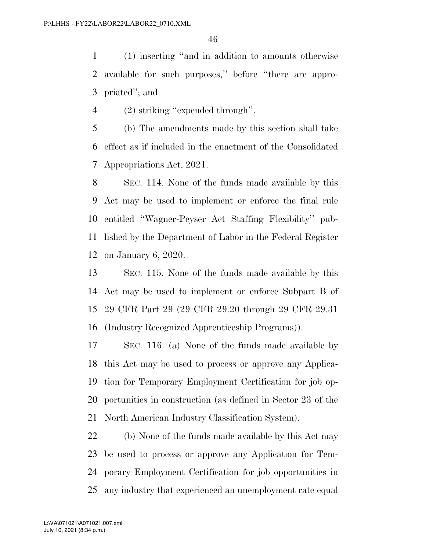(1) inserting ''and in addition to amounts otherwise available for such purposes,'' before ''there are appro-priated''; and

(2) striking ''expended through''.

 (b) The amendments made by this section shall take effect as if included in the enactment of the Consolidated Appropriations Act, 2021.

 SEC. 114. None of the funds made available by this Act may be used to implement or enforce the final rule entitled ''Wagner-Peyser Act Staffing Flexibility'' pub- lished by the Department of Labor in the Federal Register on January 6, 2020.

 SEC. 115. None of the funds made available by this Act may be used to implement or enforce Subpart B of 29 CFR Part 29 (29 CFR 29.20 through 29 CFR 29.31 (Industry Recognized Apprenticeship Programs)).

 SEC. 116. (a) None of the funds made available by this Act may be used to process or approve any Applica- tion for Temporary Employment Certification for job op- portunities in construction (as defined in Sector 23 of the North American Industry Classification System).

 (b) None of the funds made available by this Act may be used to process or approve any Application for Tem- porary Employment Certification for job opportunities in any industry that experienced an unemployment rate equal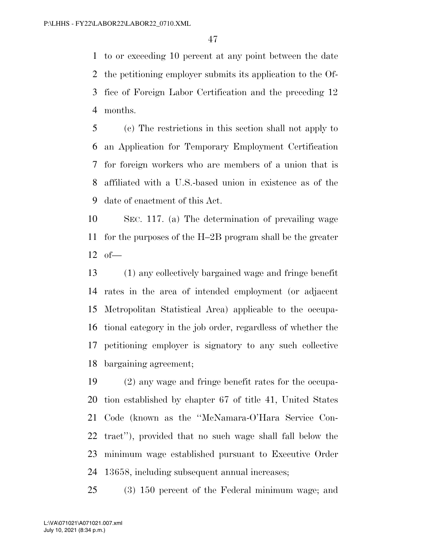to or exceeding 10 percent at any point between the date the petitioning employer submits its application to the Of- fice of Foreign Labor Certification and the preceding 12 months.

 (c) The restrictions in this section shall not apply to an Application for Temporary Employment Certification for foreign workers who are members of a union that is affiliated with a U.S.-based union in existence as of the date of enactment of this Act.

 SEC. 117. (a) The determination of prevailing wage for the purposes of the H–2B program shall be the greater of—

 (1) any collectively bargained wage and fringe benefit rates in the area of intended employment (or adjacent Metropolitan Statistical Area) applicable to the occupa- tional category in the job order, regardless of whether the petitioning employer is signatory to any such collective bargaining agreement;

 (2) any wage and fringe benefit rates for the occupa- tion established by chapter 67 of title 41, United States Code (known as the ''McNamara-O'Hara Service Con- tract''), provided that no such wage shall fall below the minimum wage established pursuant to Executive Order 13658, including subsequent annual increases;

(3) 150 percent of the Federal minimum wage; and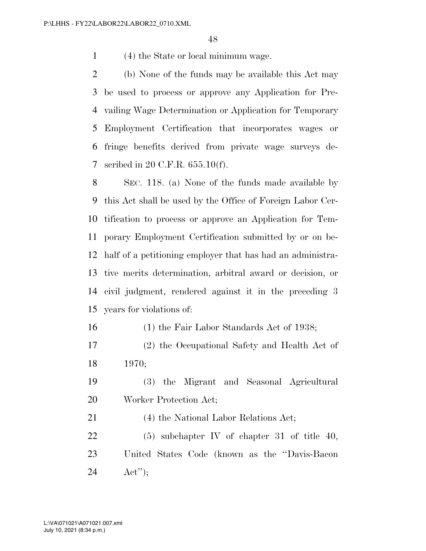(4) the State or local minimum wage.

 (b) None of the funds may be available this Act may be used to process or approve any Application for Pre- vailing Wage Determination or Application for Temporary Employment Certification that incorporates wages or fringe benefits derived from private wage surveys de-scribed in 20 C.F.R. 655.10(f).

 SEC. 118. (a) None of the funds made available by this Act shall be used by the Office of Foreign Labor Cer- tification to process or approve an Application for Tem- porary Employment Certification submitted by or on be- half of a petitioning employer that has had an administra- tive merits determination, arbitral award or decision, or civil judgment, rendered against it in the preceding 3 years for violations of:

(1) the Fair Labor Standards Act of 1938;

- (2) the Occupational Safety and Health Act of 1970;
- (3) the Migrant and Seasonal Agricultural Worker Protection Act;

(4) the National Labor Relations Act;

 (5) subchapter IV of chapter 31 of title 40, United States Code (known as the ''Davis-Bacon Act'');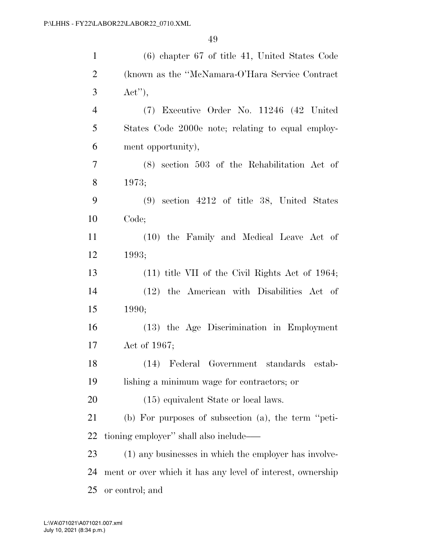| $\mathbf{1}$   | $(6)$ chapter 67 of title 41, United States Code           |
|----------------|------------------------------------------------------------|
| $\overline{2}$ | (known as the "McNamara-O'Hara Service Contract            |
| 3              | $Act'$ ,                                                   |
| $\overline{4}$ | (7) Executive Order No. 11246 (42 United                   |
| 5              | States Code 2000e note; relating to equal employ-          |
| 6              | ment opportunity),                                         |
| $\tau$         | $(8)$ section 503 of the Rehabilitation Act of             |
| 8              | 1973;                                                      |
| 9              | $(9)$ section $4212$ of title 38, United States            |
| 10             | Code;                                                      |
| 11             | (10) the Family and Medical Leave Act of                   |
| 12             | 1993;                                                      |
| 13             | $(11)$ title VII of the Civil Rights Act of 1964;          |
| 14             | (12) the American with Disabilities Act of                 |
| 15             | 1990;                                                      |
| 16             | (13) the Age Discrimination in Employment                  |
| 17             | Act of 1967;                                               |
| 18             | (14) Federal Government standards estab-                   |
| 19             | lishing a minimum wage for contractors; or                 |
| 20             | (15) equivalent State or local laws.                       |
| 21             | (b) For purposes of subsection (a), the term "peti-        |
| 22             | tioning employer" shall also include—                      |
| 23             | (1) any businesses in which the employer has involve-      |
| 24             | ment or over which it has any level of interest, ownership |
| 25             | or control; and                                            |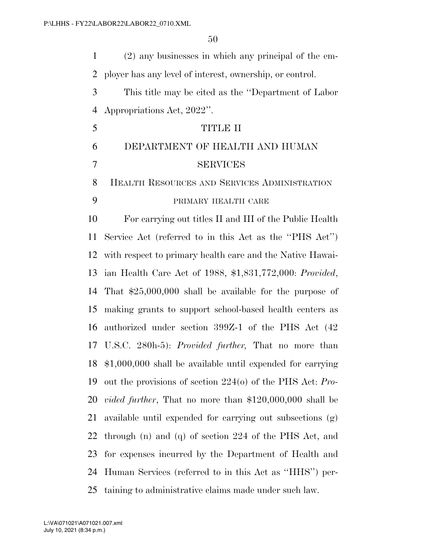(2) any businesses in which any principal of the em- ployer has any level of interest, ownership, or control. This title may be cited as the ''Department of Labor Appropriations Act, 2022''. TITLE II DEPARTMENT OF HEALTH AND HUMAN SERVICES HEALTH RESOURCES AND SERVICES ADMINISTRATION PRIMARY HEALTH CARE For carrying out titles II and III of the Public Health Service Act (referred to in this Act as the ''PHS Act'') with respect to primary health care and the Native Hawai- ian Health Care Act of 1988, \$1,831,772,000: *Provided*, That \$25,000,000 shall be available for the purpose of making grants to support school-based health centers as authorized under section 399Z-1 of the PHS Act (42 U.S.C. 280h-5): *Provided further,* That no more than \$1,000,000 shall be available until expended for carrying out the provisions of section 224(o) of the PHS Act: *Pro- vided further*, That no more than \$120,000,000 shall be available until expended for carrying out subsections (g) through (n) and (q) of section 224 of the PHS Act, and for expenses incurred by the Department of Health and Human Services (referred to in this Act as ''HHS'') per-taining to administrative claims made under such law.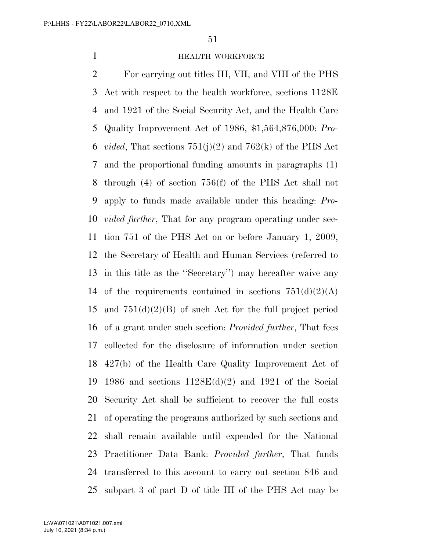#### **HEALTH WORKFORCE**

 For carrying out titles III, VII, and VIII of the PHS Act with respect to the health workforce, sections 1128E and 1921 of the Social Security Act, and the Health Care Quality Improvement Act of 1986, \$1,564,876,000: *Pro- vided*, That sections 751(j)(2) and 762(k) of the PHS Act and the proportional funding amounts in paragraphs (1) through (4) of section 756(f) of the PHS Act shall not apply to funds made available under this heading: *Pro- vided further*, That for any program operating under sec- tion 751 of the PHS Act on or before January 1, 2009, the Secretary of Health and Human Services (referred to in this title as the ''Secretary'') may hereafter waive any 14 of the requirements contained in sections  $751(d)(2)(A)$  and 751(d)(2)(B) of such Act for the full project period of a grant under such section: *Provided further*, That fees collected for the disclosure of information under section 427(b) of the Health Care Quality Improvement Act of 1986 and sections 1128E(d)(2) and 1921 of the Social Security Act shall be sufficient to recover the full costs of operating the programs authorized by such sections and shall remain available until expended for the National Practitioner Data Bank: *Provided further*, That funds transferred to this account to carry out section 846 and subpart 3 of part D of title III of the PHS Act may be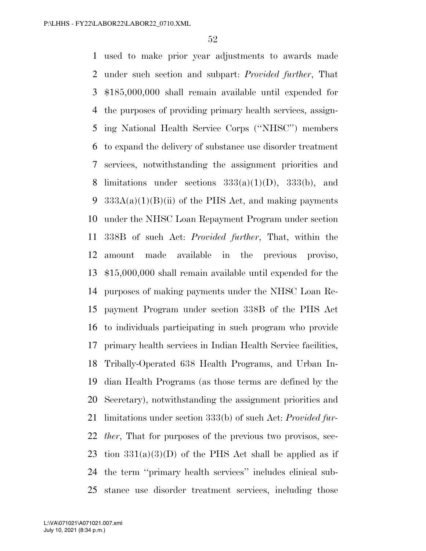used to make prior year adjustments to awards made under such section and subpart: *Provided further*, That \$185,000,000 shall remain available until expended for the purposes of providing primary health services, assign- ing National Health Service Corps (''NHSC'') members to expand the delivery of substance use disorder treatment services, notwithstanding the assignment priorities and 8 limitations under sections  $333(a)(1)(D)$ ,  $333(b)$ , and 9 333A(a)(1)(B)(ii) of the PHS Act, and making payments under the NHSC Loan Repayment Program under section 338B of such Act: *Provided further*, That, within the amount made available in the previous proviso, \$15,000,000 shall remain available until expended for the purposes of making payments under the NHSC Loan Re- payment Program under section 338B of the PHS Act to individuals participating in such program who provide primary health services in Indian Health Service facilities, Tribally-Operated 638 Health Programs, and Urban In- dian Health Programs (as those terms are defined by the Secretary), notwithstanding the assignment priorities and limitations under section 333(b) of such Act: *Provided fur- ther*, That for purposes of the previous two provisos, sec-23 tion  $331(a)(3)(D)$  of the PHS Act shall be applied as if the term ''primary health services'' includes clinical sub-stance use disorder treatment services, including those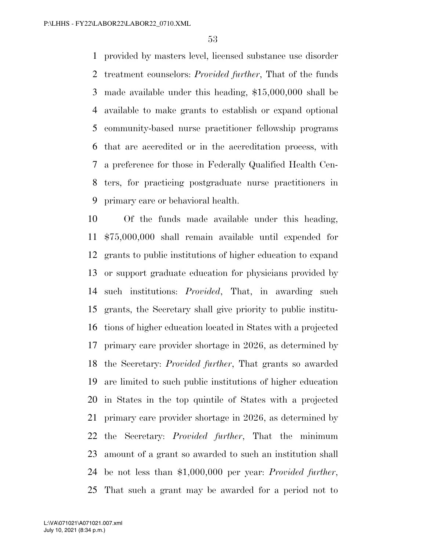provided by masters level, licensed substance use disorder treatment counselors: *Provided further*, That of the funds made available under this heading, \$15,000,000 shall be available to make grants to establish or expand optional community-based nurse practitioner fellowship programs that are accredited or in the accreditation process, with a preference for those in Federally Qualified Health Cen- ters, for practicing postgraduate nurse practitioners in primary care or behavioral health.

 Of the funds made available under this heading, \$75,000,000 shall remain available until expended for grants to public institutions of higher education to expand or support graduate education for physicians provided by such institutions: *Provided*, That, in awarding such grants, the Secretary shall give priority to public institu- tions of higher education located in States with a projected primary care provider shortage in 2026, as determined by the Secretary: *Provided further*, That grants so awarded are limited to such public institutions of higher education in States in the top quintile of States with a projected primary care provider shortage in 2026, as determined by the Secretary: *Provided further*, That the minimum amount of a grant so awarded to such an institution shall be not less than \$1,000,000 per year: *Provided further*, That such a grant may be awarded for a period not to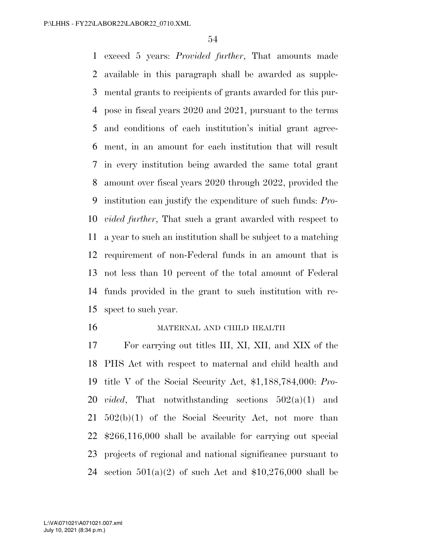exceed 5 years: *Provided further*, That amounts made available in this paragraph shall be awarded as supple- mental grants to recipients of grants awarded for this pur- pose in fiscal years 2020 and 2021, pursuant to the terms and conditions of each institution's initial grant agree- ment, in an amount for each institution that will result in every institution being awarded the same total grant amount over fiscal years 2020 through 2022, provided the institution can justify the expenditure of such funds: *Pro- vided further*, That such a grant awarded with respect to a year to such an institution shall be subject to a matching requirement of non-Federal funds in an amount that is not less than 10 percent of the total amount of Federal funds provided in the grant to such institution with re-spect to such year.

#### MATERNAL AND CHILD HEALTH

 For carrying out titles III, XI, XII, and XIX of the PHS Act with respect to maternal and child health and title V of the Social Security Act, \$1,188,784,000: *Pro- vided*, That notwithstanding sections 502(a)(1) and 502(b)(1) of the Social Security Act, not more than \$266,116,000 shall be available for carrying out special projects of regional and national significance pursuant to 24 section  $501(a)(2)$  of such Act and \$10,276,000 shall be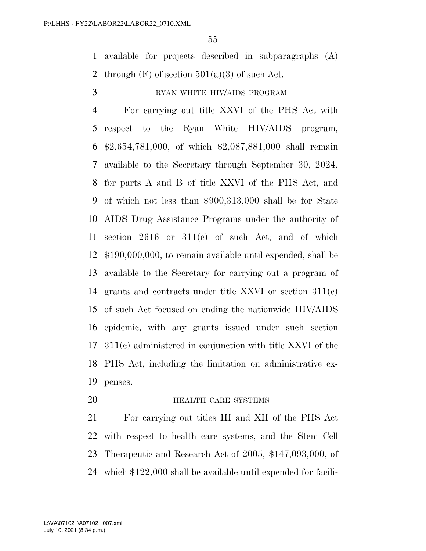available for projects described in subparagraphs (A) 2 through  $(F)$  of section  $501(a)(3)$  of such Act.

3 RYAN WHITE HIV/AIDS PROGRAM

 For carrying out title XXVI of the PHS Act with respect to the Ryan White HIV/AIDS program, \$2,654,781,000, of which \$2,087,881,000 shall remain available to the Secretary through September 30, 2024, for parts A and B of title XXVI of the PHS Act, and of which not less than \$900,313,000 shall be for State AIDS Drug Assistance Programs under the authority of section 2616 or 311(c) of such Act; and of which \$190,000,000, to remain available until expended, shall be available to the Secretary for carrying out a program of grants and contracts under title XXVI or section 311(c) of such Act focused on ending the nationwide HIV/AIDS epidemic, with any grants issued under such section 311(c) administered in conjunction with title XXVI of the PHS Act, including the limitation on administrative ex-penses.

**HEALTH CARE SYSTEMS** 

 For carrying out titles III and XII of the PHS Act with respect to health care systems, and the Stem Cell Therapeutic and Research Act of 2005, \$147,093,000, of which \$122,000 shall be available until expended for facili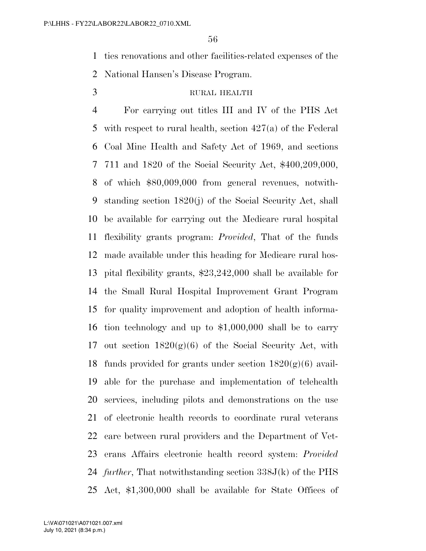ties renovations and other facilities-related expenses of the

- National Hansen's Disease Program.
- 

# RURAL HEALTH

 For carrying out titles III and IV of the PHS Act with respect to rural health, section 427(a) of the Federal Coal Mine Health and Safety Act of 1969, and sections 711 and 1820 of the Social Security Act, \$400,209,000, of which \$80,009,000 from general revenues, notwith- standing section 1820(j) of the Social Security Act, shall be available for carrying out the Medicare rural hospital flexibility grants program: *Provided*, That of the funds made available under this heading for Medicare rural hos- pital flexibility grants, \$23,242,000 shall be available for the Small Rural Hospital Improvement Grant Program for quality improvement and adoption of health informa- tion technology and up to \$1,000,000 shall be to carry 17 out section  $1820(g)(6)$  of the Social Security Act, with 18 funds provided for grants under section  $1820(g)(6)$  avail- able for the purchase and implementation of telehealth services, including pilots and demonstrations on the use of electronic health records to coordinate rural veterans care between rural providers and the Department of Vet- erans Affairs electronic health record system: *Provided further*, That notwithstanding section 338J(k) of the PHS Act, \$1,300,000 shall be available for State Offices of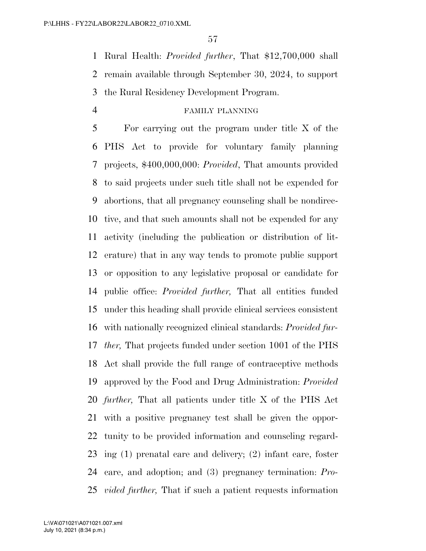Rural Health: *Provided further*, That \$12,700,000 shall remain available through September 30, 2024, to support the Rural Residency Development Program.

## FAMILY PLANNING

 For carrying out the program under title X of the PHS Act to provide for voluntary family planning projects, \$400,000,000: *Provided*, That amounts provided to said projects under such title shall not be expended for abortions, that all pregnancy counseling shall be nondirec- tive, and that such amounts shall not be expended for any activity (including the publication or distribution of lit- erature) that in any way tends to promote public support or opposition to any legislative proposal or candidate for public office: *Provided further,* That all entities funded under this heading shall provide clinical services consistent with nationally recognized clinical standards: *Provided fur- ther,* That projects funded under section 1001 of the PHS Act shall provide the full range of contraceptive methods approved by the Food and Drug Administration: *Provided further,* That all patients under title X of the PHS Act with a positive pregnancy test shall be given the oppor- tunity to be provided information and counseling regard- ing (1) prenatal care and delivery; (2) infant care, foster care, and adoption; and (3) pregnancy termination: *Pro-vided further,* That if such a patient requests information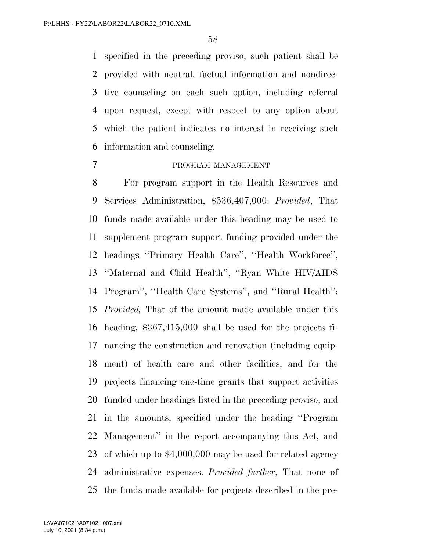specified in the preceding proviso, such patient shall be provided with neutral, factual information and nondirec- tive counseling on each such option, including referral upon request, except with respect to any option about which the patient indicates no interest in receiving such information and counseling.

#### PROGRAM MANAGEMENT

 For program support in the Health Resources and Services Administration, \$536,407,000: *Provided*, That funds made available under this heading may be used to supplement program support funding provided under the headings ''Primary Health Care'', ''Health Workforce'', ''Maternal and Child Health'', ''Ryan White HIV/AIDS Program'', ''Health Care Systems'', and ''Rural Health'': *Provided,* That of the amount made available under this heading, \$367,415,000 shall be used for the projects fi- nancing the construction and renovation (including equip- ment) of health care and other facilities, and for the projects financing one-time grants that support activities funded under headings listed in the preceding proviso, and in the amounts, specified under the heading ''Program Management'' in the report accompanying this Act, and of which up to \$4,000,000 may be used for related agency administrative expenses: *Provided further*, That none of the funds made available for projects described in the pre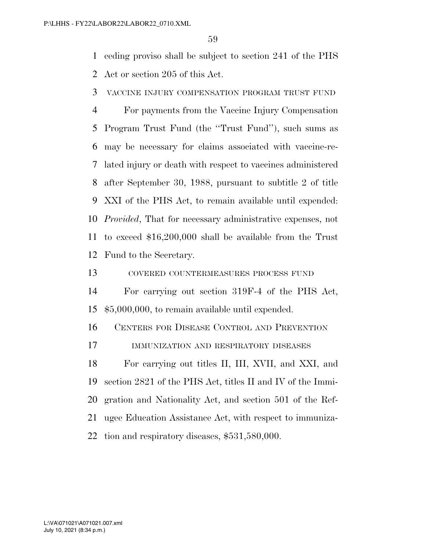ceding proviso shall be subject to section 241 of the PHS

Act or section 205 of this Act.

VACCINE INJURY COMPENSATION PROGRAM TRUST FUND

 For payments from the Vaccine Injury Compensation Program Trust Fund (the ''Trust Fund''), such sums as may be necessary for claims associated with vaccine-re- lated injury or death with respect to vaccines administered after September 30, 1988, pursuant to subtitle 2 of title XXI of the PHS Act, to remain available until expended: *Provided*, That for necessary administrative expenses, not to exceed \$16,200,000 shall be available from the Trust Fund to the Secretary.

COVERED COUNTERMEASURES PROCESS FUND

 For carrying out section 319F-4 of the PHS Act, \$5,000,000, to remain available until expended.

CENTERS FOR DISEASE CONTROL AND PREVENTION

IMMUNIZATION AND RESPIRATORY DISEASES

 For carrying out titles II, III, XVII, and XXI, and section 2821 of the PHS Act, titles II and IV of the Immi- gration and Nationality Act, and section 501 of the Ref- ugee Education Assistance Act, with respect to immuniza-tion and respiratory diseases, \$531,580,000.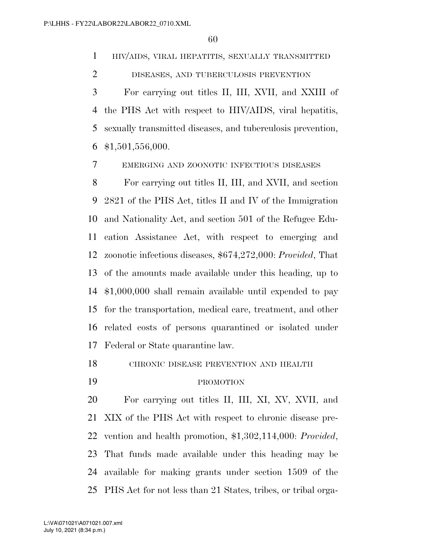HIV/AIDS, VIRAL HEPATITIS, SEXUALLY TRANSMITTED

DISEASES, AND TUBERCULOSIS PREVENTION

 For carrying out titles II, III, XVII, and XXIII of the PHS Act with respect to HIV/AIDS, viral hepatitis, sexually transmitted diseases, and tuberculosis prevention, \$1,501,556,000.

EMERGING AND ZOONOTIC INFECTIOUS DISEASES

 For carrying out titles II, III, and XVII, and section 2821 of the PHS Act, titles II and IV of the Immigration and Nationality Act, and section 501 of the Refugee Edu- cation Assistance Act, with respect to emerging and zoonotic infectious diseases, \$674,272,000: *Provided*, That of the amounts made available under this heading, up to \$1,000,000 shall remain available until expended to pay for the transportation, medical care, treatment, and other related costs of persons quarantined or isolated under Federal or State quarantine law.

CHRONIC DISEASE PREVENTION AND HEALTH

#### PROMOTION

 For carrying out titles II, III, XI, XV, XVII, and XIX of the PHS Act with respect to chronic disease pre- vention and health promotion, \$1,302,114,000: *Provided*, That funds made available under this heading may be available for making grants under section 1509 of the PHS Act for not less than 21 States, tribes, or tribal orga-

July 10, 2021 (8:34 p.m.) L:\VA\071021\A071021.007.xml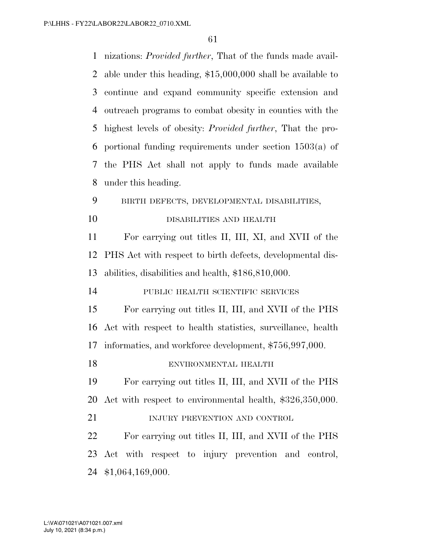nizations: *Provided further*, That of the funds made avail- able under this heading, \$15,000,000 shall be available to continue and expand community specific extension and outreach programs to combat obesity in counties with the highest levels of obesity: *Provided further*, That the pro- portional funding requirements under section 1503(a) of the PHS Act shall not apply to funds made available under this heading. BIRTH DEFECTS, DEVELOPMENTAL DISABILITIES, DISABILITIES AND HEALTH For carrying out titles II, III, XI, and XVII of the PHS Act with respect to birth defects, developmental dis- abilities, disabilities and health, \$186,810,000. PUBLIC HEALTH SCIENTIFIC SERVICES For carrying out titles II, III, and XVII of the PHS Act with respect to health statistics, surveillance, health informatics, and workforce development, \$756,997,000. ENVIRONMENTAL HEALTH For carrying out titles II, III, and XVII of the PHS Act with respect to environmental health, \$326,350,000. 21 INJURY PREVENTION AND CONTROL For carrying out titles II, III, and XVII of the PHS Act with respect to injury prevention and control, \$1,064,169,000.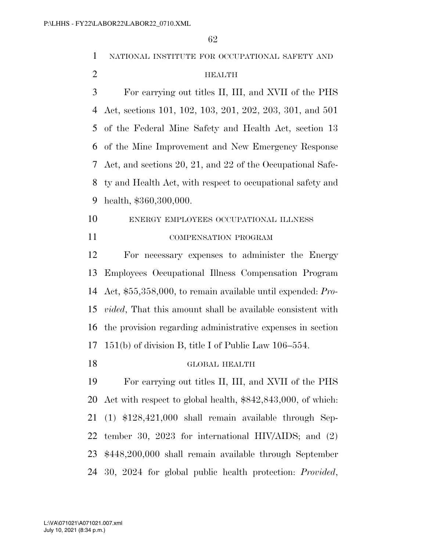NATIONAL INSTITUTE FOR OCCUPATIONAL SAFETY AND HEALTH For carrying out titles II, III, and XVII of the PHS Act, sections 101, 102, 103, 201, 202, 203, 301, and 501 of the Federal Mine Safety and Health Act, section 13 of the Mine Improvement and New Emergency Response Act, and sections 20, 21, and 22 of the Occupational Safe- ty and Health Act, with respect to occupational safety and health, \$360,300,000. ENERGY EMPLOYEES OCCUPATIONAL ILLNESS COMPENSATION PROGRAM For necessary expenses to administer the Energy Employees Occupational Illness Compensation Program Act, \$55,358,000, to remain available until expended: *Pro- vided*, That this amount shall be available consistent with the provision regarding administrative expenses in section 151(b) of division B, title I of Public Law 106–554. GLOBAL HEALTH For carrying out titles II, III, and XVII of the PHS Act with respect to global health, \$842,843,000, of which: (1) \$128,421,000 shall remain available through Sep- tember 30, 2023 for international HIV/AIDS; and (2) \$448,200,000 shall remain available through September 30, 2024 for global public health protection: *Provided*,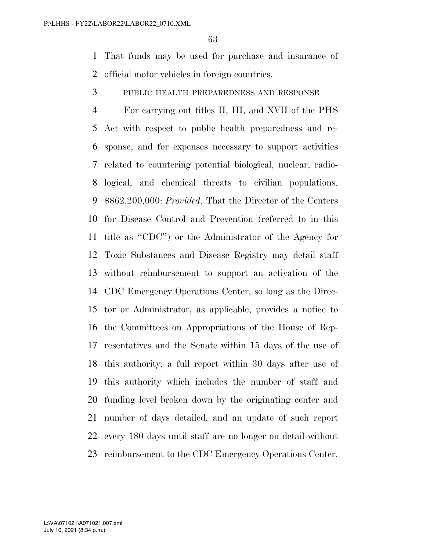That funds may be used for purchase and insurance of official motor vehicles in foreign countries.

PUBLIC HEALTH PREPAREDNESS AND RESPONSE

 For carrying out titles II, III, and XVII of the PHS Act with respect to public health preparedness and re- sponse, and for expenses necessary to support activities related to countering potential biological, nuclear, radio- logical, and chemical threats to civilian populations, \$862,200,000: *Provided*, That the Director of the Centers for Disease Control and Prevention (referred to in this title as ''CDC'') or the Administrator of the Agency for Toxic Substances and Disease Registry may detail staff without reimbursement to support an activation of the CDC Emergency Operations Center, so long as the Direc- tor or Administrator, as applicable, provides a notice to the Committees on Appropriations of the House of Rep- resentatives and the Senate within 15 days of the use of this authority, a full report within 30 days after use of this authority which includes the number of staff and funding level broken down by the originating center and number of days detailed, and an update of such report every 180 days until staff are no longer on detail without reimbursement to the CDC Emergency Operations Center.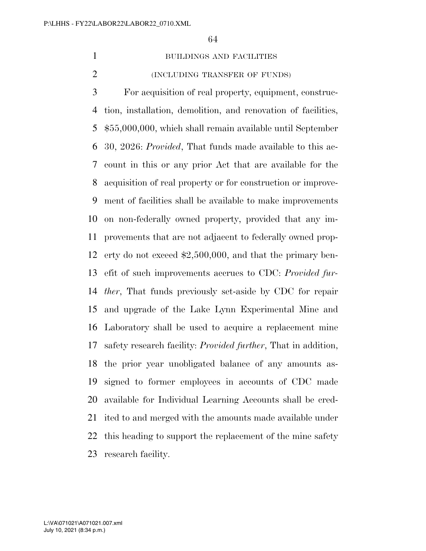#### BUILDINGS AND FACILITIES

(INCLUDING TRANSFER OF FUNDS)

 For acquisition of real property, equipment, construc- tion, installation, demolition, and renovation of facilities, \$55,000,000, which shall remain available until September 30, 2026: *Provided*, That funds made available to this ac- count in this or any prior Act that are available for the acquisition of real property or for construction or improve- ment of facilities shall be available to make improvements on non-federally owned property, provided that any im- provements that are not adjacent to federally owned prop- erty do not exceed \$2,500,000, and that the primary ben- efit of such improvements accrues to CDC: *Provided fur- ther*, That funds previously set-aside by CDC for repair and upgrade of the Lake Lynn Experimental Mine and Laboratory shall be used to acquire a replacement mine safety research facility: *Provided further*, That in addition, the prior year unobligated balance of any amounts as- signed to former employees in accounts of CDC made available for Individual Learning Accounts shall be cred- ited to and merged with the amounts made available under this heading to support the replacement of the mine safety research facility.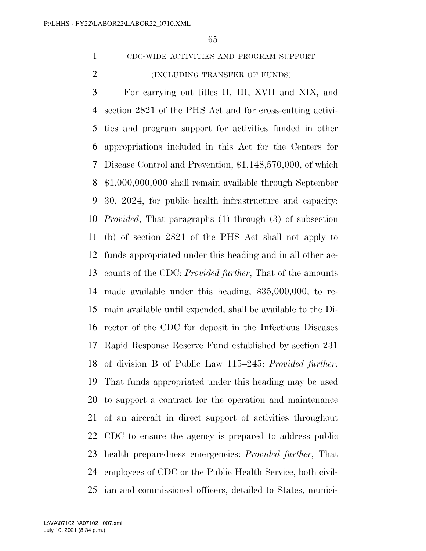CDC-WIDE ACTIVITIES AND PROGRAM SUPPORT

(INCLUDING TRANSFER OF FUNDS)

 For carrying out titles II, III, XVII and XIX, and section 2821 of the PHS Act and for cross-cutting activi- ties and program support for activities funded in other appropriations included in this Act for the Centers for Disease Control and Prevention, \$1,148,570,000, of which \$1,000,000,000 shall remain available through September 30, 2024, for public health infrastructure and capacity: *Provided*, That paragraphs (1) through (3) of subsection (b) of section 2821 of the PHS Act shall not apply to funds appropriated under this heading and in all other ac- counts of the CDC: *Provided further*, That of the amounts made available under this heading, \$35,000,000, to re- main available until expended, shall be available to the Di- rector of the CDC for deposit in the Infectious Diseases Rapid Response Reserve Fund established by section 231 of division B of Public Law 115–245: *Provided further*, That funds appropriated under this heading may be used to support a contract for the operation and maintenance of an aircraft in direct support of activities throughout CDC to ensure the agency is prepared to address public health preparedness emergencies: *Provided further*, That employees of CDC or the Public Health Service, both civil-ian and commissioned officers, detailed to States, munici-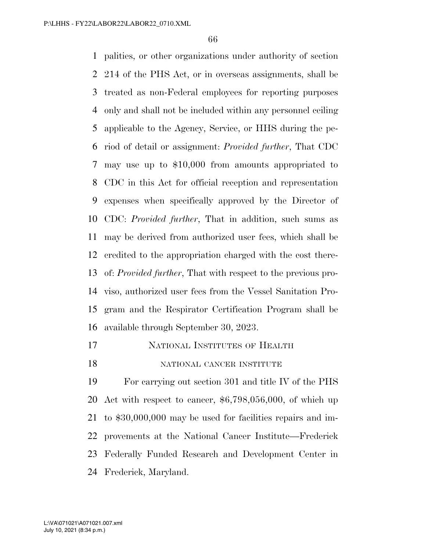palities, or other organizations under authority of section 214 of the PHS Act, or in overseas assignments, shall be treated as non-Federal employees for reporting purposes only and shall not be included within any personnel ceiling applicable to the Agency, Service, or HHS during the pe- riod of detail or assignment: *Provided further*, That CDC may use up to \$10,000 from amounts appropriated to CDC in this Act for official reception and representation expenses when specifically approved by the Director of CDC: *Provided further*, That in addition, such sums as may be derived from authorized user fees, which shall be credited to the appropriation charged with the cost there- of: *Provided further*, That with respect to the previous pro- viso, authorized user fees from the Vessel Sanitation Pro- gram and the Respirator Certification Program shall be available through September 30, 2023.

- NATIONAL INSTITUTES OF HEALTH
- 18 NATIONAL CANCER INSTITUTE

 For carrying out section 301 and title IV of the PHS Act with respect to cancer, \$6,798,056,000, of which up to \$30,000,000 may be used for facilities repairs and im- provements at the National Cancer Institute—Frederick Federally Funded Research and Development Center in Frederick, Maryland.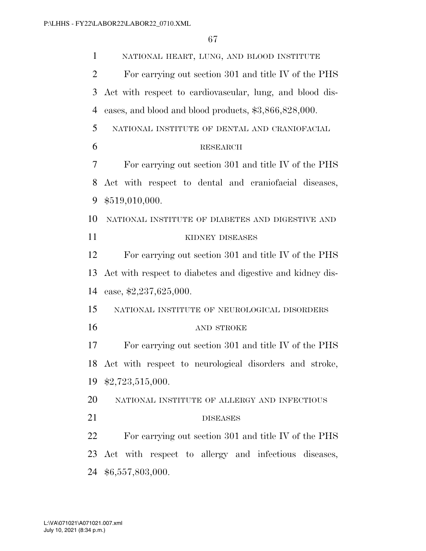NATIONAL HEART, LUNG, AND BLOOD INSTITUTE For carrying out section 301 and title IV of the PHS Act with respect to cardiovascular, lung, and blood dis- eases, and blood and blood products, \$3,866,828,000. NATIONAL INSTITUTE OF DENTAL AND CRANIOFACIAL RESEARCH For carrying out section 301 and title IV of the PHS Act with respect to dental and craniofacial diseases, \$519,010,000. NATIONAL INSTITUTE OF DIABETES AND DIGESTIVE AND 11 KIDNEY DISEASES For carrying out section 301 and title IV of the PHS Act with respect to diabetes and digestive and kidney dis- ease, \$2,237,625,000. NATIONAL INSTITUTE OF NEUROLOGICAL DISORDERS 16 AND STROKE For carrying out section 301 and title IV of the PHS Act with respect to neurological disorders and stroke, \$2,723,515,000. NATIONAL INSTITUTE OF ALLERGY AND INFECTIOUS 21 DISEASES For carrying out section 301 and title IV of the PHS Act with respect to allergy and infectious diseases, \$6,557,803,000.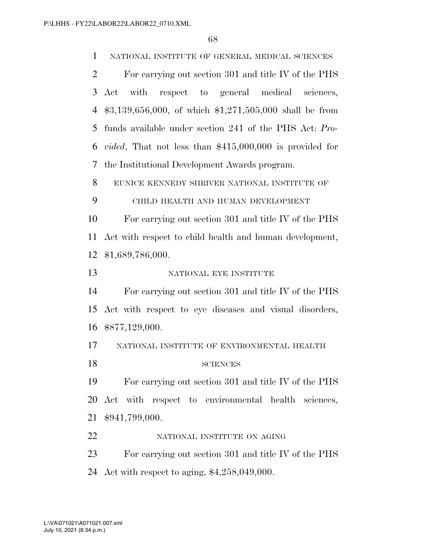NATIONAL INSTITUTE OF GENERAL MEDICAL SCIENCES

 For carrying out section 301 and title IV of the PHS Act with respect to general medical sciences, \$3,139,656,000, of which \$1,271,505,000 shall be from funds available under section 241 of the PHS Act: *Pro- vided*, That not less than \$415,000,000 is provided for the Institutional Development Awards program.

EUNICE KENNEDY SHRIVER NATIONAL INSTITUTE OF

CHILD HEALTH AND HUMAN DEVELOPMENT

 For carrying out section 301 and title IV of the PHS Act with respect to child health and human development, \$1,689,786,000.

13 NATIONAL EYE INSTITUTE

 For carrying out section 301 and title IV of the PHS Act with respect to eye diseases and visual disorders, \$877,129,000.

NATIONAL INSTITUTE OF ENVIRONMENTAL HEALTH

18 SCIENCES

 For carrying out section 301 and title IV of the PHS Act with respect to environmental health sciences, \$941,799,000.

22 NATIONAL INSTITUTE ON AGING

 For carrying out section 301 and title IV of the PHS Act with respect to aging, \$4,258,049,000.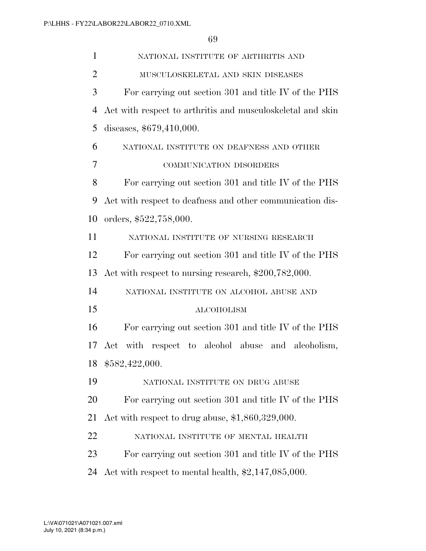| $\mathbf{1}$ | NATIONAL INSTITUTE OF ARTHRITIS AND                        |
|--------------|------------------------------------------------------------|
| 2            | MUSCULOSKELETAL AND SKIN DISEASES                          |
| 3            | For carrying out section 301 and title IV of the PHS       |
| 4            | Act with respect to arthritis and musculoskeletal and skin |
| 5            | diseases, \$679,410,000.                                   |
| 6            | NATIONAL INSTITUTE ON DEAFNESS AND OTHER                   |
| 7            | COMMUNICATION DISORDERS                                    |
| 8            | For carrying out section 301 and title IV of the PHS       |
| 9            | Act with respect to deafness and other communication dis-  |
| 10           | orders, \$522,758,000.                                     |
| 11           | NATIONAL INSTITUTE OF NURSING RESEARCH                     |
| 12           | For carrying out section 301 and title IV of the PHS       |
| 13           | Act with respect to nursing research, \$200,782,000.       |
| 14           | NATIONAL INSTITUTE ON ALCOHOL ABUSE AND                    |
| 15           | <b>ALCOHOLISM</b>                                          |
| 16           | For carrying out section 301 and title IV of the PHS       |
| 17           | Act with respect to alcohol abuse<br>and alcoholism,       |
| 18           | \$582,422,000.                                             |
| 19           | NATIONAL INSTITUTE ON DRUG ABUSE                           |
| 20           | For carrying out section 301 and title IV of the PHS       |
| 21           | Act with respect to drug abuse, $$1,860,329,000$ .         |
| 22           | NATIONAL INSTITUTE OF MENTAL HEALTH                        |
|              |                                                            |
| 23           | For carrying out section 301 and title IV of the PHS       |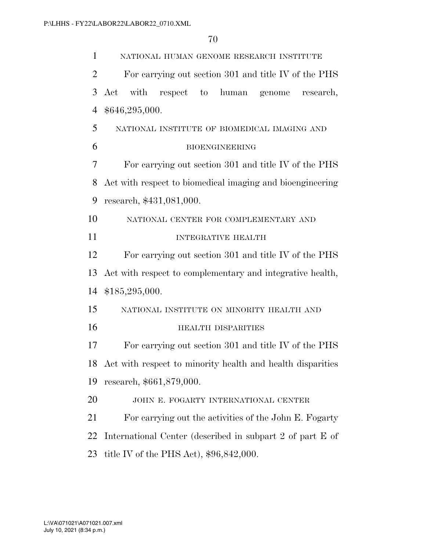| $\mathbf{1}$   | NATIONAL HUMAN GENOME RESEARCH INSTITUTE                   |
|----------------|------------------------------------------------------------|
| $\overline{2}$ | For carrying out section 301 and title IV of the PHS       |
| 3              | Act<br>with<br>human genome<br>respect to<br>research,     |
| $\overline{4}$ | \$646,295,000.                                             |
| 5              | NATIONAL INSTITUTE OF BIOMEDICAL IMAGING AND               |
| 6              | <b>BIOENGINEERING</b>                                      |
| 7              | For carrying out section 301 and title IV of the PHS       |
| 8              | Act with respect to biomedical imaging and bioengineering  |
| 9              | research, \$431,081,000.                                   |
| 10             | NATIONAL CENTER FOR COMPLEMENTARY AND                      |
| 11             | <b>INTEGRATIVE HEALTH</b>                                  |
| 12             | For carrying out section 301 and title IV of the PHS       |
| 13             | Act with respect to complementary and integrative health,  |
| 14             | \$185,295,000.                                             |
| 15             | NATIONAL INSTITUTE ON MINORITY HEALTH AND                  |
| 16             | <b>HEALTH DISPARITIES</b>                                  |
| 17             | For carrying out section 301 and title IV of the PHS       |
| 18             | Act with respect to minority health and health disparities |
| 19             | research, \$661,879,000.                                   |
| 20             | JOHN E. FOGARTY INTERNATIONAL CENTER                       |
| 21             | For carrying out the activities of the John E. Fogarty     |
| 22             | International Center (described in subpart 2 of part E of  |
| 23             | title IV of the PHS Act), $$96,842,000$ .                  |
|                |                                                            |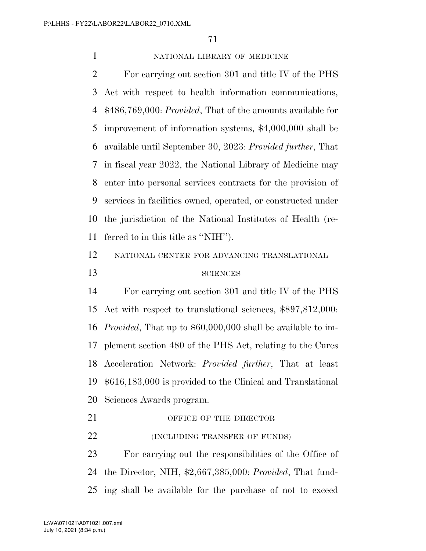### NATIONAL LIBRARY OF MEDICINE

 For carrying out section 301 and title IV of the PHS Act with respect to health information communications, \$486,769,000: *Provided*, That of the amounts available for improvement of information systems, \$4,000,000 shall be available until September 30, 2023: *Provided further*, That in fiscal year 2022, the National Library of Medicine may enter into personal services contracts for the provision of services in facilities owned, operated, or constructed under the jurisdiction of the National Institutes of Health (re-ferred to in this title as ''NIH'').

# NATIONAL CENTER FOR ADVANCING TRANSLATIONAL SCIENCES

 For carrying out section 301 and title IV of the PHS Act with respect to translational sciences, \$897,812,000: *Provided*, That up to \$60,000,000 shall be available to im- plement section 480 of the PHS Act, relating to the Cures Acceleration Network: *Provided further*, That at least \$616,183,000 is provided to the Clinical and Translational Sciences Awards program.

- 21 OFFICE OF THE DIRECTOR
- **(INCLUDING TRANSFER OF FUNDS)**

 For carrying out the responsibilities of the Office of the Director, NIH, \$2,667,385,000: *Provided*, That fund-ing shall be available for the purchase of not to exceed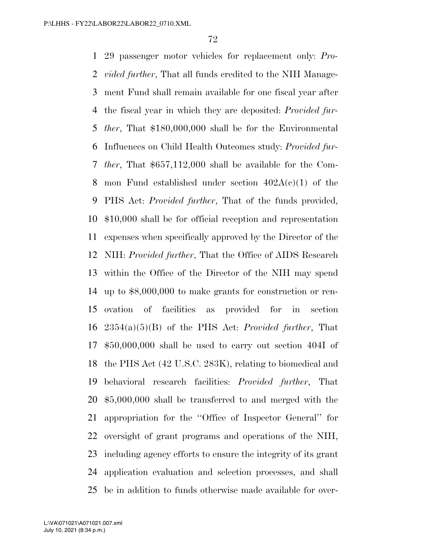29 passenger motor vehicles for replacement only: *Pro- vided further*, That all funds credited to the NIH Manage- ment Fund shall remain available for one fiscal year after the fiscal year in which they are deposited: *Provided fur- ther*, That \$180,000,000 shall be for the Environmental Influences on Child Health Outcomes study: *Provided fur- ther*, That \$657,112,000 shall be available for the Com-8 mon Fund established under section  $402A(c)(1)$  of the PHS Act: *Provided further*, That of the funds provided, \$10,000 shall be for official reception and representation expenses when specifically approved by the Director of the NIH: *Provided further*, That the Office of AIDS Research within the Office of the Director of the NIH may spend up to \$8,000,000 to make grants for construction or ren- ovation of facilities as provided for in section 2354(a)(5)(B) of the PHS Act: *Provided further*, That \$50,000,000 shall be used to carry out section 404I of the PHS Act (42 U.S.C. 283K), relating to biomedical and behavioral research facilities: *Provided further*, That \$5,000,000 shall be transferred to and merged with the appropriation for the ''Office of Inspector General'' for oversight of grant programs and operations of the NIH, including agency efforts to ensure the integrity of its grant application evaluation and selection processes, and shall be in addition to funds otherwise made available for over-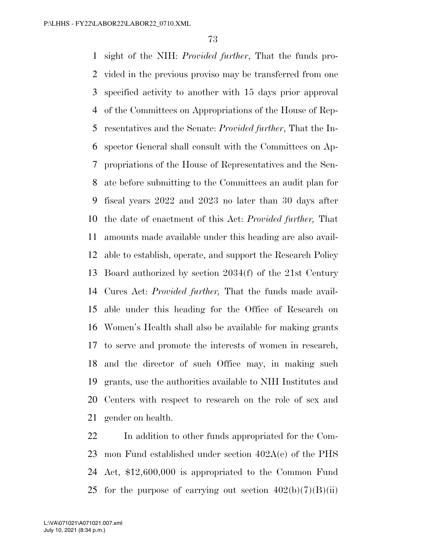sight of the NIH: *Provided further*, That the funds pro- vided in the previous proviso may be transferred from one specified activity to another with 15 days prior approval of the Committees on Appropriations of the House of Rep- resentatives and the Senate: *Provided further*, That the In- spector General shall consult with the Committees on Ap- propriations of the House of Representatives and the Sen- ate before submitting to the Committees an audit plan for fiscal years 2022 and 2023 no later than 30 days after the date of enactment of this Act: *Provided further,* That amounts made available under this heading are also avail- able to establish, operate, and support the Research Policy Board authorized by section 2034(f) of the 21st Century Cures Act: *Provided further,* That the funds made avail- able under this heading for the Office of Research on Women's Health shall also be available for making grants to serve and promote the interests of women in research, and the director of such Office may, in making such grants, use the authorities available to NIH Institutes and Centers with respect to research on the role of sex and gender on health.

 In addition to other funds appropriated for the Com- mon Fund established under section 402A(c) of the PHS Act, \$12,600,000 is appropriated to the Common Fund 25 for the purpose of carrying out section  $402(b)(7)(B)(ii)$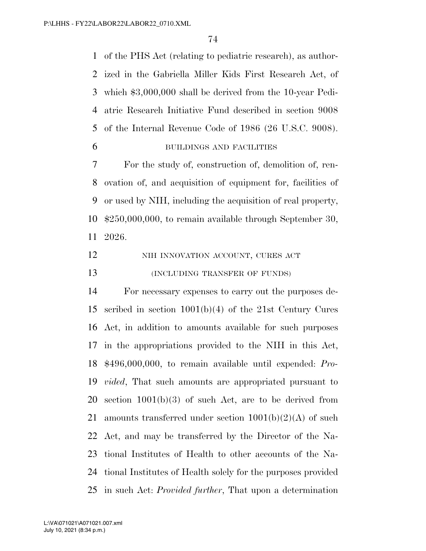of the PHS Act (relating to pediatric research), as author- ized in the Gabriella Miller Kids First Research Act, of which \$3,000,000 shall be derived from the 10-year Pedi- atric Research Initiative Fund described in section 9008 of the Internal Revenue Code of 1986 (26 U.S.C. 9008).

## BUILDINGS AND FACILITIES

 For the study of, construction of, demolition of, ren- ovation of, and acquisition of equipment for, facilities of or used by NIH, including the acquisition of real property, \$250,000,000, to remain available through September 30, 2026.

| 12 | NIH INNOVATION ACCOUNT, CURES ACT |
|----|-----------------------------------|
| 13 | (INCLUDING TRANSFER OF FUNDS)     |

 For necessary expenses to carry out the purposes de- scribed in section 1001(b)(4) of the 21st Century Cures Act, in addition to amounts available for such purposes in the appropriations provided to the NIH in this Act, \$496,000,000, to remain available until expended: *Pro- vided*, That such amounts are appropriated pursuant to section 1001(b)(3) of such Act, are to be derived from 21 amounts transferred under section  $1001(b)(2)(A)$  of such Act, and may be transferred by the Director of the Na- tional Institutes of Health to other accounts of the Na- tional Institutes of Health solely for the purposes provided in such Act: *Provided further*, That upon a determination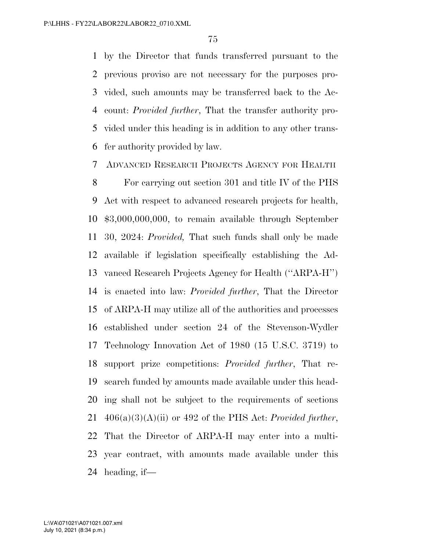by the Director that funds transferred pursuant to the previous proviso are not necessary for the purposes pro- vided, such amounts may be transferred back to the Ac- count: *Provided further*, That the transfer authority pro- vided under this heading is in addition to any other trans-fer authority provided by law.

ADVANCED RESEARCH PROJECTS AGENCY FOR HEALTH

 For carrying out section 301 and title IV of the PHS Act with respect to advanced research projects for health, \$3,000,000,000, to remain available through September 30, 2024: *Provided,* That such funds shall only be made available if legislation specifically establishing the Ad- vanced Research Projects Agency for Health (''ARPA-H'') is enacted into law: *Provided further*, That the Director of ARPA-H may utilize all of the authorities and processes established under section 24 of the Stevenson-Wydler Technology Innovation Act of 1980 (15 U.S.C. 3719) to support prize competitions: *Provided further*, That re- search funded by amounts made available under this head- ing shall not be subject to the requirements of sections 406(a)(3)(A)(ii) or 492 of the PHS Act: *Provided further*, That the Director of ARPA-H may enter into a multi- year contract, with amounts made available under this heading, if—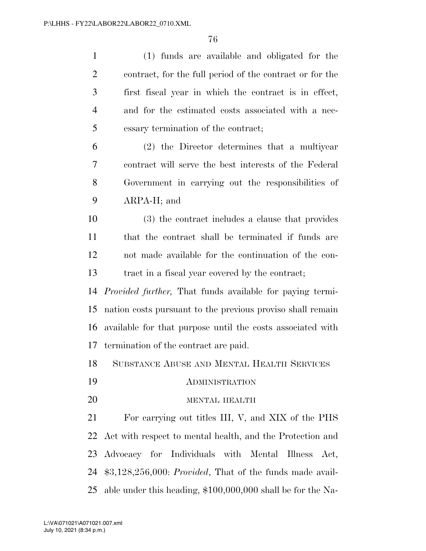| $\mathbf{1}$   | (1) funds are available and obligated for the                    |
|----------------|------------------------------------------------------------------|
| $\overline{2}$ | contract, for the full period of the contract or for the         |
| 3              | first fiscal year in which the contract is in effect,            |
| $\overline{4}$ | and for the estimated costs associated with a nec-               |
| 5              | essary termination of the contract;                              |
| 6              | (2) the Director determines that a multiyear                     |
| 7              | contract will serve the best interests of the Federal            |
| 8              | Government in carrying out the responsibilities of               |
| 9              | $ARPA-H$ ; and                                                   |
| 10             | (3) the contract includes a clause that provides                 |
| 11             | that the contract shall be terminated if funds are               |
| 12             | not made available for the continuation of the con-              |
| 13             | tract in a fiscal year covered by the contract;                  |
| 14             | <i>Provided further</i> , That funds available for paying termi- |
| 15             | nation costs pursuant to the previous proviso shall remain       |
| 16             | available for that purpose until the costs associated with       |
| 17             | termination of the contract are paid.                            |
|                | 18 SUBSTANCE ABUSE AND MENTAL HEALTH SERVICES                    |
| 19             | <b>ADMINISTRATION</b>                                            |
| 20             | MENTAL HEALTH                                                    |
| 21             | For carrying out titles III, V, and XIX of the PHS               |
| 22             | Act with respect to mental health, and the Protection and        |
| 23             | Advocacy for Individuals with Mental Illness<br>Act,             |
| 24             | $$3,128,256,000: Provided, That of the funds made available.$    |
| 25             | able under this heading, $$100,000,000$ shall be for the Na-     |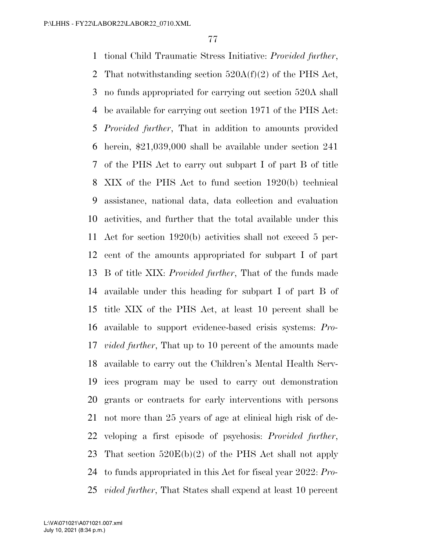tional Child Traumatic Stress Initiative: *Provided further*, 2 That notwithstanding section  $520A(f)(2)$  of the PHS Act, no funds appropriated for carrying out section 520A shall be available for carrying out section 1971 of the PHS Act: *Provided further*, That in addition to amounts provided herein, \$21,039,000 shall be available under section 241 of the PHS Act to carry out subpart I of part B of title XIX of the PHS Act to fund section 1920(b) technical assistance, national data, data collection and evaluation activities, and further that the total available under this Act for section 1920(b) activities shall not exceed 5 per- cent of the amounts appropriated for subpart I of part B of title XIX: *Provided further*, That of the funds made available under this heading for subpart I of part B of title XIX of the PHS Act, at least 10 percent shall be available to support evidence-based crisis systems: *Pro- vided further*, That up to 10 percent of the amounts made available to carry out the Children's Mental Health Serv- ices program may be used to carry out demonstration grants or contracts for early interventions with persons not more than 25 years of age at clinical high risk of de- veloping a first episode of psychosis: *Provided further*, That section 520E(b)(2) of the PHS Act shall not apply to funds appropriated in this Act for fiscal year 2022: *Pro-vided further*, That States shall expend at least 10 percent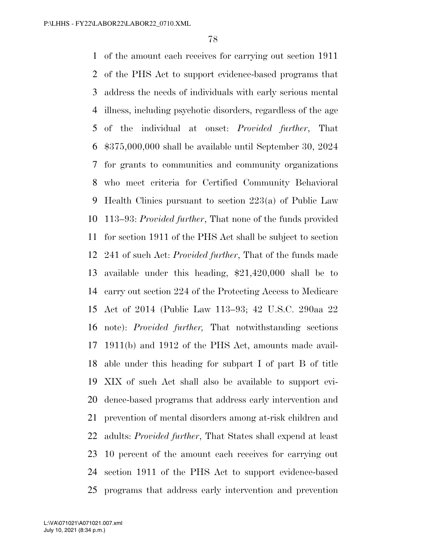of the amount each receives for carrying out section 1911 of the PHS Act to support evidence-based programs that address the needs of individuals with early serious mental illness, including psychotic disorders, regardless of the age of the individual at onset: *Provided further*, That \$375,000,000 shall be available until September 30, 2024 for grants to communities and community organizations who meet criteria for Certified Community Behavioral Health Clinics pursuant to section 223(a) of Public Law 113–93: *Provided further*, That none of the funds provided for section 1911 of the PHS Act shall be subject to section 241 of such Act: *Provided further*, That of the funds made available under this heading, \$21,420,000 shall be to carry out section 224 of the Protecting Access to Medicare Act of 2014 (Public Law 113–93; 42 U.S.C. 290aa 22 note): *Provided further,* That notwithstanding sections 1911(b) and 1912 of the PHS Act, amounts made avail- able under this heading for subpart I of part B of title XIX of such Act shall also be available to support evi- dence-based programs that address early intervention and prevention of mental disorders among at-risk children and adults: *Provided further*, That States shall expend at least 10 percent of the amount each receives for carrying out section 1911 of the PHS Act to support evidence-based programs that address early intervention and prevention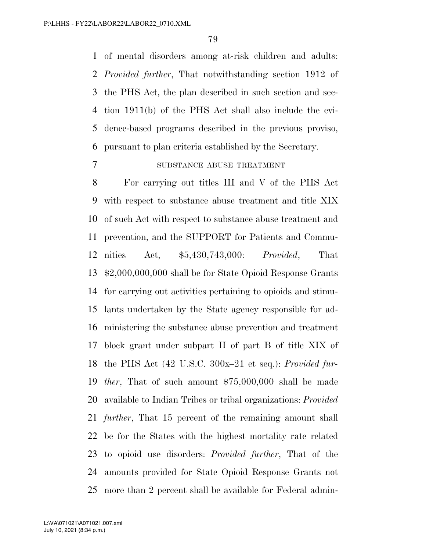of mental disorders among at-risk children and adults: *Provided further*, That notwithstanding section 1912 of the PHS Act, the plan described in such section and sec- tion 1911(b) of the PHS Act shall also include the evi- dence-based programs described in the previous proviso, pursuant to plan criteria established by the Secretary.

#### SUBSTANCE ABUSE TREATMENT

 For carrying out titles III and V of the PHS Act with respect to substance abuse treatment and title XIX of such Act with respect to substance abuse treatment and prevention, and the SUPPORT for Patients and Commu- nities Act, \$5,430,743,000: *Provided*, That \$2,000,000,000 shall be for State Opioid Response Grants for carrying out activities pertaining to opioids and stimu- lants undertaken by the State agency responsible for ad- ministering the substance abuse prevention and treatment block grant under subpart II of part B of title XIX of the PHS Act (42 U.S.C. 300x–21 et seq.): *Provided fur- ther*, That of such amount \$75,000,000 shall be made available to Indian Tribes or tribal organizations: *Provided further*, That 15 percent of the remaining amount shall be for the States with the highest mortality rate related to opioid use disorders: *Provided further*, That of the amounts provided for State Opioid Response Grants not more than 2 percent shall be available for Federal admin-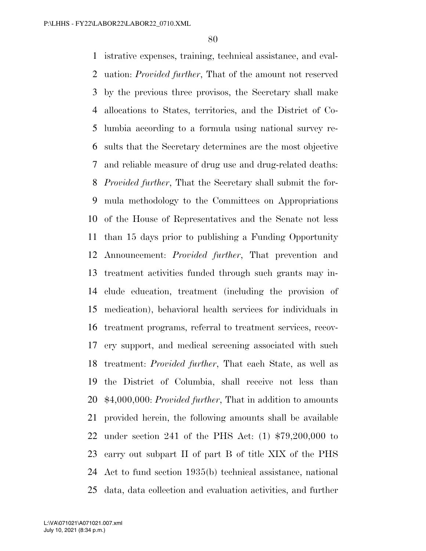istrative expenses, training, technical assistance, and eval- uation: *Provided further*, That of the amount not reserved by the previous three provisos, the Secretary shall make allocations to States, territories, and the District of Co- lumbia according to a formula using national survey re- sults that the Secretary determines are the most objective and reliable measure of drug use and drug-related deaths: *Provided further*, That the Secretary shall submit the for- mula methodology to the Committees on Appropriations of the House of Representatives and the Senate not less than 15 days prior to publishing a Funding Opportunity Announcement: *Provided further*, That prevention and treatment activities funded through such grants may in- clude education, treatment (including the provision of medication), behavioral health services for individuals in treatment programs, referral to treatment services, recov- ery support, and medical screening associated with such treatment: *Provided further*, That each State, as well as the District of Columbia, shall receive not less than \$4,000,000: *Provided further*, That in addition to amounts provided herein, the following amounts shall be available under section 241 of the PHS Act: (1) \$79,200,000 to carry out subpart II of part B of title XIX of the PHS Act to fund section 1935(b) technical assistance, national data, data collection and evaluation activities, and further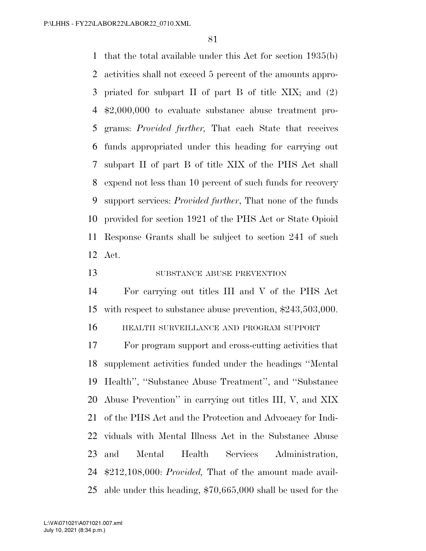that the total available under this Act for section 1935(b) activities shall not exceed 5 percent of the amounts appro- priated for subpart II of part B of title XIX; and (2) \$2,000,000 to evaluate substance abuse treatment pro- grams: *Provided further,* That each State that receives funds appropriated under this heading for carrying out subpart II of part B of title XIX of the PHS Act shall expend not less than 10 percent of such funds for recovery support services: *Provided further*, That none of the funds provided for section 1921 of the PHS Act or State Opioid Response Grants shall be subject to section 241 of such Act.

13 SUBSTANCE ABUSE PREVENTION

 For carrying out titles III and V of the PHS Act with respect to substance abuse prevention, \$243,503,000.

HEALTH SURVEILLANCE AND PROGRAM SUPPORT

 For program support and cross-cutting activities that supplement activities funded under the headings ''Mental Health'', ''Substance Abuse Treatment'', and ''Substance Abuse Prevention'' in carrying out titles III, V, and XIX of the PHS Act and the Protection and Advocacy for Indi- viduals with Mental Illness Act in the Substance Abuse and Mental Health Services Administration, \$212,108,000: *Provided,* That of the amount made avail-able under this heading, \$70,665,000 shall be used for the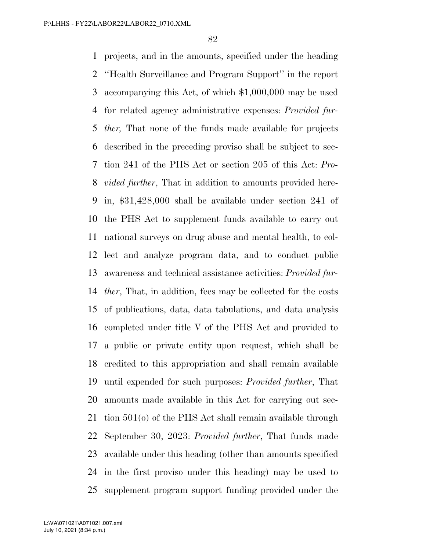projects, and in the amounts, specified under the heading ''Health Surveillance and Program Support'' in the report accompanying this Act, of which \$1,000,000 may be used for related agency administrative expenses: *Provided fur- ther,* That none of the funds made available for projects described in the preceding proviso shall be subject to sec- tion 241 of the PHS Act or section 205 of this Act: *Pro- vided further*, That in addition to amounts provided here- in, \$31,428,000 shall be available under section 241 of the PHS Act to supplement funds available to carry out national surveys on drug abuse and mental health, to col- lect and analyze program data, and to conduct public awareness and technical assistance activities: *Provided fur- ther*, That, in addition, fees may be collected for the costs of publications, data, data tabulations, and data analysis completed under title V of the PHS Act and provided to a public or private entity upon request, which shall be credited to this appropriation and shall remain available until expended for such purposes: *Provided further*, That amounts made available in this Act for carrying out sec- tion 501(o) of the PHS Act shall remain available through September 30, 2023: *Provided further*, That funds made available under this heading (other than amounts specified in the first proviso under this heading) may be used to supplement program support funding provided under the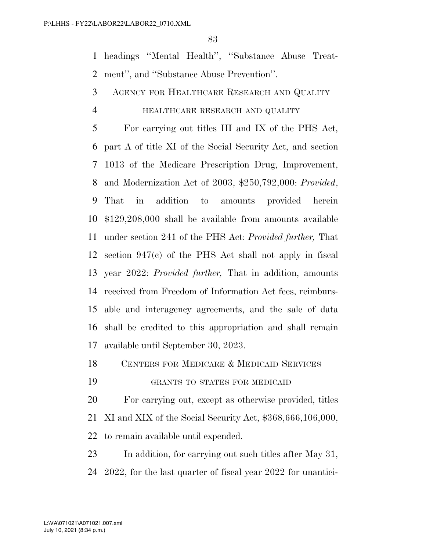headings ''Mental Health'', ''Substance Abuse Treat-ment'', and ''Substance Abuse Prevention''.

AGENCY FOR HEALTHCARE RESEARCH AND QUALITY

#### HEALTHCARE RESEARCH AND QUALITY

 For carrying out titles III and IX of the PHS Act, part A of title XI of the Social Security Act, and section 1013 of the Medicare Prescription Drug, Improvement, and Modernization Act of 2003, \$250,792,000: *Provided*, That in addition to amounts provided herein \$129,208,000 shall be available from amounts available under section 241 of the PHS Act: *Provided further,* That section 947(c) of the PHS Act shall not apply in fiscal year 2022: *Provided further,* That in addition, amounts received from Freedom of Information Act fees, reimburs- able and interagency agreements, and the sale of data shall be credited to this appropriation and shall remain available until September 30, 2023.

18 CENTERS FOR MEDICARE & MEDICAID SERVICES

GRANTS TO STATES FOR MEDICAID

 For carrying out, except as otherwise provided, titles XI and XIX of the Social Security Act, \$368,666,106,000, to remain available until expended.

 In addition, for carrying out such titles after May 31, 2022, for the last quarter of fiscal year 2022 for unantici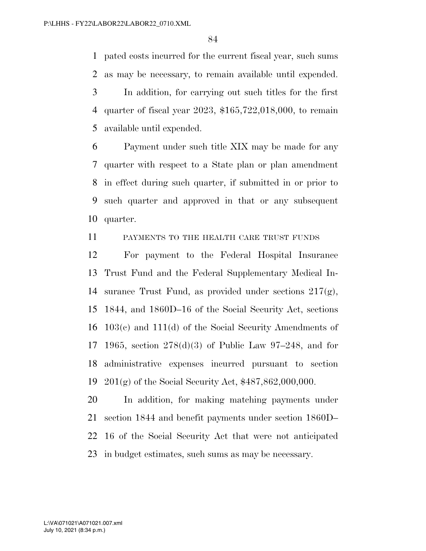pated costs incurred for the current fiscal year, such sums as may be necessary, to remain available until expended. In addition, for carrying out such titles for the first quarter of fiscal year 2023, \$165,722,018,000, to remain available until expended.

 Payment under such title XIX may be made for any quarter with respect to a State plan or plan amendment in effect during such quarter, if submitted in or prior to such quarter and approved in that or any subsequent quarter.

PAYMENTS TO THE HEALTH CARE TRUST FUNDS

 For payment to the Federal Hospital Insurance Trust Fund and the Federal Supplementary Medical In-14 surance Trust Fund, as provided under sections  $217(g)$ , 1844, and 1860D–16 of the Social Security Act, sections 103(c) and 111(d) of the Social Security Amendments of 1965, section 278(d)(3) of Public Law 97–248, and for administrative expenses incurred pursuant to section 201(g) of the Social Security Act, \$487,862,000,000.

 In addition, for making matching payments under section 1844 and benefit payments under section 1860D– 16 of the Social Security Act that were not anticipated in budget estimates, such sums as may be necessary.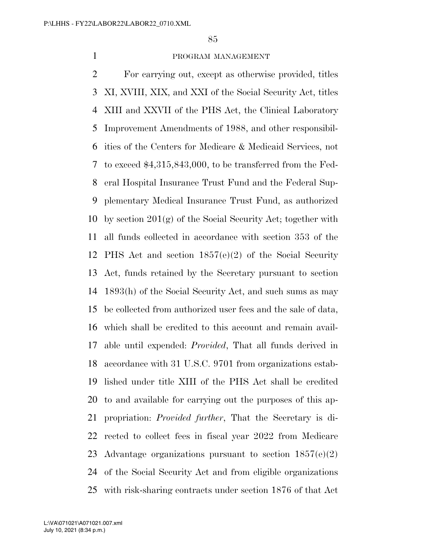#### PROGRAM MANAGEMENT

 For carrying out, except as otherwise provided, titles XI, XVIII, XIX, and XXI of the Social Security Act, titles XIII and XXVII of the PHS Act, the Clinical Laboratory Improvement Amendments of 1988, and other responsibil- ities of the Centers for Medicare & Medicaid Services, not to exceed \$4,315,843,000, to be transferred from the Fed- eral Hospital Insurance Trust Fund and the Federal Sup- plementary Medical Insurance Trust Fund, as authorized by section 201(g) of the Social Security Act; together with all funds collected in accordance with section 353 of the PHS Act and section 1857(e)(2) of the Social Security Act, funds retained by the Secretary pursuant to section 1893(h) of the Social Security Act, and such sums as may be collected from authorized user fees and the sale of data, which shall be credited to this account and remain avail- able until expended: *Provided*, That all funds derived in accordance with 31 U.S.C. 9701 from organizations estab- lished under title XIII of the PHS Act shall be credited to and available for carrying out the purposes of this ap- propriation: *Provided further*, That the Secretary is di- rected to collect fees in fiscal year 2022 from Medicare Advantage organizations pursuant to section 1857(e)(2) of the Social Security Act and from eligible organizations with risk-sharing contracts under section 1876 of that Act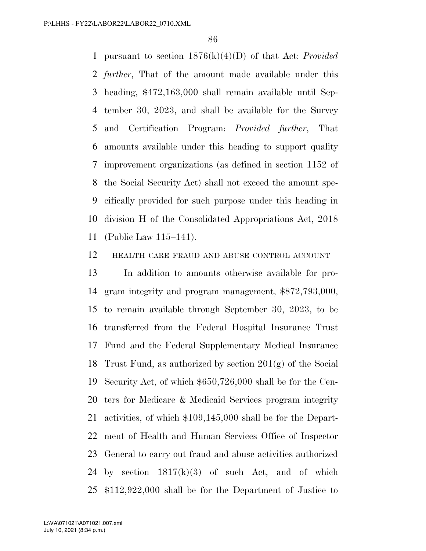pursuant to section 1876(k)(4)(D) of that Act: *Provided further*, That of the amount made available under this heading, \$472,163,000 shall remain available until Sep- tember 30, 2023, and shall be available for the Survey and Certification Program: *Provided further*, That amounts available under this heading to support quality improvement organizations (as defined in section 1152 of the Social Security Act) shall not exceed the amount spe- cifically provided for such purpose under this heading in division H of the Consolidated Appropriations Act, 2018 (Public Law 115–141).

HEALTH CARE FRAUD AND ABUSE CONTROL ACCOUNT

 In addition to amounts otherwise available for pro- gram integrity and program management, \$872,793,000, to remain available through September 30, 2023, to be transferred from the Federal Hospital Insurance Trust Fund and the Federal Supplementary Medical Insurance Trust Fund, as authorized by section 201(g) of the Social Security Act, of which \$650,726,000 shall be for the Cen- ters for Medicare & Medicaid Services program integrity activities, of which \$109,145,000 shall be for the Depart- ment of Health and Human Services Office of Inspector General to carry out fraud and abuse activities authorized 24 by section  $1817(k)(3)$  of such Act, and of which \$112,922,000 shall be for the Department of Justice to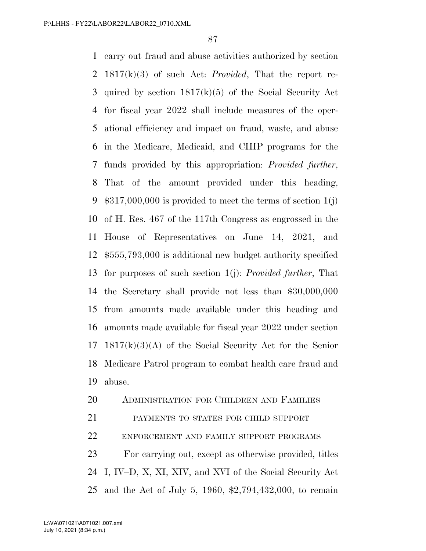carry out fraud and abuse activities authorized by section 1817(k)(3) of such Act: *Provided*, That the report re- quired by section 1817(k)(5) of the Social Security Act for fiscal year 2022 shall include measures of the oper- ational efficiency and impact on fraud, waste, and abuse in the Medicare, Medicaid, and CHIP programs for the funds provided by this appropriation: *Provided further*, That of the amount provided under this heading,  $$317,000,000$  is provided to meet the terms of section  $1(j)$  of H. Res. 467 of the 117th Congress as engrossed in the House of Representatives on June 14, 2021, and \$555,793,000 is additional new budget authority specified for purposes of such section 1(j): *Provided further*, That the Secretary shall provide not less than \$30,000,000 from amounts made available under this heading and amounts made available for fiscal year 2022 under section 1817(k)(3)(A) of the Social Security Act for the Senior Medicare Patrol program to combat health care fraud and abuse.

# ADMINISTRATION FOR CHILDREN AND FAMILIES

PAYMENTS TO STATES FOR CHILD SUPPORT

ENFORCEMENT AND FAMILY SUPPORT PROGRAMS

 For carrying out, except as otherwise provided, titles I, IV–D, X, XI, XIV, and XVI of the Social Security Act and the Act of July 5, 1960, \$2,794,432,000, to remain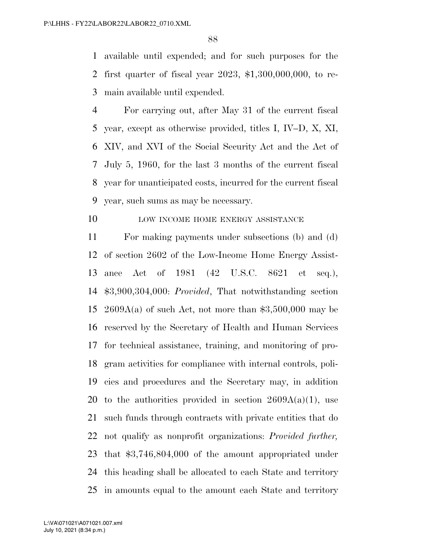available until expended; and for such purposes for the first quarter of fiscal year 2023, \$1,300,000,000, to re-main available until expended.

 For carrying out, after May 31 of the current fiscal year, except as otherwise provided, titles I, IV–D, X, XI, XIV, and XVI of the Social Security Act and the Act of July 5, 1960, for the last 3 months of the current fiscal year for unanticipated costs, incurred for the current fiscal year, such sums as may be necessary.

### 10 LOW INCOME HOME ENERGY ASSISTANCE

 For making payments under subsections (b) and (d) of section 2602 of the Low-Income Home Energy Assist- ance Act of 1981 (42 U.S.C. 8621 et seq.), \$3,900,304,000: *Provided*, That notwithstanding section 15 2609A(a) of such Act, not more than  $$3,500,000$  may be reserved by the Secretary of Health and Human Services for technical assistance, training, and monitoring of pro- gram activities for compliance with internal controls, poli- cies and procedures and the Secretary may, in addition 20 to the authorities provided in section  $2609A(a)(1)$ , use such funds through contracts with private entities that do not qualify as nonprofit organizations: *Provided further,*  that \$3,746,804,000 of the amount appropriated under this heading shall be allocated to each State and territory in amounts equal to the amount each State and territory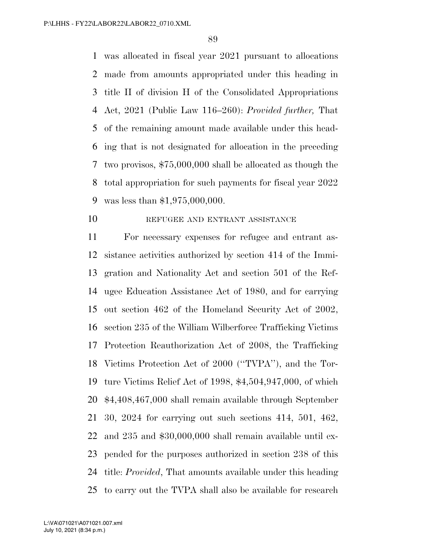was allocated in fiscal year 2021 pursuant to allocations made from amounts appropriated under this heading in title II of division H of the Consolidated Appropriations Act, 2021 (Public Law 116–260): *Provided further,* That of the remaining amount made available under this head- ing that is not designated for allocation in the preceding two provisos, \$75,000,000 shall be allocated as though the total appropriation for such payments for fiscal year 2022 was less than \$1,975,000,000.

10 REFUGEE AND ENTRANT ASSISTANCE

 For necessary expenses for refugee and entrant as- sistance activities authorized by section 414 of the Immi- gration and Nationality Act and section 501 of the Ref- ugee Education Assistance Act of 1980, and for carrying out section 462 of the Homeland Security Act of 2002, section 235 of the William Wilberforce Trafficking Victims Protection Reauthorization Act of 2008, the Trafficking Victims Protection Act of 2000 (''TVPA''), and the Tor- ture Victims Relief Act of 1998, \$4,504,947,000, of which \$4,408,467,000 shall remain available through September 30, 2024 for carrying out such sections 414, 501, 462, and 235 and \$30,000,000 shall remain available until ex- pended for the purposes authorized in section 238 of this title: *Provided*, That amounts available under this heading to carry out the TVPA shall also be available for research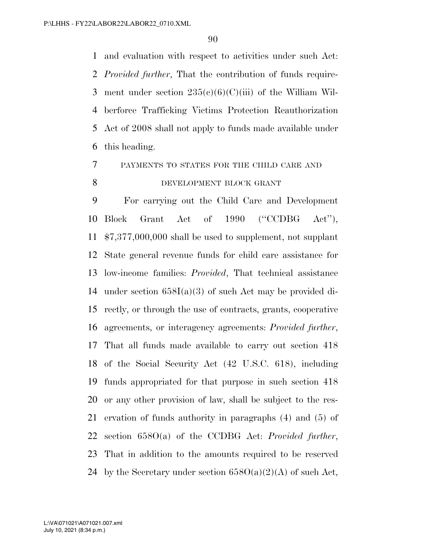and evaluation with respect to activities under such Act: *Provided further*, That the contribution of funds require-3 ment under section  $235(e)(6)(C)(iii)$  of the William Wil- berforce Trafficking Victims Protection Reauthorization Act of 2008 shall not apply to funds made available under this heading.

PAYMENTS TO STATES FOR THE CHILD CARE AND

# 8 DEVELOPMENT BLOCK GRANT

 For carrying out the Child Care and Development Block Grant Act of 1990 (''CCDBG Act''), \$7,377,000,000 shall be used to supplement, not supplant State general revenue funds for child care assistance for low-income families: *Provided*, That technical assistance under section 658I(a)(3) of such Act may be provided di- rectly, or through the use of contracts, grants, cooperative agreements, or interagency agreements: *Provided further*, That all funds made available to carry out section 418 of the Social Security Act (42 U.S.C. 618), including funds appropriated for that purpose in such section 418 or any other provision of law, shall be subject to the res- ervation of funds authority in paragraphs (4) and (5) of section 658O(a) of the CCDBG Act: *Provided further*, That in addition to the amounts required to be reserved 24 by the Secretary under section  $658O(a)(2)(A)$  of such Act,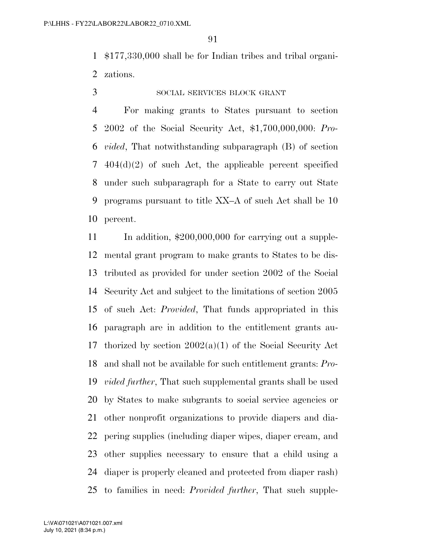\$177,330,000 shall be for Indian tribes and tribal organi-zations.

### SOCIAL SERVICES BLOCK GRANT

 For making grants to States pursuant to section 2002 of the Social Security Act, \$1,700,000,000: *Pro- vided*, That notwithstanding subparagraph (B) of section 404(d)(2) of such Act, the applicable percent specified under such subparagraph for a State to carry out State programs pursuant to title XX–A of such Act shall be 10 percent.

11 In addition, \$200,000,000 for carrying out a supple- mental grant program to make grants to States to be dis- tributed as provided for under section 2002 of the Social Security Act and subject to the limitations of section 2005 of such Act: *Provided*, That funds appropriated in this paragraph are in addition to the entitlement grants au- thorized by section 2002(a)(1) of the Social Security Act and shall not be available for such entitlement grants: *Pro- vided further*, That such supplemental grants shall be used by States to make subgrants to social service agencies or other nonprofit organizations to provide diapers and dia- pering supplies (including diaper wipes, diaper cream, and other supplies necessary to ensure that a child using a diaper is properly cleaned and protected from diaper rash) to families in need: *Provided further*, That such supple-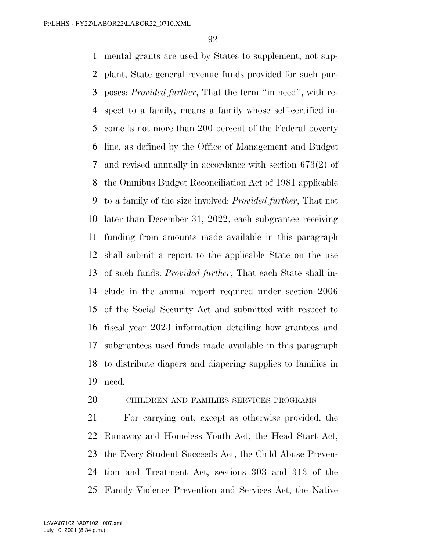mental grants are used by States to supplement, not sup- plant, State general revenue funds provided for such pur- poses: *Provided further*, That the term ''in need'', with re- spect to a family, means a family whose self-certified in- come is not more than 200 percent of the Federal poverty line, as defined by the Office of Management and Budget and revised annually in accordance with section 673(2) of the Omnibus Budget Reconciliation Act of 1981 applicable to a family of the size involved: *Provided further*, That not later than December 31, 2022, each subgrantee receiving funding from amounts made available in this paragraph shall submit a report to the applicable State on the use of such funds: *Provided further*, That each State shall in- clude in the annual report required under section 2006 of the Social Security Act and submitted with respect to fiscal year 2023 information detailing how grantees and subgrantees used funds made available in this paragraph to distribute diapers and diapering supplies to families in need.

# CHILDREN AND FAMILIES SERVICES PROGRAMS

 For carrying out, except as otherwise provided, the Runaway and Homeless Youth Act, the Head Start Act, the Every Student Succeeds Act, the Child Abuse Preven- tion and Treatment Act, sections 303 and 313 of the Family Violence Prevention and Services Act, the Native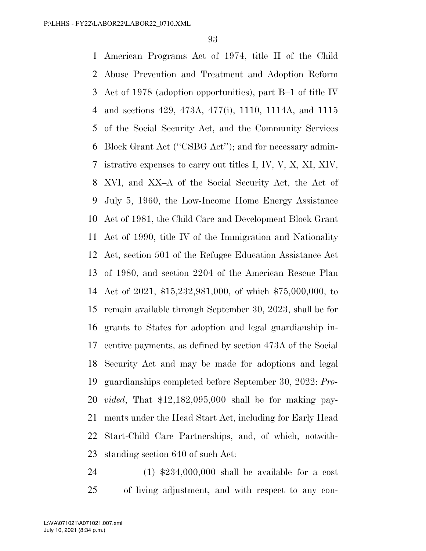American Programs Act of 1974, title II of the Child Abuse Prevention and Treatment and Adoption Reform Act of 1978 (adoption opportunities), part B–1 of title IV and sections 429, 473A, 477(i), 1110, 1114A, and 1115 of the Social Security Act, and the Community Services Block Grant Act (''CSBG Act''); and for necessary admin- istrative expenses to carry out titles I, IV, V, X, XI, XIV, XVI, and XX–A of the Social Security Act, the Act of July 5, 1960, the Low-Income Home Energy Assistance Act of 1981, the Child Care and Development Block Grant Act of 1990, title IV of the Immigration and Nationality Act, section 501 of the Refugee Education Assistance Act of 1980, and section 2204 of the American Rescue Plan Act of 2021, \$15,232,981,000, of which \$75,000,000, to remain available through September 30, 2023, shall be for grants to States for adoption and legal guardianship in- centive payments, as defined by section 473A of the Social Security Act and may be made for adoptions and legal guardianships completed before September 30, 2022: *Pro- vided*, That \$12,182,095,000 shall be for making pay- ments under the Head Start Act, including for Early Head Start-Child Care Partnerships, and, of which, notwith-standing section 640 of such Act:

 (1) \$234,000,000 shall be available for a cost of living adjustment, and with respect to any con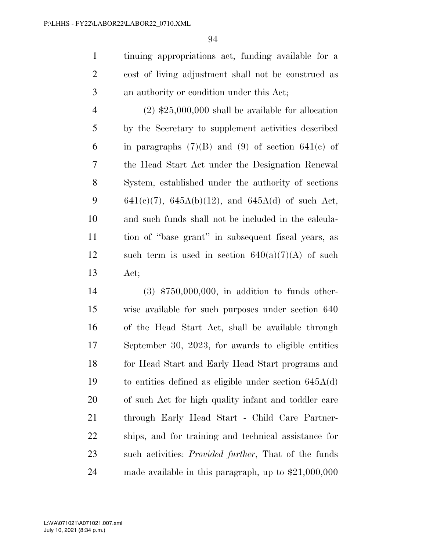tinuing appropriations act, funding available for a cost of living adjustment shall not be construed as an authority or condition under this Act;

4  $(2)$  \$25,000,000 shall be available for allocation by the Secretary to supplement activities described 6 in paragraphs  $(7)(B)$  and  $(9)$  of section 641(c) of the Head Start Act under the Designation Renewal System, established under the authority of sections 9 641(e)(7), 645A(b)(12), and 645A(d) of such Act, and such funds shall not be included in the calcula- tion of ''base grant'' in subsequent fiscal years, as 12 such term is used in section  $640(a)(7)(A)$  of such Act;

 (3) \$750,000,000, in addition to funds other- wise available for such purposes under section 640 of the Head Start Act, shall be available through September 30, 2023, for awards to eligible entities for Head Start and Early Head Start programs and to entities defined as eligible under section 645A(d) of such Act for high quality infant and toddler care through Early Head Start - Child Care Partner- ships, and for training and technical assistance for such activities: *Provided further*, That of the funds made available in this paragraph, up to \$21,000,000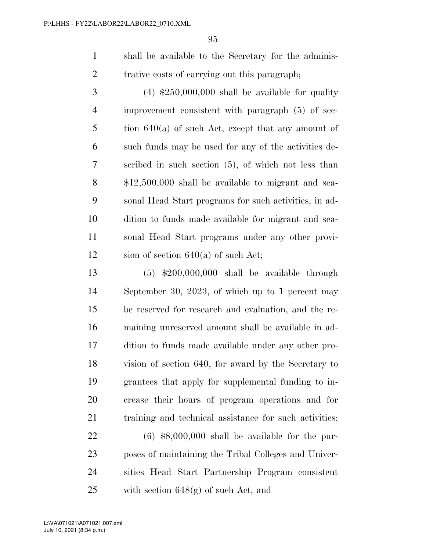shall be available to the Secretary for the adminis-trative costs of carrying out this paragraph;

 $3 \tag{4} 3$   $\textcolor{red}{\bigcirc}$   $\textcolor{red}{\bigcirc}$   $\textcolor{red}{\bigcirc}$   $\textcolor{red}{\bigcirc}$   $\textcolor{red}{\bigcirc}$   $\textcolor{red}{\bigcirc}$   $\textcolor{red}{\bigcirc}$   $\textcolor{red}{\bigcirc}$   $\textcolor{red}{\bigcirc}$   $\textcolor{red}{\bigcirc}$   $\textcolor{red}{\bigcirc}$   $\textcolor{red}{\bigcirc}$   $\textcolor{red}{\bigcirc}$   $\textcolor{red}{\bigcirc}$   $\textcolor{red}{\bigcirc}$   $\textcolor{red}{\bigcirc}$   $\$  improvement consistent with paragraph (5) of sec- tion 640(a) of such Act, except that any amount of such funds may be used for any of the activities de- scribed in such section (5), of which not less than \$12,500,000 shall be available to migrant and sea- sonal Head Start programs for such activities, in ad- dition to funds made available for migrant and sea- sonal Head Start programs under any other provi-12 sion of section 640(a) of such Act;

 (5) \$200,000,000 shall be available through September 30, 2023, of which up to 1 percent may be reserved for research and evaluation, and the re- maining unreserved amount shall be available in ad- dition to funds made available under any other pro- vision of section 640, for award by the Secretary to grantees that apply for supplemental funding to in- crease their hours of program operations and for training and technical assistance for such activities;

 (6) \$8,000,000 shall be available for the pur- poses of maintaining the Tribal Colleges and Univer- sities Head Start Partnership Program consistent 25 with section  $648(\text{g})$  of such Act; and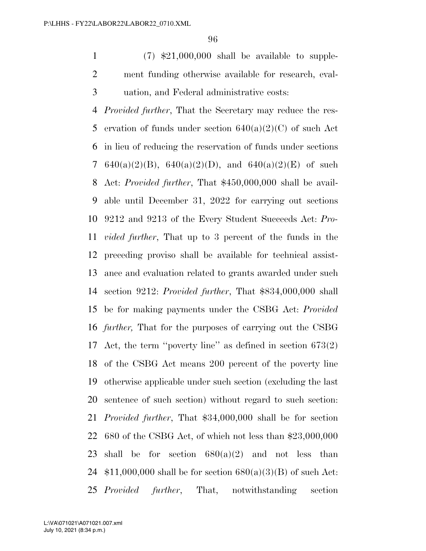1  $(7)$  \$21,000,000 shall be available to supple- ment funding otherwise available for research, eval-uation, and Federal administrative costs:

 *Provided further*, That the Secretary may reduce the res-5 ervation of funds under section  $640(a)(2)(C)$  of such Act in lieu of reducing the reservation of funds under sections 7 640(a)(2)(B), 640(a)(2)(D), and 640(a)(2)(E) of such Act: *Provided further*, That \$450,000,000 shall be avail- able until December 31, 2022 for carrying out sections 9212 and 9213 of the Every Student Succeeds Act: *Pro- vided further*, That up to 3 percent of the funds in the preceding proviso shall be available for technical assist- ance and evaluation related to grants awarded under such section 9212: *Provided further*, That \$834,000,000 shall be for making payments under the CSBG Act: *Provided further,* That for the purposes of carrying out the CSBG Act, the term ''poverty line'' as defined in section 673(2) of the CSBG Act means 200 percent of the poverty line otherwise applicable under such section (excluding the last sentence of such section) without regard to such section: *Provided further*, That \$34,000,000 shall be for section 680 of the CSBG Act, of which not less than \$23,000,000 23 shall be for section  $680(a)(2)$  and not less than  $$11,000,000$  shall be for section  $680(a)(3)(B)$  of such Act: *Provided further*, That, notwithstanding section

July 10, 2021 (8:34 p.m.) L:\VA\071021\A071021.007.xml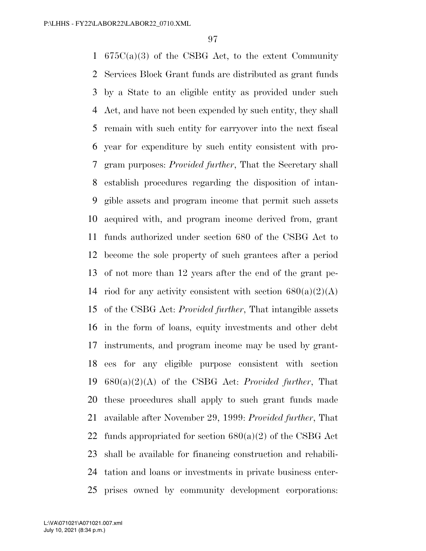675C(a)(3) of the CSBG Act, to the extent Community Services Block Grant funds are distributed as grant funds by a State to an eligible entity as provided under such Act, and have not been expended by such entity, they shall remain with such entity for carryover into the next fiscal year for expenditure by such entity consistent with pro- gram purposes: *Provided further*, That the Secretary shall establish procedures regarding the disposition of intan- gible assets and program income that permit such assets acquired with, and program income derived from, grant funds authorized under section 680 of the CSBG Act to become the sole property of such grantees after a period of not more than 12 years after the end of the grant pe-14 riod for any activity consistent with section  $680(a)(2)(A)$  of the CSBG Act: *Provided further*, That intangible assets in the form of loans, equity investments and other debt instruments, and program income may be used by grant- ees for any eligible purpose consistent with section 680(a)(2)(A) of the CSBG Act: *Provided further*, That these procedures shall apply to such grant funds made available after November 29, 1999: *Provided further*, That 22 funds appropriated for section  $680(a)(2)$  of the CSBG Act shall be available for financing construction and rehabili- tation and loans or investments in private business enter-prises owned by community development corporations: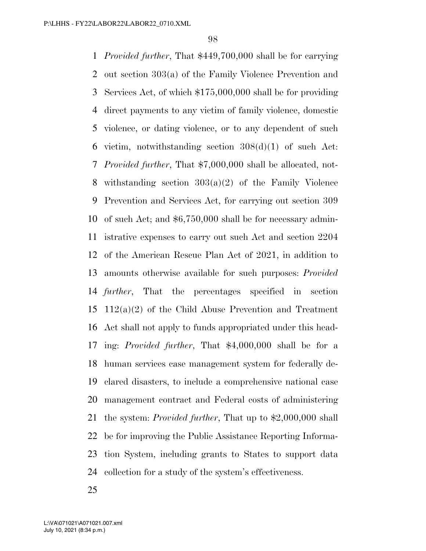*Provided further*, That \$449,700,000 shall be for carrying out section 303(a) of the Family Violence Prevention and Services Act, of which \$175,000,000 shall be for providing direct payments to any victim of family violence, domestic violence, or dating violence, or to any dependent of such 6 victim, notwithstanding section  $308(d)(1)$  of such Act: *Provided further*, That \$7,000,000 shall be allocated, not- withstanding section 303(a)(2) of the Family Violence Prevention and Services Act, for carrying out section 309 of such Act; and \$6,750,000 shall be for necessary admin- istrative expenses to carry out such Act and section 2204 of the American Rescue Plan Act of 2021, in addition to amounts otherwise available for such purposes: *Provided further*, That the percentages specified in section 112(a)(2) of the Child Abuse Prevention and Treatment Act shall not apply to funds appropriated under this head- ing: *Provided further*, That \$4,000,000 shall be for a human services case management system for federally de- clared disasters, to include a comprehensive national case management contract and Federal costs of administering the system: *Provided further*, That up to \$2,000,000 shall be for improving the Public Assistance Reporting Informa- tion System, including grants to States to support data collection for a study of the system's effectiveness.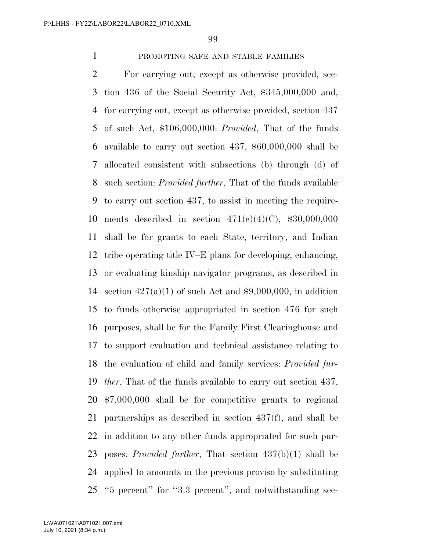# PROMOTING SAFE AND STABLE FAMILIES

 For carrying out, except as otherwise provided, sec- tion 436 of the Social Security Act, \$345,000,000 and, for carrying out, except as otherwise provided, section 437 of such Act, \$106,000,000: *Provided*, That of the funds available to carry out section 437, \$60,000,000 shall be allocated consistent with subsections (b) through (d) of such section: *Provided further*, That of the funds available to carry out section 437, to assist in meeting the require- ments described in section 471(e)(4)(C), \$30,000,000 shall be for grants to each State, territory, and Indian tribe operating title IV–E plans for developing, enhancing, or evaluating kinship navigator programs, as described in 14 section  $427(a)(1)$  of such Act and \$9,000,000, in addition to funds otherwise appropriated in section 476 for such purposes, shall be for the Family First Clearinghouse and to support evaluation and technical assistance relating to the evaluation of child and family services: *Provided fur- ther*, That of the funds available to carry out section 437, \$7,000,000 shall be for competitive grants to regional partnerships as described in section 437(f), and shall be in addition to any other funds appropriated for such pur- poses: *Provided further*, That section 437(b)(1) shall be applied to amounts in the previous proviso by substituting ''5 percent'' for ''3.3 percent'', and notwithstanding sec-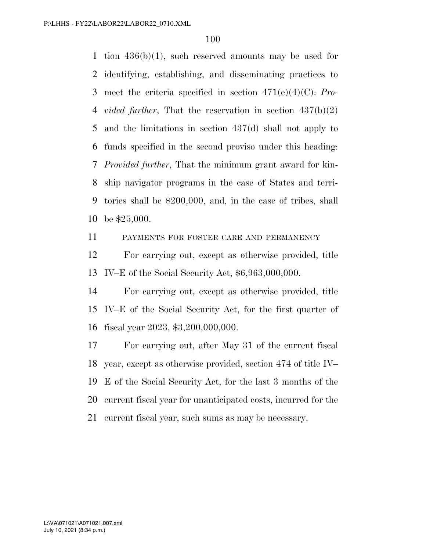1 tion  $436(b)(1)$ , such reserved amounts may be used for identifying, establishing, and disseminating practices to meet the criteria specified in section 471(e)(4)(C): *Pro- vided further*, That the reservation in section 437(b)(2) and the limitations in section 437(d) shall not apply to funds specified in the second proviso under this heading: *Provided further*, That the minimum grant award for kin- ship navigator programs in the case of States and terri- tories shall be \$200,000, and, in the case of tribes, shall be \$25,000.

PAYMENTS FOR FOSTER CARE AND PERMANENCY

 For carrying out, except as otherwise provided, title IV–E of the Social Security Act, \$6,963,000,000.

 For carrying out, except as otherwise provided, title IV–E of the Social Security Act, for the first quarter of fiscal year 2023, \$3,200,000,000.

 For carrying out, after May 31 of the current fiscal year, except as otherwise provided, section 474 of title IV– E of the Social Security Act, for the last 3 months of the current fiscal year for unanticipated costs, incurred for the current fiscal year, such sums as may be necessary.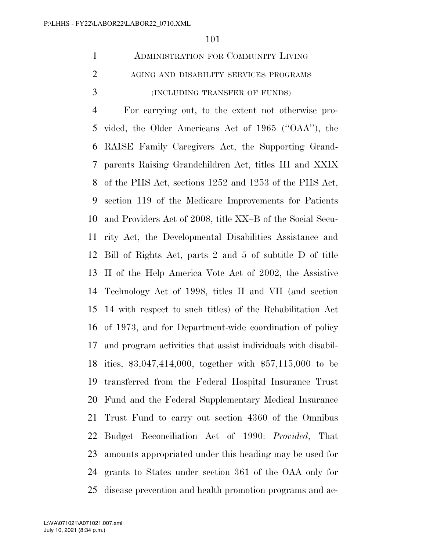|               | ADMINISTRATION FOR COMMUNITY LIVING    |
|---------------|----------------------------------------|
| $\mathcal{D}$ | AGING AND DISABILITY SERVICES PROGRAMS |
| $\mathcal{R}$ | (INCLUDING TRANSFER OF FUNDS)          |

 For carrying out, to the extent not otherwise pro- vided, the Older Americans Act of 1965 (''OAA''), the RAISE Family Caregivers Act, the Supporting Grand- parents Raising Grandchildren Act, titles III and XXIX of the PHS Act, sections 1252 and 1253 of the PHS Act, section 119 of the Medicare Improvements for Patients and Providers Act of 2008, title XX–B of the Social Secu- rity Act, the Developmental Disabilities Assistance and Bill of Rights Act, parts 2 and 5 of subtitle D of title II of the Help America Vote Act of 2002, the Assistive Technology Act of 1998, titles II and VII (and section 14 with respect to such titles) of the Rehabilitation Act of 1973, and for Department-wide coordination of policy and program activities that assist individuals with disabil- ities, \$3,047,414,000, together with \$57,115,000 to be transferred from the Federal Hospital Insurance Trust Fund and the Federal Supplementary Medical Insurance Trust Fund to carry out section 4360 of the Omnibus Budget Reconciliation Act of 1990: *Provided*, That amounts appropriated under this heading may be used for grants to States under section 361 of the OAA only for disease prevention and health promotion programs and ac-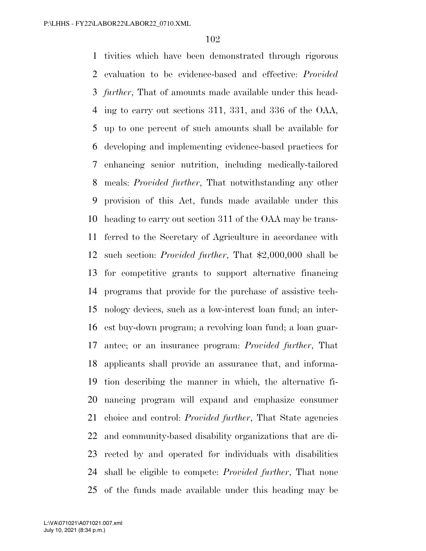tivities which have been demonstrated through rigorous evaluation to be evidence-based and effective: *Provided further*, That of amounts made available under this head- ing to carry out sections 311, 331, and 336 of the OAA, up to one percent of such amounts shall be available for developing and implementing evidence-based practices for enhancing senior nutrition, including medically-tailored meals: *Provided further*, That notwithstanding any other provision of this Act, funds made available under this heading to carry out section 311 of the OAA may be trans- ferred to the Secretary of Agriculture in accordance with such section: *Provided further*, That \$2,000,000 shall be for competitive grants to support alternative financing programs that provide for the purchase of assistive tech- nology devices, such as a low-interest loan fund; an inter- est buy-down program; a revolving loan fund; a loan guar- antee; or an insurance program: *Provided further*, That applicants shall provide an assurance that, and informa- tion describing the manner in which, the alternative fi- nancing program will expand and emphasize consumer choice and control: *Provided further*, That State agencies and community-based disability organizations that are di- rected by and operated for individuals with disabilities shall be eligible to compete: *Provided further*, That none of the funds made available under this heading may be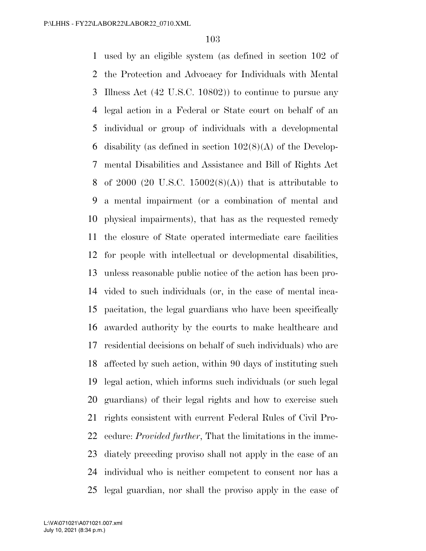used by an eligible system (as defined in section 102 of the Protection and Advocacy for Individuals with Mental Illness Act (42 U.S.C. 10802)) to continue to pursue any legal action in a Federal or State court on behalf of an individual or group of individuals with a developmental 6 disability (as defined in section  $102(8)(A)$  of the Develop- mental Disabilities and Assistance and Bill of Rights Act 8 of 2000 (20 U.S.C. 15002 $(8)(A)$ ) that is attributable to a mental impairment (or a combination of mental and physical impairments), that has as the requested remedy the closure of State operated intermediate care facilities for people with intellectual or developmental disabilities, unless reasonable public notice of the action has been pro- vided to such individuals (or, in the case of mental inca- pacitation, the legal guardians who have been specifically awarded authority by the courts to make healthcare and residential decisions on behalf of such individuals) who are affected by such action, within 90 days of instituting such legal action, which informs such individuals (or such legal guardians) of their legal rights and how to exercise such rights consistent with current Federal Rules of Civil Pro- cedure: *Provided further*, That the limitations in the imme- diately preceding proviso shall not apply in the case of an individual who is neither competent to consent nor has a legal guardian, nor shall the proviso apply in the case of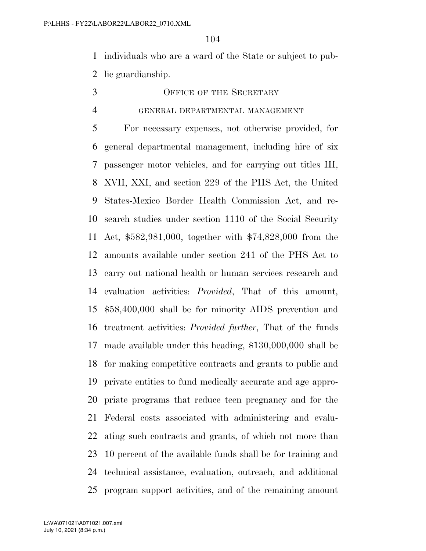individuals who are a ward of the State or subject to pub-lic guardianship.

# 3 OFFICE OF THE SECRETARY

#### GENERAL DEPARTMENTAL MANAGEMENT

 For necessary expenses, not otherwise provided, for general departmental management, including hire of six passenger motor vehicles, and for carrying out titles III, XVII, XXI, and section 229 of the PHS Act, the United States-Mexico Border Health Commission Act, and re- search studies under section 1110 of the Social Security Act, \$582,981,000, together with \$74,828,000 from the amounts available under section 241 of the PHS Act to carry out national health or human services research and evaluation activities: *Provided*, That of this amount, \$58,400,000 shall be for minority AIDS prevention and treatment activities: *Provided further*, That of the funds made available under this heading, \$130,000,000 shall be for making competitive contracts and grants to public and private entities to fund medically accurate and age appro- priate programs that reduce teen pregnancy and for the Federal costs associated with administering and evalu- ating such contracts and grants, of which not more than 10 percent of the available funds shall be for training and technical assistance, evaluation, outreach, and additional program support activities, and of the remaining amount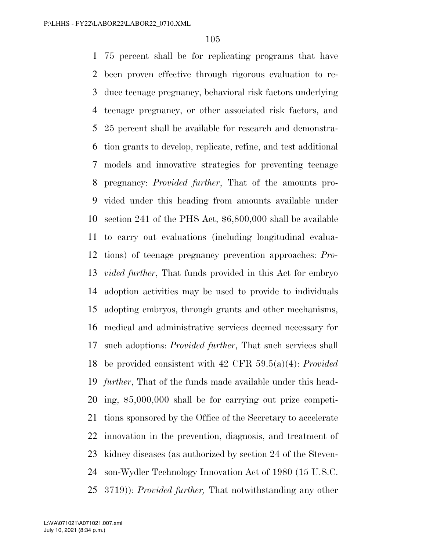75 percent shall be for replicating programs that have been proven effective through rigorous evaluation to re- duce teenage pregnancy, behavioral risk factors underlying teenage pregnancy, or other associated risk factors, and 25 percent shall be available for research and demonstra- tion grants to develop, replicate, refine, and test additional models and innovative strategies for preventing teenage pregnancy: *Provided further*, That of the amounts pro- vided under this heading from amounts available under section 241 of the PHS Act, \$6,800,000 shall be available to carry out evaluations (including longitudinal evalua- tions) of teenage pregnancy prevention approaches: *Pro- vided further*, That funds provided in this Act for embryo adoption activities may be used to provide to individuals adopting embryos, through grants and other mechanisms, medical and administrative services deemed necessary for such adoptions: *Provided further*, That such services shall be provided consistent with 42 CFR 59.5(a)(4): *Provided further*, That of the funds made available under this head- ing, \$5,000,000 shall be for carrying out prize competi- tions sponsored by the Office of the Secretary to accelerate innovation in the prevention, diagnosis, and treatment of kidney diseases (as authorized by section 24 of the Steven- son-Wydler Technology Innovation Act of 1980 (15 U.S.C. 3719)): *Provided further,* That notwithstanding any other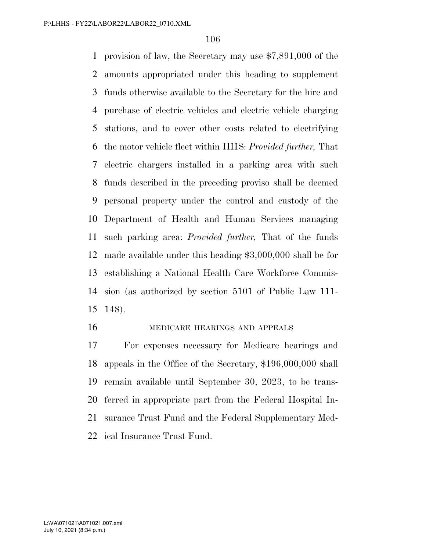provision of law, the Secretary may use \$7,891,000 of the amounts appropriated under this heading to supplement funds otherwise available to the Secretary for the hire and purchase of electric vehicles and electric vehicle charging stations, and to cover other costs related to electrifying the motor vehicle fleet within HHS: *Provided further,* That electric chargers installed in a parking area with such funds described in the preceding proviso shall be deemed personal property under the control and custody of the Department of Health and Human Services managing such parking area: *Provided further,* That of the funds made available under this heading \$3,000,000 shall be for establishing a National Health Care Workforce Commis- sion (as authorized by section 5101 of Public Law 111- 148).

#### MEDICARE HEARINGS AND APPEALS

 For expenses necessary for Medicare hearings and appeals in the Office of the Secretary, \$196,000,000 shall remain available until September 30, 2023, to be trans- ferred in appropriate part from the Federal Hospital In- surance Trust Fund and the Federal Supplementary Med-ical Insurance Trust Fund.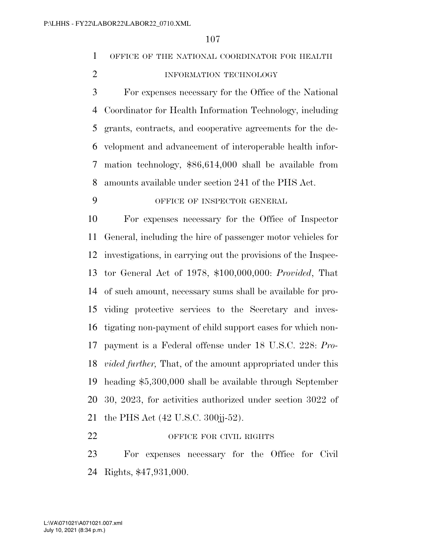# OFFICE OF THE NATIONAL COORDINATOR FOR HEALTH

2 INFORMATION TECHNOLOGY

 For expenses necessary for the Office of the National Coordinator for Health Information Technology, including grants, contracts, and cooperative agreements for the de- velopment and advancement of interoperable health infor- mation technology, \$86,614,000 shall be available from amounts available under section 241 of the PHS Act.

# OFFICE OF INSPECTOR GENERAL

 For expenses necessary for the Office of Inspector General, including the hire of passenger motor vehicles for investigations, in carrying out the provisions of the Inspec- tor General Act of 1978, \$100,000,000: *Provided*, That of such amount, necessary sums shall be available for pro- viding protective services to the Secretary and inves- tigating non-payment of child support cases for which non- payment is a Federal offense under 18 U.S.C. 228: *Pro- vided further,* That, of the amount appropriated under this heading \$5,300,000 shall be available through September 30, 2023, for activities authorized under section 3022 of the PHS Act (42 U.S.C. 300jj-52).

#### 22 OFFICE FOR CIVIL RIGHTS

 For expenses necessary for the Office for Civil Rights, \$47,931,000.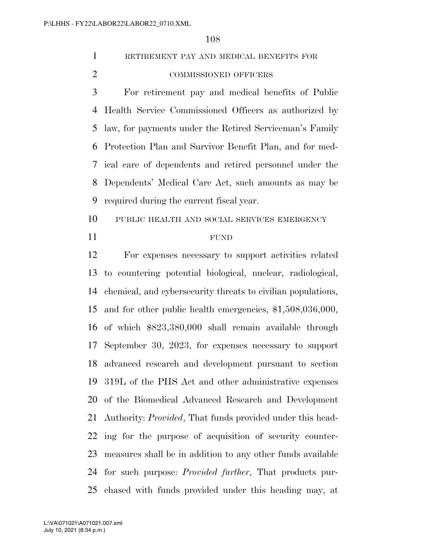# RETIREMENT PAY AND MEDICAL BENEFITS FOR COMMISSIONED OFFICERS

 For retirement pay and medical benefits of Public Health Service Commissioned Officers as authorized by law, for payments under the Retired Serviceman's Family Protection Plan and Survivor Benefit Plan, and for med- ical care of dependents and retired personnel under the Dependents' Medical Care Act, such amounts as may be required during the current fiscal year.

 PUBLIC HEALTH AND SOCIAL SERVICES EMERGENCY FUND

 For expenses necessary to support activities related to countering potential biological, nuclear, radiological, chemical, and cybersecurity threats to civilian populations, and for other public health emergencies, \$1,508,036,000, of which \$823,380,000 shall remain available through September 30, 2023, for expenses necessary to support advanced research and development pursuant to section 319L of the PHS Act and other administrative expenses of the Biomedical Advanced Research and Development Authority: *Provided*, That funds provided under this head- ing for the purpose of acquisition of security counter- measures shall be in addition to any other funds available for such purpose: *Provided further*, That products pur-chased with funds provided under this heading may, at

July 10, 2021 (8:34 p.m.) L:\VA\071021\A071021.007.xml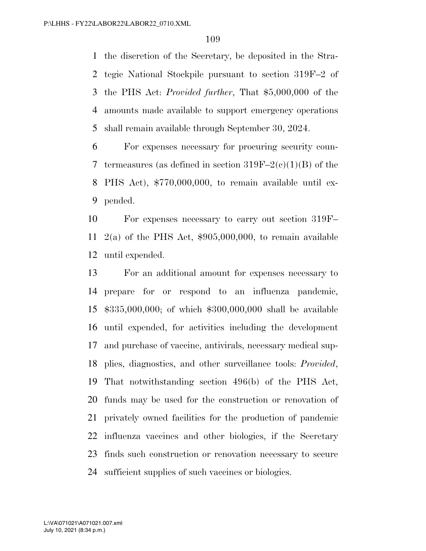the discretion of the Secretary, be deposited in the Stra- tegic National Stockpile pursuant to section 319F–2 of the PHS Act: *Provided further*, That \$5,000,000 of the amounts made available to support emergency operations shall remain available through September 30, 2024.

 For expenses necessary for procuring security coun-7 termeasures (as defined in section  $319F-2(c)(1)(B)$  of the PHS Act), \$770,000,000, to remain available until ex-pended.

 For expenses necessary to carry out section 319F– 2(a) of the PHS Act, \$905,000,000, to remain available until expended.

 For an additional amount for expenses necessary to prepare for or respond to an influenza pandemic, \$335,000,000; of which \$300,000,000 shall be available until expended, for activities including the development and purchase of vaccine, antivirals, necessary medical sup- plies, diagnostics, and other surveillance tools: *Provided*, That notwithstanding section 496(b) of the PHS Act, funds may be used for the construction or renovation of privately owned facilities for the production of pandemic influenza vaccines and other biologics, if the Secretary finds such construction or renovation necessary to secure sufficient supplies of such vaccines or biologics.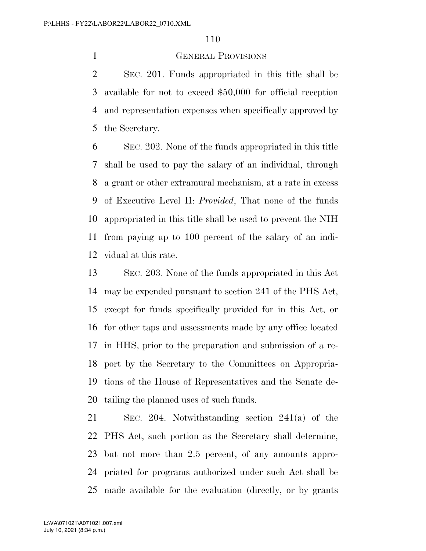## GENERAL PROVISIONS

 SEC. 201. Funds appropriated in this title shall be available for not to exceed \$50,000 for official reception and representation expenses when specifically approved by the Secretary.

 SEC. 202. None of the funds appropriated in this title shall be used to pay the salary of an individual, through a grant or other extramural mechanism, at a rate in excess of Executive Level II: *Provided*, That none of the funds appropriated in this title shall be used to prevent the NIH from paying up to 100 percent of the salary of an indi-vidual at this rate.

 SEC. 203. None of the funds appropriated in this Act may be expended pursuant to section 241 of the PHS Act, except for funds specifically provided for in this Act, or for other taps and assessments made by any office located in HHS, prior to the preparation and submission of a re- port by the Secretary to the Committees on Appropria- tions of the House of Representatives and the Senate de-tailing the planned uses of such funds.

 SEC. 204. Notwithstanding section 241(a) of the PHS Act, such portion as the Secretary shall determine, but not more than 2.5 percent, of any amounts appro- priated for programs authorized under such Act shall be made available for the evaluation (directly, or by grants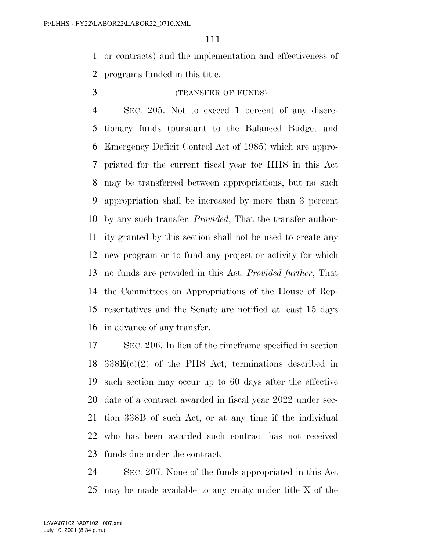or contracts) and the implementation and effectiveness of programs funded in this title.

# (TRANSFER OF FUNDS)

 SEC. 205. Not to exceed 1 percent of any discre- tionary funds (pursuant to the Balanced Budget and Emergency Deficit Control Act of 1985) which are appro- priated for the current fiscal year for HHS in this Act may be transferred between appropriations, but no such appropriation shall be increased by more than 3 percent by any such transfer: *Provided*, That the transfer author- ity granted by this section shall not be used to create any new program or to fund any project or activity for which no funds are provided in this Act: *Provided further*, That the Committees on Appropriations of the House of Rep- resentatives and the Senate are notified at least 15 days in advance of any transfer.

 SEC. 206. In lieu of the timeframe specified in section  $18 \quad 338E(c)(2)$  of the PHS Act, terminations described in such section may occur up to 60 days after the effective date of a contract awarded in fiscal year 2022 under sec- tion 338B of such Act, or at any time if the individual who has been awarded such contract has not received funds due under the contract.

 SEC. 207. None of the funds appropriated in this Act may be made available to any entity under title X of the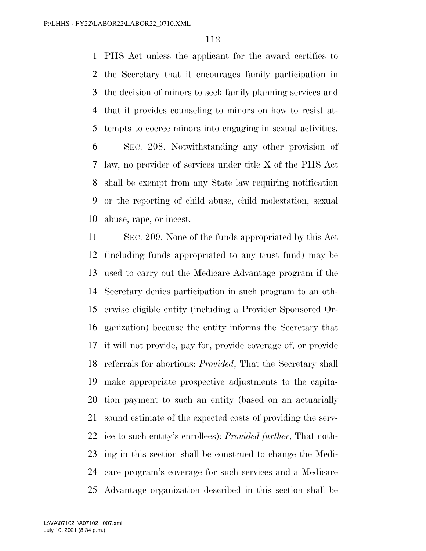PHS Act unless the applicant for the award certifies to the Secretary that it encourages family participation in the decision of minors to seek family planning services and that it provides counseling to minors on how to resist at-tempts to coerce minors into engaging in sexual activities.

 SEC. 208. Notwithstanding any other provision of law, no provider of services under title X of the PHS Act shall be exempt from any State law requiring notification or the reporting of child abuse, child molestation, sexual abuse, rape, or incest.

 SEC. 209. None of the funds appropriated by this Act (including funds appropriated to any trust fund) may be used to carry out the Medicare Advantage program if the Secretary denies participation in such program to an oth- erwise eligible entity (including a Provider Sponsored Or- ganization) because the entity informs the Secretary that it will not provide, pay for, provide coverage of, or provide referrals for abortions: *Provided*, That the Secretary shall make appropriate prospective adjustments to the capita- tion payment to such an entity (based on an actuarially sound estimate of the expected costs of providing the serv- ice to such entity's enrollees): *Provided further*, That noth- ing in this section shall be construed to change the Medi- care program's coverage for such services and a Medicare Advantage organization described in this section shall be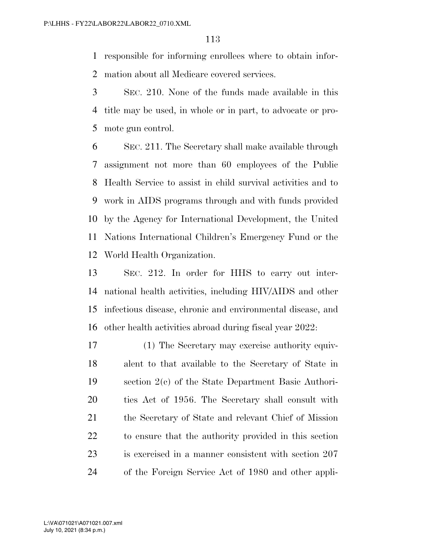responsible for informing enrollees where to obtain infor-mation about all Medicare covered services.

 SEC. 210. None of the funds made available in this title may be used, in whole or in part, to advocate or pro-mote gun control.

 SEC. 211. The Secretary shall make available through assignment not more than 60 employees of the Public Health Service to assist in child survival activities and to work in AIDS programs through and with funds provided by the Agency for International Development, the United Nations International Children's Emergency Fund or the World Health Organization.

 SEC. 212. In order for HHS to carry out inter- national health activities, including HIV/AIDS and other infectious disease, chronic and environmental disease, and other health activities abroad during fiscal year 2022:

 (1) The Secretary may exercise authority equiv- alent to that available to the Secretary of State in section 2(c) of the State Department Basic Authori- ties Act of 1956. The Secretary shall consult with 21 the Secretary of State and relevant Chief of Mission to ensure that the authority provided in this section is exercised in a manner consistent with section 207 of the Foreign Service Act of 1980 and other appli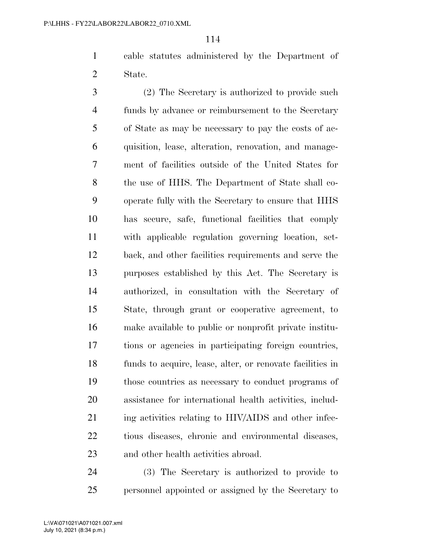cable statutes administered by the Department of State.

 (2) The Secretary is authorized to provide such funds by advance or reimbursement to the Secretary of State as may be necessary to pay the costs of ac- quisition, lease, alteration, renovation, and manage- ment of facilities outside of the United States for the use of HHS. The Department of State shall co- operate fully with the Secretary to ensure that HHS has secure, safe, functional facilities that comply with applicable regulation governing location, set- back, and other facilities requirements and serve the purposes established by this Act. The Secretary is authorized, in consultation with the Secretary of State, through grant or cooperative agreement, to make available to public or nonprofit private institu- tions or agencies in participating foreign countries, funds to acquire, lease, alter, or renovate facilities in those countries as necessary to conduct programs of assistance for international health activities, includ-21 ing activities relating to HIV/AIDS and other infec- tious diseases, chronic and environmental diseases, and other health activities abroad.

 (3) The Secretary is authorized to provide to personnel appointed or assigned by the Secretary to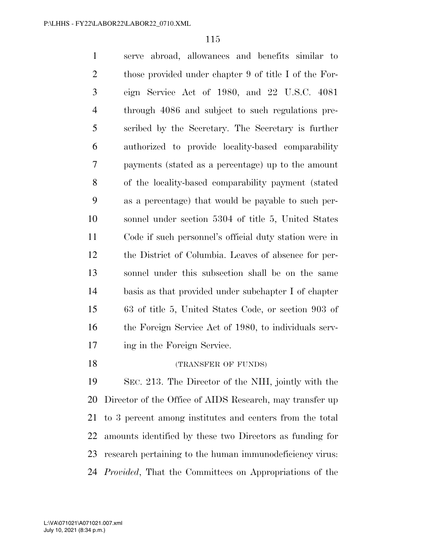serve abroad, allowances and benefits similar to 2 those provided under chapter 9 of title I of the For- eign Service Act of 1980, and 22 U.S.C. 4081 through 4086 and subject to such regulations pre- scribed by the Secretary. The Secretary is further authorized to provide locality-based comparability payments (stated as a percentage) up to the amount of the locality-based comparability payment (stated as a percentage) that would be payable to such per- sonnel under section 5304 of title 5, United States Code if such personnel's official duty station were in the District of Columbia. Leaves of absence for per- sonnel under this subsection shall be on the same basis as that provided under subchapter I of chapter 63 of title 5, United States Code, or section 903 of the Foreign Service Act of 1980, to individuals serv- ing in the Foreign Service. 18 (TRANSFER OF FUNDS)

 SEC. 213. The Director of the NIH, jointly with the Director of the Office of AIDS Research, may transfer up to 3 percent among institutes and centers from the total amounts identified by these two Directors as funding for research pertaining to the human immunodeficiency virus: *Provided*, That the Committees on Appropriations of the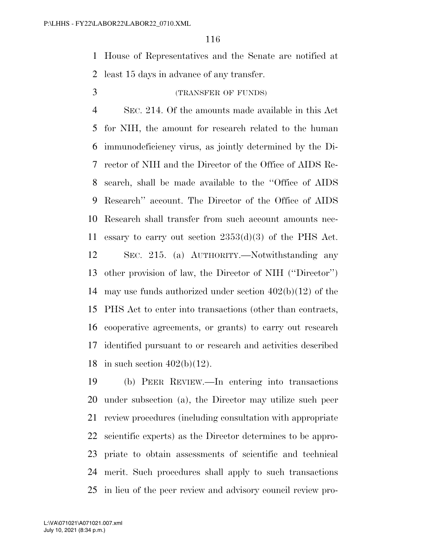House of Representatives and the Senate are notified at least 15 days in advance of any transfer.

# (TRANSFER OF FUNDS)

 SEC. 214. Of the amounts made available in this Act for NIH, the amount for research related to the human immunodeficiency virus, as jointly determined by the Di- rector of NIH and the Director of the Office of AIDS Re- search, shall be made available to the ''Office of AIDS Research'' account. The Director of the Office of AIDS Research shall transfer from such account amounts nec- essary to carry out section 2353(d)(3) of the PHS Act. SEC. 215. (a) AUTHORITY.—Notwithstanding any other provision of law, the Director of NIH (''Director'') may use funds authorized under section 402(b)(12) of the PHS Act to enter into transactions (other than contracts, cooperative agreements, or grants) to carry out research identified pursuant to or research and activities described 18 in such section  $402(b)(12)$ .

 (b) PEER REVIEW.—In entering into transactions under subsection (a), the Director may utilize such peer review procedures (including consultation with appropriate scientific experts) as the Director determines to be appro- priate to obtain assessments of scientific and technical merit. Such procedures shall apply to such transactions in lieu of the peer review and advisory council review pro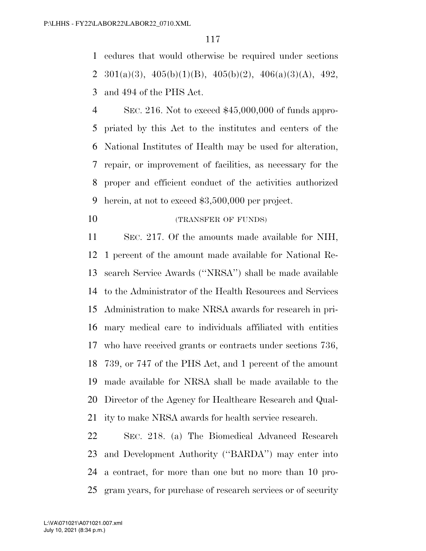cedures that would otherwise be required under sections 2 301(a)(3),  $405(b)(1)(B)$ ,  $405(b)(2)$ ,  $406(a)(3)(A)$ ,  $492$ , and 494 of the PHS Act.

 SEC. 216. Not to exceed \$45,000,000 of funds appro- priated by this Act to the institutes and centers of the National Institutes of Health may be used for alteration, repair, or improvement of facilities, as necessary for the proper and efficient conduct of the activities authorized herein, at not to exceed \$3,500,000 per project.

10 (TRANSFER OF FUNDS)

 SEC. 217. Of the amounts made available for NIH, 1 percent of the amount made available for National Re- search Service Awards (''NRSA'') shall be made available to the Administrator of the Health Resources and Services Administration to make NRSA awards for research in pri- mary medical care to individuals affiliated with entities who have received grants or contracts under sections 736, 739, or 747 of the PHS Act, and 1 percent of the amount made available for NRSA shall be made available to the Director of the Agency for Healthcare Research and Qual-ity to make NRSA awards for health service research.

 SEC. 218. (a) The Biomedical Advanced Research and Development Authority (''BARDA'') may enter into a contract, for more than one but no more than 10 pro-gram years, for purchase of research services or of security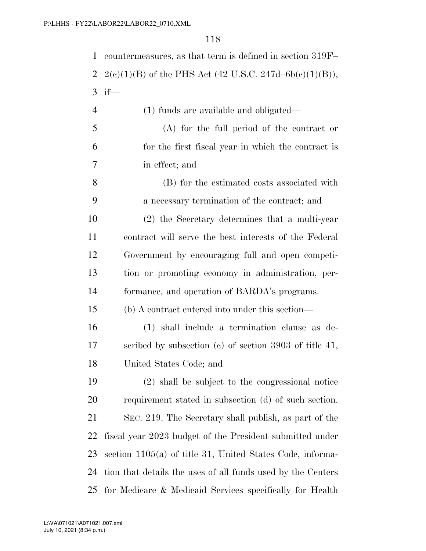| 22\LABOR22\LABOR22_0710.XML |                                                           |  |
|-----------------------------|-----------------------------------------------------------|--|
| 118                         |                                                           |  |
| 1                           | countermeasures, as that term is defined in section 319F- |  |
| 2                           | $2(e)(1)(B)$ of the PHS Act (42 U.S.C. 247d–6b(c)(1)(B)), |  |
| 3                           | $if$ —                                                    |  |
| $\overline{4}$              | $(1)$ funds are available and obligated—                  |  |
| 5                           | $(A)$ for the full period of the contract or              |  |
| 6                           | for the first fiscal year in which the contract is        |  |
| 7                           | in effect; and                                            |  |
| 8                           | (B) for the estimated costs associated with               |  |
| 9                           | a necessary termination of the contract; and              |  |
| 10                          | (2) the Secretary determines that a multi-year            |  |
| 11                          | contract will serve the best interests of the Federal     |  |
| 12                          | Government by encouraging full and open competi-          |  |
| 13                          | tion or promoting economy in administration, per-         |  |
| 14                          | formance, and operation of BARDA's programs.              |  |
| 15                          | (b) A contract entered into under this section—           |  |
| 16                          | (1) shall include a termination clause as de-             |  |

 scribed by subsection (c) of section 3903 of title 41, United States Code; and

 (2) shall be subject to the congressional notice requirement stated in subsection (d) of such section. SEC. 219. The Secretary shall publish, as part of the fiscal year 2023 budget of the President submitted under section 1105(a) of title 31, United States Code, informa- tion that details the uses of all funds used by the Centers for Medicare & Medicaid Services specifically for Health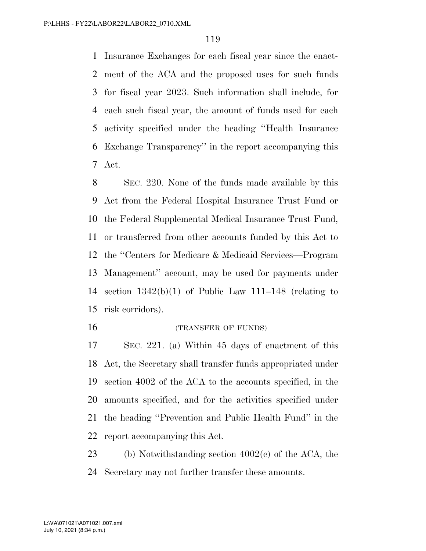Insurance Exchanges for each fiscal year since the enact- ment of the ACA and the proposed uses for such funds for fiscal year 2023. Such information shall include, for each such fiscal year, the amount of funds used for each activity specified under the heading ''Health Insurance Exchange Transparency'' in the report accompanying this Act.

 SEC. 220. None of the funds made available by this Act from the Federal Hospital Insurance Trust Fund or the Federal Supplemental Medical Insurance Trust Fund, or transferred from other accounts funded by this Act to the ''Centers for Medicare & Medicaid Services—Program Management'' account, may be used for payments under section 1342(b)(1) of Public Law 111–148 (relating to risk corridors).

#### 16 (TRANSFER OF FUNDS)

 SEC. 221. (a) Within 45 days of enactment of this Act, the Secretary shall transfer funds appropriated under section 4002 of the ACA to the accounts specified, in the amounts specified, and for the activities specified under the heading ''Prevention and Public Health Fund'' in the report accompanying this Act.

 (b) Notwithstanding section 4002(c) of the ACA, the Secretary may not further transfer these amounts.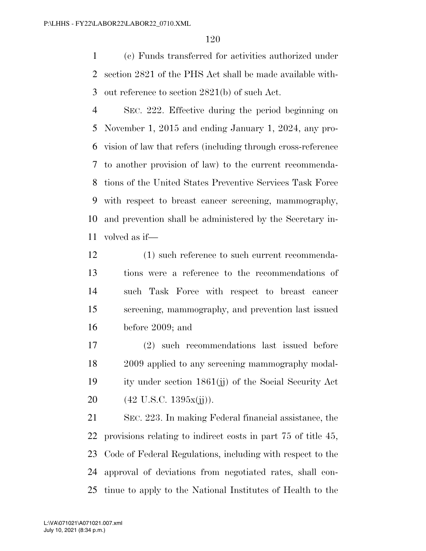(c) Funds transferred for activities authorized under section 2821 of the PHS Act shall be made available with-out reference to section 2821(b) of such Act.

 SEC. 222. Effective during the period beginning on November 1, 2015 and ending January 1, 2024, any pro- vision of law that refers (including through cross-reference to another provision of law) to the current recommenda- tions of the United States Preventive Services Task Force with respect to breast cancer screening, mammography, and prevention shall be administered by the Secretary in-volved as if—

 (1) such reference to such current recommenda- tions were a reference to the recommendations of such Task Force with respect to breast cancer screening, mammography, and prevention last issued before 2009; and

 (2) such recommendations last issued before 2009 applied to any screening mammography modal- ity under section 1861(jj) of the Social Security Act 20 (42 U.S.C. 1395x(ji)).

 SEC. 223. In making Federal financial assistance, the provisions relating to indirect costs in part 75 of title 45, Code of Federal Regulations, including with respect to the approval of deviations from negotiated rates, shall con-tinue to apply to the National Institutes of Health to the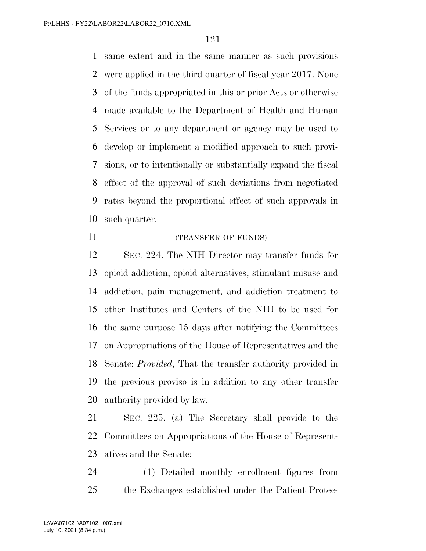same extent and in the same manner as such provisions were applied in the third quarter of fiscal year 2017. None of the funds appropriated in this or prior Acts or otherwise made available to the Department of Health and Human Services or to any department or agency may be used to develop or implement a modified approach to such provi- sions, or to intentionally or substantially expand the fiscal effect of the approval of such deviations from negotiated rates beyond the proportional effect of such approvals in such quarter.

## (TRANSFER OF FUNDS)

 SEC. 224. The NIH Director may transfer funds for opioid addiction, opioid alternatives, stimulant misuse and addiction, pain management, and addiction treatment to other Institutes and Centers of the NIH to be used for the same purpose 15 days after notifying the Committees on Appropriations of the House of Representatives and the Senate: *Provided*, That the transfer authority provided in the previous proviso is in addition to any other transfer authority provided by law.

 SEC. 225. (a) The Secretary shall provide to the Committees on Appropriations of the House of Represent-atives and the Senate:

 (1) Detailed monthly enrollment figures from the Exchanges established under the Patient Protec-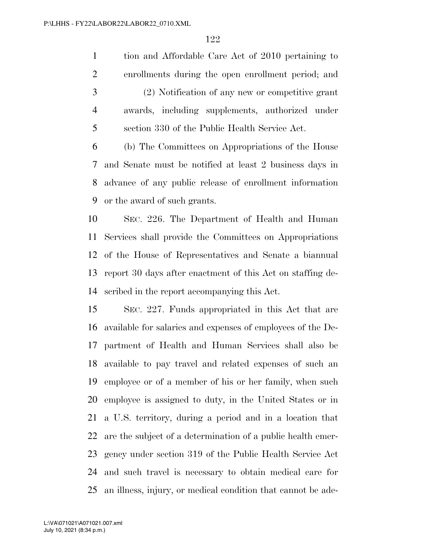tion and Affordable Care Act of 2010 pertaining to enrollments during the open enrollment period; and (2) Notification of any new or competitive grant awards, including supplements, authorized under section 330 of the Public Health Service Act.

 (b) The Committees on Appropriations of the House and Senate must be notified at least 2 business days in advance of any public release of enrollment information or the award of such grants.

 SEC. 226. The Department of Health and Human Services shall provide the Committees on Appropriations of the House of Representatives and Senate a biannual report 30 days after enactment of this Act on staffing de-scribed in the report accompanying this Act.

 SEC. 227. Funds appropriated in this Act that are available for salaries and expenses of employees of the De- partment of Health and Human Services shall also be available to pay travel and related expenses of such an employee or of a member of his or her family, when such employee is assigned to duty, in the United States or in a U.S. territory, during a period and in a location that are the subject of a determination of a public health emer- gency under section 319 of the Public Health Service Act and such travel is necessary to obtain medical care for an illness, injury, or medical condition that cannot be ade-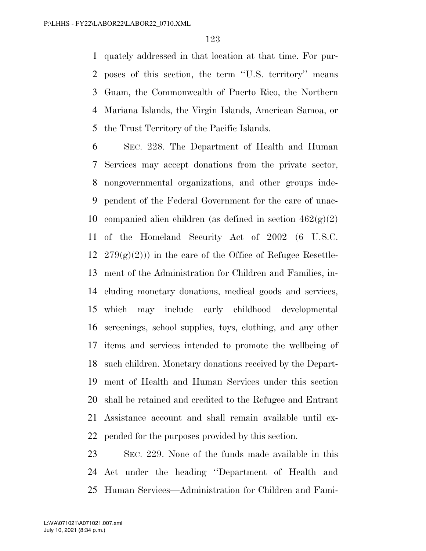quately addressed in that location at that time. For pur- poses of this section, the term ''U.S. territory'' means Guam, the Commonwealth of Puerto Rico, the Northern Mariana Islands, the Virgin Islands, American Samoa, or the Trust Territory of the Pacific Islands.

 SEC. 228. The Department of Health and Human Services may accept donations from the private sector, nongovernmental organizations, and other groups inde- pendent of the Federal Government for the care of unac-10 companied alien children (as defined in section  $462(g)(2)$ ) of the Homeland Security Act of 2002 (6 U.S.C.  $279(g)(2)$ ) in the care of the Office of Refugee Resettle- ment of the Administration for Children and Families, in- cluding monetary donations, medical goods and services, which may include early childhood developmental screenings, school supplies, toys, clothing, and any other items and services intended to promote the wellbeing of such children. Monetary donations received by the Depart- ment of Health and Human Services under this section shall be retained and credited to the Refugee and Entrant Assistance account and shall remain available until ex-pended for the purposes provided by this section.

 SEC. 229. None of the funds made available in this Act under the heading ''Department of Health and Human Services—Administration for Children and Fami-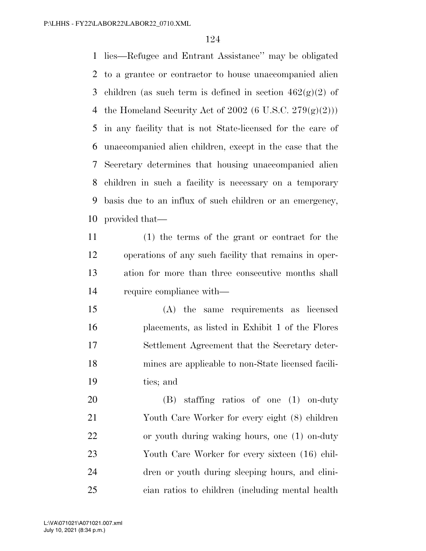lies—Refugee and Entrant Assistance'' may be obligated to a grantee or contractor to house unaccompanied alien 3 children (as such term is defined in section  $462(g)(2)$  of 4 the Homeland Security Act of (6 U.S.C.  $279(g)(2)$ )) in any facility that is not State-licensed for the care of unaccompanied alien children, except in the case that the Secretary determines that housing unaccompanied alien children in such a facility is necessary on a temporary basis due to an influx of such children or an emergency, provided that—

 (1) the terms of the grant or contract for the operations of any such facility that remains in oper- ation for more than three consecutive months shall require compliance with—

 (A) the same requirements as licensed placements, as listed in Exhibit 1 of the Flores Settlement Agreement that the Secretary deter- mines are applicable to non-State licensed facili-ties; and

 (B) staffing ratios of one (1) on-duty Youth Care Worker for every eight (8) children or youth during waking hours, one (1) on-duty Youth Care Worker for every sixteen (16) chil- dren or youth during sleeping hours, and clini-cian ratios to children (including mental health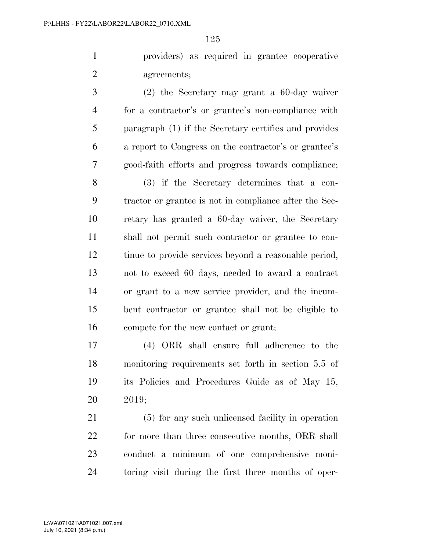providers) as required in grantee cooperative agreements;

 (2) the Secretary may grant a 60-day waiver for a contractor's or grantee's non-compliance with paragraph (1) if the Secretary certifies and provides a report to Congress on the contractor's or grantee's good-faith efforts and progress towards compliance;

 (3) if the Secretary determines that a con- tractor or grantee is not in compliance after the Sec- retary has granted a 60-day waiver, the Secretary shall not permit such contractor or grantee to con- tinue to provide services beyond a reasonable period, not to exceed 60 days, needed to award a contract or grant to a new service provider, and the incum- bent contractor or grantee shall not be eligible to compete for the new contact or grant;

 (4) ORR shall ensure full adherence to the monitoring requirements set forth in section 5.5 of its Policies and Procedures Guide as of May 15, 2019;

 (5) for any such unlicensed facility in operation 22 for more than three consecutive months, ORR shall conduct a minimum of one comprehensive moni-toring visit during the first three months of oper-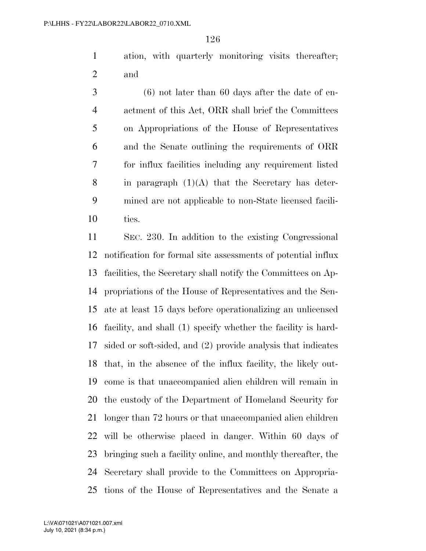ation, with quarterly monitoring visits thereafter; and

 (6) not later than 60 days after the date of en- actment of this Act, ORR shall brief the Committees on Appropriations of the House of Representatives and the Senate outlining the requirements of ORR for influx facilities including any requirement listed 8 in paragraph  $(1)(A)$  that the Secretary has deter- mined are not applicable to non-State licensed facili-ties.

 SEC. 230. In addition to the existing Congressional notification for formal site assessments of potential influx facilities, the Secretary shall notify the Committees on Ap- propriations of the House of Representatives and the Sen- ate at least 15 days before operationalizing an unlicensed facility, and shall (1) specify whether the facility is hard- sided or soft-sided, and (2) provide analysis that indicates that, in the absence of the influx facility, the likely out- come is that unaccompanied alien children will remain in the custody of the Department of Homeland Security for longer than 72 hours or that unaccompanied alien children will be otherwise placed in danger. Within 60 days of bringing such a facility online, and monthly thereafter, the Secretary shall provide to the Committees on Appropria-tions of the House of Representatives and the Senate a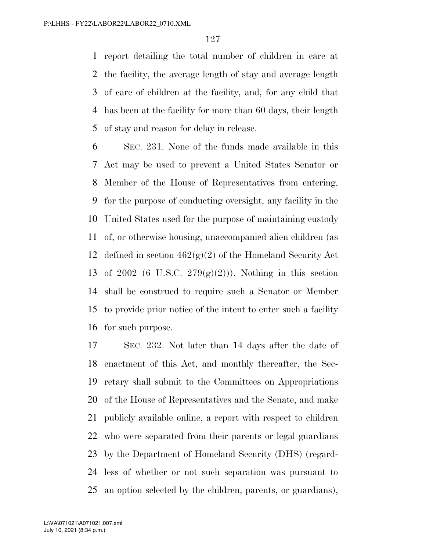report detailing the total number of children in care at the facility, the average length of stay and average length of care of children at the facility, and, for any child that has been at the facility for more than 60 days, their length of stay and reason for delay in release.

 SEC. 231. None of the funds made available in this Act may be used to prevent a United States Senator or Member of the House of Representatives from entering, for the purpose of conducting oversight, any facility in the United States used for the purpose of maintaining custody of, or otherwise housing, unaccompanied alien children (as 12 defined in section  $462(g)(2)$  of the Homeland Security Act 13 of 2002 (6 U.S.C.  $279(g)(2)$ )). Nothing in this section shall be construed to require such a Senator or Member to provide prior notice of the intent to enter such a facility for such purpose.

 SEC. 232. Not later than 14 days after the date of enactment of this Act, and monthly thereafter, the Sec- retary shall submit to the Committees on Appropriations of the House of Representatives and the Senate, and make publicly available online, a report with respect to children who were separated from their parents or legal guardians by the Department of Homeland Security (DHS) (regard- less of whether or not such separation was pursuant to an option selected by the children, parents, or guardians),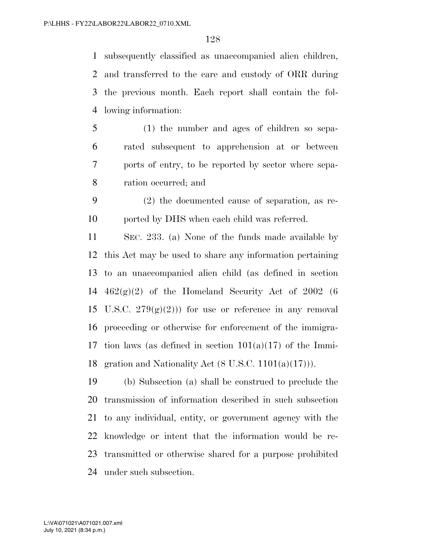subsequently classified as unaccompanied alien children, and transferred to the care and custody of ORR during the previous month. Each report shall contain the fol-lowing information:

- (1) the number and ages of children so sepa- rated subsequent to apprehension at or between ports of entry, to be reported by sector where sepa-ration occurred; and
- (2) the documented cause of separation, as re-ported by DHS when each child was referred.

 SEC. 233. (a) None of the funds made available by this Act may be used to share any information pertaining to an unaccompanied alien child (as defined in section  $462(g)(2)$  of the Homeland Security Act of 2002 (6) 15 U.S.C.  $279(g)(2)$ ) for use or reference in any removal proceeding or otherwise for enforcement of the immigra-17 tion laws (as defined in section  $101(a)(17)$  of the Immi-18 gration and Nationality Act  $(8 \text{ U.S.C. } 1101(a)(17)))$ .

 (b) Subsection (a) shall be construed to preclude the transmission of information described in such subsection to any individual, entity, or government agency with the knowledge or intent that the information would be re- transmitted or otherwise shared for a purpose prohibited under such subsection.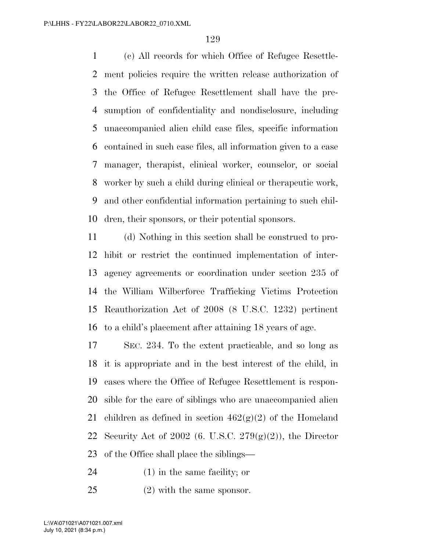(c) All records for which Office of Refugee Resettle- ment policies require the written release authorization of the Office of Refugee Resettlement shall have the pre- sumption of confidentiality and nondisclosure, including unaccompanied alien child case files, specific information contained in such case files, all information given to a case manager, therapist, clinical worker, counselor, or social worker by such a child during clinical or therapeutic work, and other confidential information pertaining to such chil-dren, their sponsors, or their potential sponsors.

 (d) Nothing in this section shall be construed to pro- hibit or restrict the continued implementation of inter- agency agreements or coordination under section 235 of the William Wilberforce Trafficking Victims Protection Reauthorization Act of 2008 (8 U.S.C. 1232) pertinent to a child's placement after attaining 18 years of age.

 SEC. 234. To the extent practicable, and so long as it is appropriate and in the best interest of the child, in cases where the Office of Refugee Resettlement is respon- sible for the care of siblings who are unaccompanied alien 21 children as defined in section  $462(g)(2)$  of the Homeland 22 Security Act of 2002 (6. U.S.C.  $279(g)(2)$ ), the Director of the Office shall place the siblings—

(1) in the same facility; or

(2) with the same sponsor.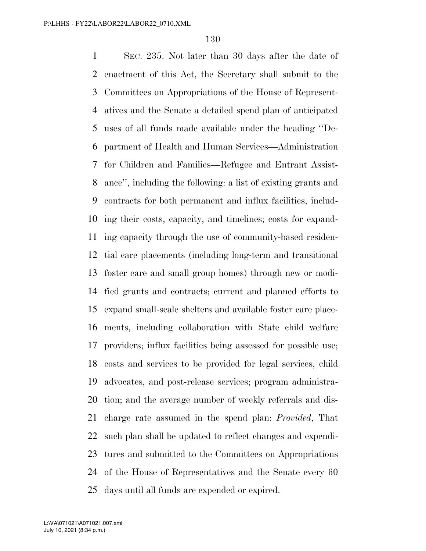SEC. 235. Not later than 30 days after the date of enactment of this Act, the Secretary shall submit to the Committees on Appropriations of the House of Represent- atives and the Senate a detailed spend plan of anticipated uses of all funds made available under the heading ''De- partment of Health and Human Services—Administration for Children and Families—Refugee and Entrant Assist- ance'', including the following: a list of existing grants and contracts for both permanent and influx facilities, includ- ing their costs, capacity, and timelines; costs for expand- ing capacity through the use of community-based residen- tial care placements (including long-term and transitional foster care and small group homes) through new or modi- fied grants and contracts; current and planned efforts to expand small-scale shelters and available foster care place- ments, including collaboration with State child welfare providers; influx facilities being assessed for possible use; costs and services to be provided for legal services, child advocates, and post-release services; program administra- tion; and the average number of weekly referrals and dis- charge rate assumed in the spend plan: *Provided*, That such plan shall be updated to reflect changes and expendi- tures and submitted to the Committees on Appropriations of the House of Representatives and the Senate every 60 days until all funds are expended or expired.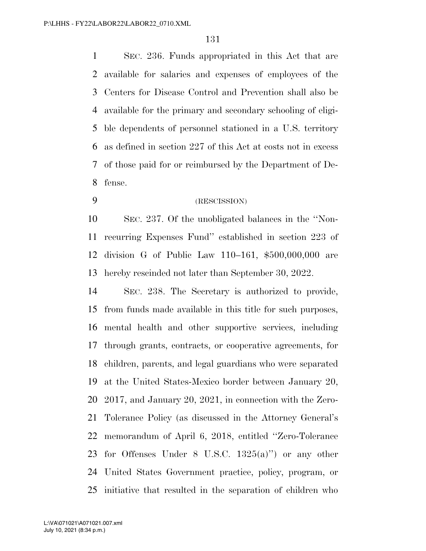SEC. 236. Funds appropriated in this Act that are available for salaries and expenses of employees of the Centers for Disease Control and Prevention shall also be available for the primary and secondary schooling of eligi- ble dependents of personnel stationed in a U.S. territory as defined in section 227 of this Act at costs not in excess of those paid for or reimbursed by the Department of De-fense.

(RESCISSION)

 SEC. 237. Of the unobligated balances in the ''Non- recurring Expenses Fund'' established in section 223 of division G of Public Law 110–161, \$500,000,000 are hereby rescinded not later than September 30, 2022.

 SEC. 238. The Secretary is authorized to provide, from funds made available in this title for such purposes, mental health and other supportive services, including through grants, contracts, or cooperative agreements, for children, parents, and legal guardians who were separated at the United States-Mexico border between January 20, 2017, and January 20, 2021, in connection with the Zero- Tolerance Policy (as discussed in the Attorney General's memorandum of April 6, 2018, entitled ''Zero-Tolerance for Offenses Under 8 U.S.C. 1325(a)'') or any other United States Government practice, policy, program, or initiative that resulted in the separation of children who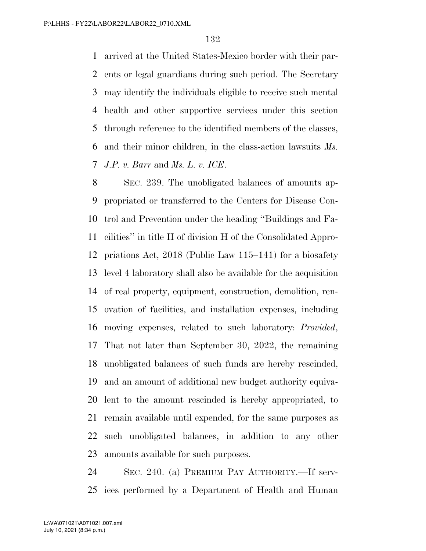arrived at the United States-Mexico border with their par- ents or legal guardians during such period. The Secretary may identify the individuals eligible to receive such mental health and other supportive services under this section through reference to the identified members of the classes, and their minor children, in the class-action lawsuits *Ms. J.P. v. Barr* and *Ms. L. v. ICE*.

 SEC. 239. The unobligated balances of amounts ap- propriated or transferred to the Centers for Disease Con- trol and Prevention under the heading ''Buildings and Fa- cilities'' in title II of division H of the Consolidated Appro- priations Act, 2018 (Public Law 115–141) for a biosafety level 4 laboratory shall also be available for the acquisition of real property, equipment, construction, demolition, ren- ovation of facilities, and installation expenses, including moving expenses, related to such laboratory: *Provided*, That not later than September 30, 2022, the remaining unobligated balances of such funds are hereby rescinded, and an amount of additional new budget authority equiva- lent to the amount rescinded is hereby appropriated, to remain available until expended, for the same purposes as such unobligated balances, in addition to any other amounts available for such purposes.

 SEC. 240. (a) PREMIUM PAY AUTHORITY.—If serv-ices performed by a Department of Health and Human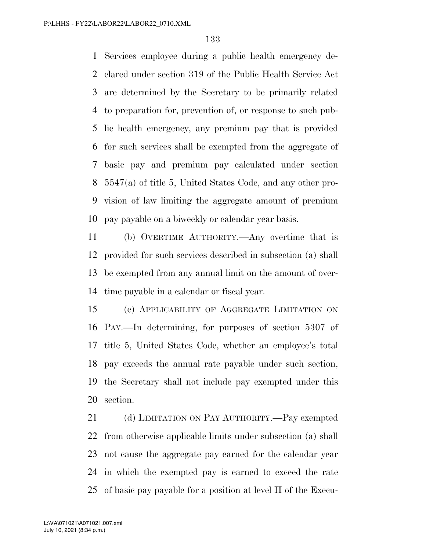Services employee during a public health emergency de- clared under section 319 of the Public Health Service Act are determined by the Secretary to be primarily related to preparation for, prevention of, or response to such pub- lic health emergency, any premium pay that is provided for such services shall be exempted from the aggregate of basic pay and premium pay calculated under section 5547(a) of title 5, United States Code, and any other pro- vision of law limiting the aggregate amount of premium pay payable on a biweekly or calendar year basis.

 (b) OVERTIME AUTHORITY.—Any overtime that is provided for such services described in subsection (a) shall be exempted from any annual limit on the amount of over-time payable in a calendar or fiscal year.

 (c) APPLICABILITY OF AGGREGATE LIMITATION ON PAY.—In determining, for purposes of section 5307 of title 5, United States Code, whether an employee's total pay exceeds the annual rate payable under such section, the Secretary shall not include pay exempted under this section.

 (d) LIMITATION ON PAY AUTHORITY.—Pay exempted from otherwise applicable limits under subsection (a) shall not cause the aggregate pay earned for the calendar year in which the exempted pay is earned to exceed the rate of basic pay payable for a position at level II of the Execu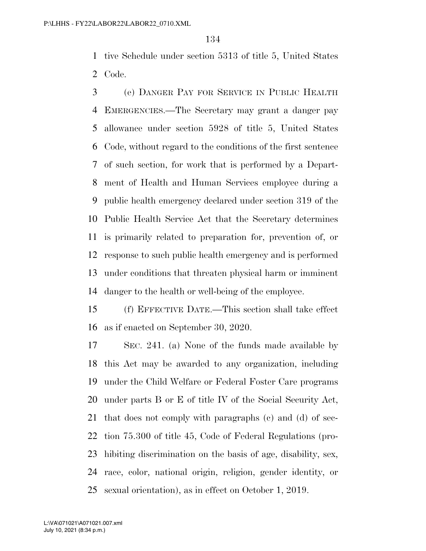tive Schedule under section 5313 of title 5, United States Code.

 (e) DANGER PAY FOR SERVICE IN PUBLIC HEALTH EMERGENCIES.—The Secretary may grant a danger pay allowance under section 5928 of title 5, United States Code, without regard to the conditions of the first sentence of such section, for work that is performed by a Depart- ment of Health and Human Services employee during a public health emergency declared under section 319 of the Public Health Service Act that the Secretary determines is primarily related to preparation for, prevention of, or response to such public health emergency and is performed under conditions that threaten physical harm or imminent danger to the health or well-being of the employee.

 (f) EFFECTIVE DATE.—This section shall take effect as if enacted on September 30, 2020.

 SEC. 241. (a) None of the funds made available by this Act may be awarded to any organization, including under the Child Welfare or Federal Foster Care programs under parts B or E of title IV of the Social Security Act, that does not comply with paragraphs (c) and (d) of sec- tion 75.300 of title 45, Code of Federal Regulations (pro- hibiting discrimination on the basis of age, disability, sex, race, color, national origin, religion, gender identity, or sexual orientation), as in effect on October 1, 2019.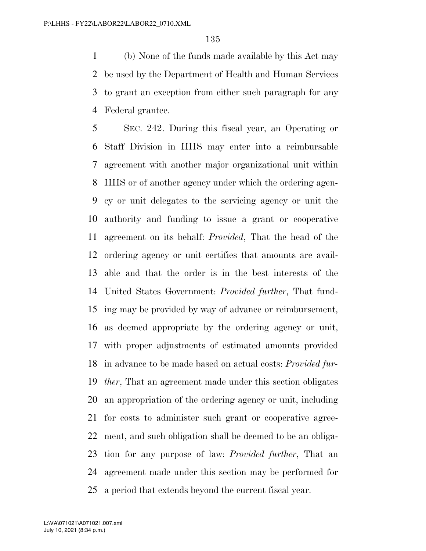(b) None of the funds made available by this Act may be used by the Department of Health and Human Services to grant an exception from either such paragraph for any Federal grantee.

 SEC. 242. During this fiscal year, an Operating or Staff Division in HHS may enter into a reimbursable agreement with another major organizational unit within HHS or of another agency under which the ordering agen- cy or unit delegates to the servicing agency or unit the authority and funding to issue a grant or cooperative agreement on its behalf: *Provided*, That the head of the ordering agency or unit certifies that amounts are avail- able and that the order is in the best interests of the United States Government: *Provided further*, That fund- ing may be provided by way of advance or reimbursement, as deemed appropriate by the ordering agency or unit, with proper adjustments of estimated amounts provided in advance to be made based on actual costs: *Provided fur- ther*, That an agreement made under this section obligates an appropriation of the ordering agency or unit, including for costs to administer such grant or cooperative agree- ment, and such obligation shall be deemed to be an obliga- tion for any purpose of law: *Provided further*, That an agreement made under this section may be performed for a period that extends beyond the current fiscal year.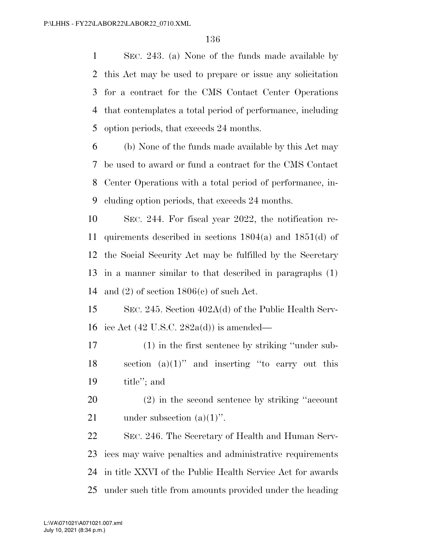SEC. 243. (a) None of the funds made available by this Act may be used to prepare or issue any solicitation for a contract for the CMS Contact Center Operations that contemplates a total period of performance, including option periods, that exceeds 24 months.

 (b) None of the funds made available by this Act may be used to award or fund a contract for the CMS Contact Center Operations with a total period of performance, in-cluding option periods, that exceeds 24 months.

 SEC. 244. For fiscal year 2022, the notification re- quirements described in sections 1804(a) and 1851(d) of the Social Security Act may be fulfilled by the Secretary in a manner similar to that described in paragraphs (1) 14 and (2) of section  $1806(c)$  of such Act.

 SEC. 245. Section 402A(d) of the Public Health Serv-ice Act (42 U.S.C. 282a(d)) is amended—

 (1) in the first sentence by striking ''under sub- section (a)(1)'' and inserting ''to carry out this title''; and

 (2) in the second sentence by striking ''account 21 under subsection  $(a)(1)$ ".

 SEC. 246. The Secretary of Health and Human Serv- ices may waive penalties and administrative requirements in title XXVI of the Public Health Service Act for awards under such title from amounts provided under the heading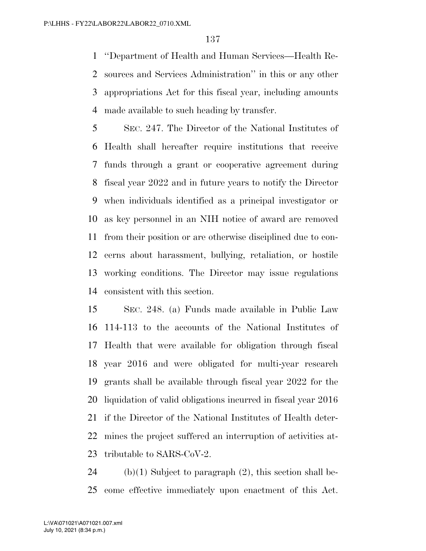''Department of Health and Human Services—Health Re- sources and Services Administration'' in this or any other appropriations Act for this fiscal year, including amounts made available to such heading by transfer.

 SEC. 247. The Director of the National Institutes of Health shall hereafter require institutions that receive funds through a grant or cooperative agreement during fiscal year 2022 and in future years to notify the Director when individuals identified as a principal investigator or as key personnel in an NIH notice of award are removed from their position or are otherwise disciplined due to con- cerns about harassment, bullying, retaliation, or hostile working conditions. The Director may issue regulations consistent with this section.

 SEC. 248. (a) Funds made available in Public Law 114-113 to the accounts of the National Institutes of Health that were available for obligation through fiscal year 2016 and were obligated for multi-year research grants shall be available through fiscal year 2022 for the liquidation of valid obligations incurred in fiscal year 2016 if the Director of the National Institutes of Health deter- mines the project suffered an interruption of activities at-tributable to SARS-CoV-2.

24 (b)(1) Subject to paragraph  $(2)$ , this section shall be-come effective immediately upon enactment of this Act.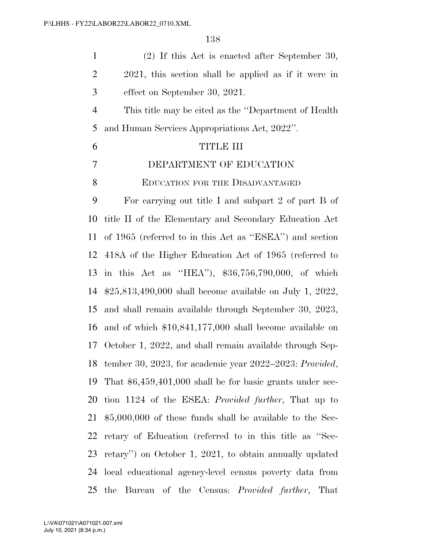| $\mathbf{1}$   | $(2)$ If this Act is enacted after September 30,            |
|----------------|-------------------------------------------------------------|
| $\overline{2}$ | 2021, this section shall be applied as if it were in        |
| 3              | effect on September 30, 2021.                               |
| $\overline{4}$ | This title may be cited as the "Department of Health"       |
| 5              | and Human Services Appropriations Act, 2022".               |
| 6              | <b>TITLE III</b>                                            |
| 7              | DEPARTMENT OF EDUCATION                                     |
| 8              | <b>EDUCATION FOR THE DISADVANTAGED</b>                      |
| 9              | For carrying out title I and subpart 2 of part B of         |
| 10             | title II of the Elementary and Secondary Education Act      |
| 11             | of 1965 (referred to in this Act as "ESEA") and section     |
| 12             | 418A of the Higher Education Act of 1965 (referred to       |
| 13             | in this Act as "HEA"), $$36,756,790,000$ , of which         |
| 14             | $$25,813,490,000$ shall become available on July 1, 2022,   |
| 15             | and shall remain available through September 30, 2023,      |
| 16             | and of which $$10,841,177,000$ shall become available on    |
| 17             | October 1, 2022, and shall remain available through Sep-    |
|                | 18 tember 30, 2023, for academic year 2022-2023: Provided,  |
| 19             | That $$6,459,401,000$ shall be for basic grants under sec-  |
| 20             | tion 1124 of the ESEA: <i>Provided further</i> , That up to |
| 21             | $$5,000,000$ of these funds shall be available to the Sec-  |
| 22             | retary of Education (referred to in this title as "Sec-     |
| 23             | retary") on October 1, 2021, to obtain annually updated     |
| 24             | local educational agency-level census poverty data from     |
| 25             | Bureau of the Census: <i>Provided further</i> , That<br>the |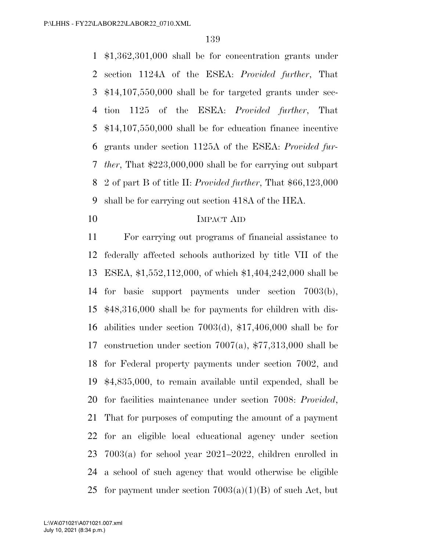\$1,362,301,000 shall be for concentration grants under section 1124A of the ESEA: *Provided further*, That \$14,107,550,000 shall be for targeted grants under sec- tion 1125 of the ESEA: *Provided further*, That \$14,107,550,000 shall be for education finance incentive grants under section 1125A of the ESEA: *Provided fur- ther*, That \$223,000,000 shall be for carrying out subpart 2 of part B of title II: *Provided further*, That \$66,123,000 shall be for carrying out section 418A of the HEA.

# IMPACT AID

 For carrying out programs of financial assistance to federally affected schools authorized by title VII of the ESEA, \$1,552,112,000, of which \$1,404,242,000 shall be for basic support payments under section 7003(b), \$48,316,000 shall be for payments for children with dis- abilities under section 7003(d), \$17,406,000 shall be for construction under section 7007(a), \$77,313,000 shall be for Federal property payments under section 7002, and \$4,835,000, to remain available until expended, shall be for facilities maintenance under section 7008: *Provided*, That for purposes of computing the amount of a payment for an eligible local educational agency under section 7003(a) for school year 2021–2022, children enrolled in a school of such agency that would otherwise be eligible 25 for payment under section  $7003(a)(1)(B)$  of such Act, but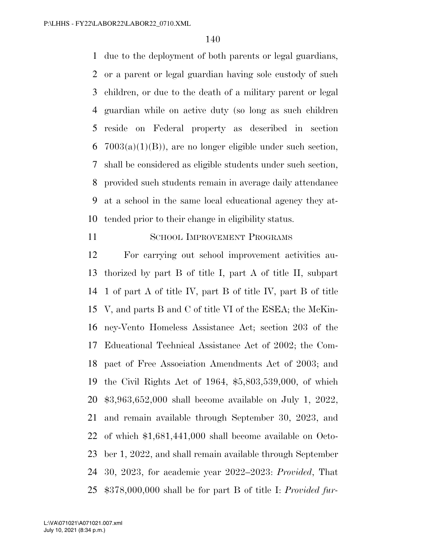due to the deployment of both parents or legal guardians, or a parent or legal guardian having sole custody of such children, or due to the death of a military parent or legal guardian while on active duty (so long as such children reside on Federal property as described in section  $7003(a)(1)(B)$ , are no longer eligible under such section, shall be considered as eligible students under such section, provided such students remain in average daily attendance at a school in the same local educational agency they at-tended prior to their change in eligibility status.

11 SCHOOL IMPROVEMENT PROGRAMS

 For carrying out school improvement activities au- thorized by part B of title I, part A of title II, subpart 1 of part A of title IV, part B of title IV, part B of title V, and parts B and C of title VI of the ESEA; the McKin- ney-Vento Homeless Assistance Act; section 203 of the Educational Technical Assistance Act of 2002; the Com- pact of Free Association Amendments Act of 2003; and the Civil Rights Act of 1964, \$5,803,539,000, of which \$3,963,652,000 shall become available on July 1, 2022, and remain available through September 30, 2023, and of which \$1,681,441,000 shall become available on Octo- ber 1, 2022, and shall remain available through September 30, 2023, for academic year 2022–2023: *Provided*, That \$378,000,000 shall be for part B of title I: *Provided fur-*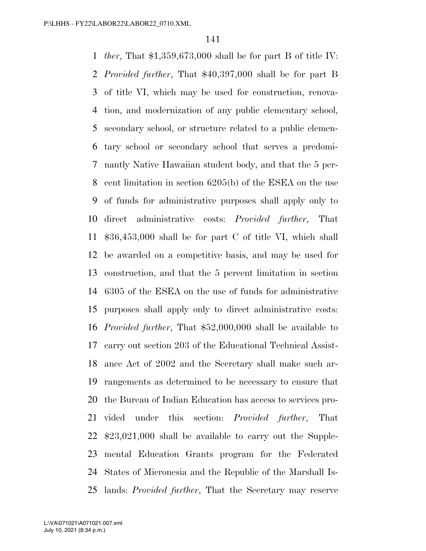*ther*, That \$1,359,673,000 shall be for part B of title IV: *Provided further*, That \$40,397,000 shall be for part B of title VI, which may be used for construction, renova- tion, and modernization of any public elementary school, secondary school, or structure related to a public elemen- tary school or secondary school that serves a predomi- nantly Native Hawaiian student body, and that the 5 per- cent limitation in section 6205(b) of the ESEA on the use of funds for administrative purposes shall apply only to direct administrative costs: *Provided further*, That \$36,453,000 shall be for part C of title VI, which shall be awarded on a competitive basis, and may be used for construction, and that the 5 percent limitation in section 6305 of the ESEA on the use of funds for administrative purposes shall apply only to direct administrative costs: *Provided further*, That \$52,000,000 shall be available to carry out section 203 of the Educational Technical Assist- ance Act of 2002 and the Secretary shall make such ar- rangements as determined to be necessary to ensure that the Bureau of Indian Education has access to services pro- vided under this section: *Provided further*, That \$23,021,000 shall be available to carry out the Supple- mental Education Grants program for the Federated States of Micronesia and the Republic of the Marshall Is-lands: *Provided further*, That the Secretary may reserve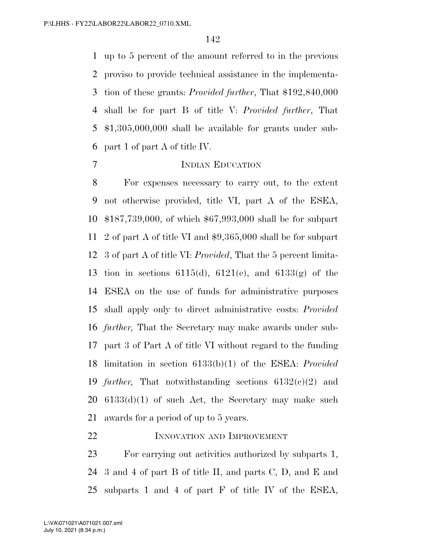up to 5 percent of the amount referred to in the previous proviso to provide technical assistance in the implementa- tion of these grants: *Provided further*, That \$192,840,000 shall be for part B of title V: *Provided further*, That \$1,305,000,000 shall be available for grants under sub-part 1 of part A of title IV.

## INDIAN EDUCATION

 For expenses necessary to carry out, to the extent not otherwise provided, title VI, part A of the ESEA, \$187,739,000, of which \$67,993,000 shall be for subpart 2 of part A of title VI and \$9,365,000 shall be for subpart 3 of part A of title VI: *Provided*, That the 5 percent limita-13 tion in sections 6115(d), 6121(e), and 6133(g) of the ESEA on the use of funds for administrative purposes shall apply only to direct administrative costs: *Provided further,* That the Secretary may make awards under sub- part 3 of Part A of title VI without regard to the funding limitation in section 6133(b)(1) of the ESEA: *Provided further,* That notwithstanding sections 6132(c)(2) and 6133(d)(1) of such Act, the Secretary may make such awards for a period of up to 5 years.

## INNOVATION AND IMPROVEMENT

 For carrying out activities authorized by subparts 1, 3 and 4 of part B of title II, and parts C, D, and E and subparts 1 and 4 of part F of title IV of the ESEA,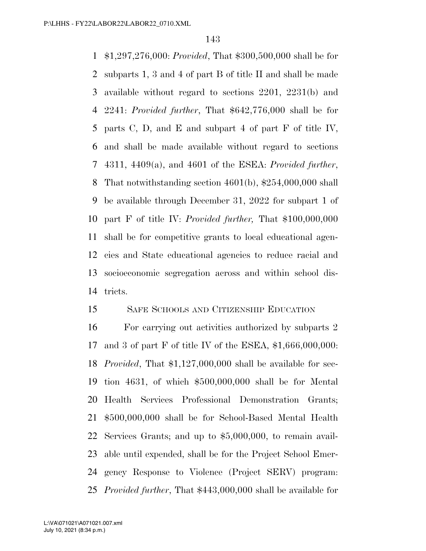\$1,297,276,000: *Provided*, That \$300,500,000 shall be for subparts 1, 3 and 4 of part B of title II and shall be made available without regard to sections 2201, 2231(b) and 2241: *Provided further*, That \$642,776,000 shall be for parts C, D, and E and subpart 4 of part F of title IV, and shall be made available without regard to sections 4311, 4409(a), and 4601 of the ESEA: *Provided further*, That notwithstanding section 4601(b), \$254,000,000 shall be available through December 31, 2022 for subpart 1 of part F of title IV: *Provided further,* That \$100,000,000 shall be for competitive grants to local educational agen- cies and State educational agencies to reduce racial and socioeconomic segregation across and within school dis-tricts.

# SAFE SCHOOLS AND CITIZENSHIP EDUCATION

 For carrying out activities authorized by subparts 2 and 3 of part F of title IV of the ESEA, \$1,666,000,000: *Provided*, That \$1,127,000,000 shall be available for sec- tion 4631, of which \$500,000,000 shall be for Mental Health Services Professional Demonstration Grants; \$500,000,000 shall be for School-Based Mental Health Services Grants; and up to \$5,000,000, to remain avail- able until expended, shall be for the Project School Emer- gency Response to Violence (Project SERV) program: *Provided further*, That \$443,000,000 shall be available for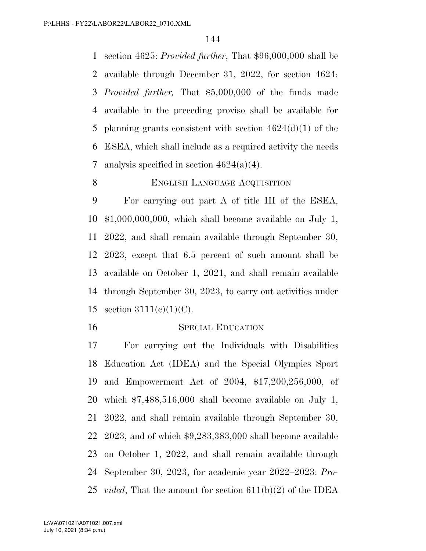section 4625: *Provided further*, That \$96,000,000 shall be available through December 31, 2022, for section 4624: *Provided further,* That \$5,000,000 of the funds made available in the preceding proviso shall be available for planning grants consistent with section 4624(d)(1) of the ESEA, which shall include as a required activity the needs 7 analysis specified in section  $4624(a)(4)$ .

# 8 ENGLISH LANGUAGE ACQUISITION

 For carrying out part A of title III of the ESEA, \$1,000,000,000, which shall become available on July 1, 2022, and shall remain available through September 30, 2023, except that 6.5 percent of such amount shall be available on October 1, 2021, and shall remain available through September 30, 2023, to carry out activities under 15 section  $3111(e)(1)(C)$ .

## SPECIAL EDUCATION

 For carrying out the Individuals with Disabilities Education Act (IDEA) and the Special Olympics Sport and Empowerment Act of 2004, \$17,200,256,000, of which \$7,488,516,000 shall become available on July 1, 2022, and shall remain available through September 30, 2023, and of which \$9,283,383,000 shall become available on October 1, 2022, and shall remain available through September 30, 2023, for academic year 2022–2023: *Pro-vided*, That the amount for section 611(b)(2) of the IDEA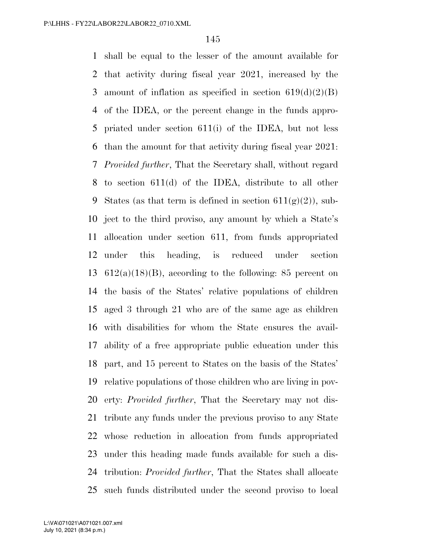shall be equal to the lesser of the amount available for that activity during fiscal year 2021, increased by the 3 amount of inflation as specified in section  $619(d)(2)(B)$  of the IDEA, or the percent change in the funds appro- priated under section 611(i) of the IDEA, but not less than the amount for that activity during fiscal year 2021: *Provided further*, That the Secretary shall, without regard to section 611(d) of the IDEA, distribute to all other 9 States (as that term is defined in section  $611(g)(2)$ ), sub- ject to the third proviso, any amount by which a State's allocation under section 611, from funds appropriated under this heading, is reduced under section  $612(a)(18)(B)$ , according to the following: 85 percent on the basis of the States' relative populations of children aged 3 through 21 who are of the same age as children with disabilities for whom the State ensures the avail- ability of a free appropriate public education under this part, and 15 percent to States on the basis of the States' relative populations of those children who are living in pov- erty: *Provided further*, That the Secretary may not dis- tribute any funds under the previous proviso to any State whose reduction in allocation from funds appropriated under this heading made funds available for such a dis- tribution: *Provided further*, That the States shall allocate such funds distributed under the second proviso to local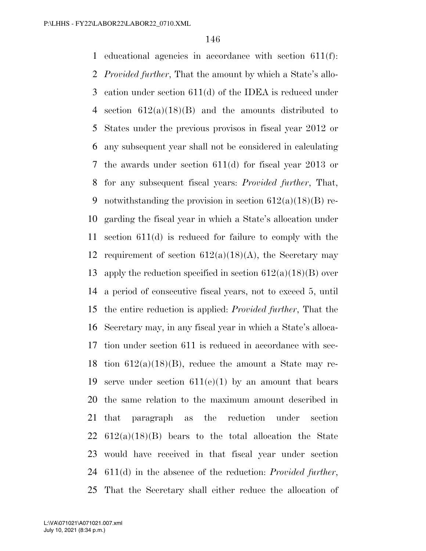educational agencies in accordance with section 611(f): *Provided further*, That the amount by which a State's allo- cation under section 611(d) of the IDEA is reduced under 4 section  $612(a)(18)(B)$  and the amounts distributed to States under the previous provisos in fiscal year 2012 or any subsequent year shall not be considered in calculating the awards under section 611(d) for fiscal year 2013 or for any subsequent fiscal years: *Provided further*, That, 9 notwithstanding the provision in section  $612(a)(18)(B)$  re- garding the fiscal year in which a State's allocation under section 611(d) is reduced for failure to comply with the 12 requirement of section  $612(a)(18)(A)$ , the Secretary may 13 apply the reduction specified in section  $612(a)(18)(B)$  over a period of consecutive fiscal years, not to exceed 5, until the entire reduction is applied: *Provided further*, That the Secretary may, in any fiscal year in which a State's alloca- tion under section 611 is reduced in accordance with sec-18 tion  $612(a)(18)(B)$ , reduce the amount a State may re-19 serve under section  $611(e)(1)$  by an amount that bears the same relation to the maximum amount described in that paragraph as the reduction under section  $612(a)(18)(B)$  bears to the total allocation the State would have received in that fiscal year under section 611(d) in the absence of the reduction: *Provided further*, That the Secretary shall either reduce the allocation of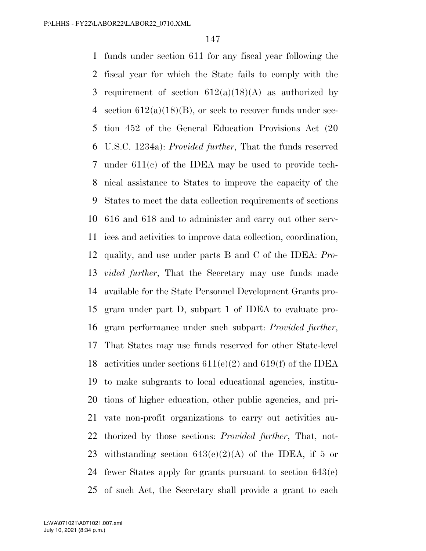funds under section 611 for any fiscal year following the fiscal year for which the State fails to comply with the 3 requirement of section  $612(a)(18)(A)$  as authorized by 4 section  $612(a)(18)(B)$ , or seek to recover funds under sec- tion 452 of the General Education Provisions Act (20 U.S.C. 1234a): *Provided further*, That the funds reserved under 611(c) of the IDEA may be used to provide tech- nical assistance to States to improve the capacity of the States to meet the data collection requirements of sections 616 and 618 and to administer and carry out other serv- ices and activities to improve data collection, coordination, quality, and use under parts B and C of the IDEA: *Pro- vided further*, That the Secretary may use funds made available for the State Personnel Development Grants pro- gram under part D, subpart 1 of IDEA to evaluate pro- gram performance under such subpart: *Provided further*, That States may use funds reserved for other State-level 18 activities under sections  $611(e)(2)$  and  $619(f)$  of the IDEA to make subgrants to local educational agencies, institu- tions of higher education, other public agencies, and pri- vate non-profit organizations to carry out activities au- thorized by those sections: *Provided further*, That, not-23 withstanding section  $643(e)(2)(A)$  of the IDEA, if 5 or fewer States apply for grants pursuant to section 643(e) of such Act, the Secretary shall provide a grant to each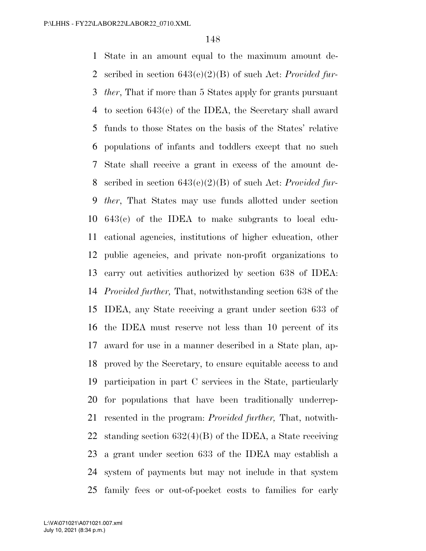State in an amount equal to the maximum amount de- scribed in section 643(e)(2)(B) of such Act: *Provided fur- ther*, That if more than 5 States apply for grants pursuant to section 643(e) of the IDEA, the Secretary shall award funds to those States on the basis of the States' relative populations of infants and toddlers except that no such State shall receive a grant in excess of the amount de- scribed in section 643(e)(2)(B) of such Act: *Provided fur- ther*, That States may use funds allotted under section 643(c) of the IDEA to make subgrants to local edu- cational agencies, institutions of higher education, other public agencies, and private non-profit organizations to carry out activities authorized by section 638 of IDEA: *Provided further,* That, notwithstanding section 638 of the IDEA, any State receiving a grant under section 633 of the IDEA must reserve not less than 10 percent of its award for use in a manner described in a State plan, ap- proved by the Secretary, to ensure equitable access to and participation in part C services in the State, particularly for populations that have been traditionally underrep- resented in the program: *Provided further,* That, notwith- standing section 632(4)(B) of the IDEA, a State receiving a grant under section 633 of the IDEA may establish a system of payments but may not include in that system family fees or out-of-pocket costs to families for early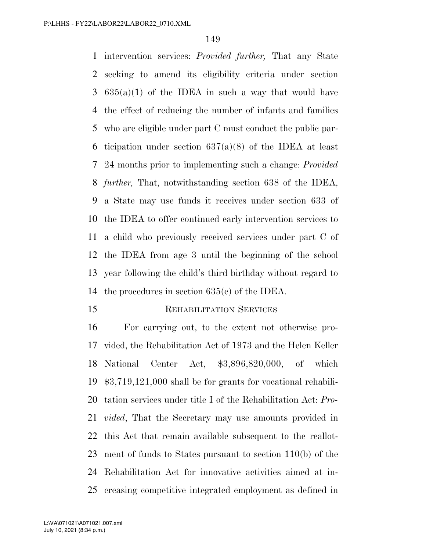intervention services: *Provided further,* That any State seeking to amend its eligibility criteria under section  $3\quad635(a)(1)$  of the IDEA in such a way that would have the effect of reducing the number of infants and families who are eligible under part C must conduct the public par-6 ticipation under section  $637(a)(8)$  of the IDEA at least 24 months prior to implementing such a change: *Provided further,* That, notwithstanding section 638 of the IDEA, a State may use funds it receives under section 633 of the IDEA to offer continued early intervention services to a child who previously received services under part C of the IDEA from age 3 until the beginning of the school year following the child's third birthday without regard to the procedures in section 635(c) of the IDEA.

15 REHABILITATION SERVICES

# For carrying out, to the extent not otherwise pro- vided, the Rehabilitation Act of 1973 and the Helen Keller National Center Act, \$3,896,820,000, of which \$3,719,121,000 shall be for grants for vocational rehabili- tation services under title I of the Rehabilitation Act: *Pro- vided*, That the Secretary may use amounts provided in this Act that remain available subsequent to the reallot- ment of funds to States pursuant to section 110(b) of the Rehabilitation Act for innovative activities aimed at in-creasing competitive integrated employment as defined in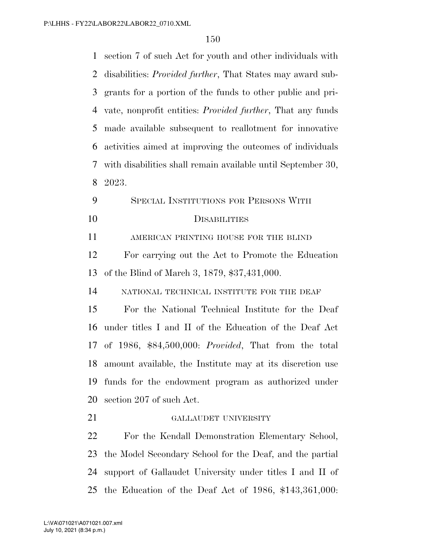| 1  | section 7 of such Act for youth and other individuals with         |
|----|--------------------------------------------------------------------|
| 2  | disabilities: <i>Provided further</i> , That States may award sub- |
| 3  | grants for a portion of the funds to other public and pri-         |
| 4  | vate, nonprofit entities: <i>Provided further</i> , That any funds |
| 5  | made available subsequent to reallotment for innovative            |
| 6  | activities aimed at improving the outcomes of individuals          |
| 7  | with disabilities shall remain available until September 30,       |
| 8  | 2023.                                                              |
| 9  | SPECIAL INSTITUTIONS FOR PERSONS WITH                              |
| 10 | <b>DISABILITIES</b>                                                |
| 11 | AMERICAN PRINTING HOUSE FOR THE BLIND                              |
| 12 | For carrying out the Act to Promote the Education                  |
| 13 | of the Blind of March 3, 1879, \$37,431,000.                       |
| 14 | NATIONAL TECHNICAL INSTITUTE FOR THE DEAF                          |
| 15 | For the National Technical Institute for the Deaf                  |
| 16 | under titles I and II of the Education of the Deaf Act             |
|    | 17 of 1986, \$84,500,000: Provided, That from the total            |
| 18 | amount available, the Institute may at its discretion use          |
| 19 | funds for the endowment program as authorized under                |
| 20 | section 207 of such Act.                                           |
| 21 | GALLAUDET UNIVERSITY                                               |
| 22 | For the Kendall Demonstration Elementary School,                   |
| 23 | the Model Secondary School for the Deaf, and the partial           |
| 24 | support of Gallaudet University under titles I and II of           |
| 25 | the Education of the Deaf Act of 1986, $$143,361,000$ :            |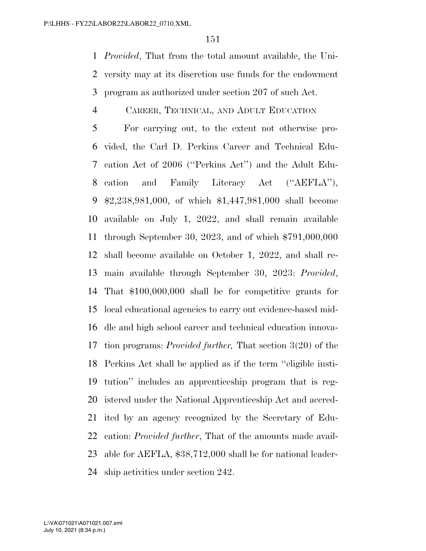*Provided*, That from the total amount available, the Uni- versity may at its discretion use funds for the endowment program as authorized under section 207 of such Act.

#### CAREER, TECHNICAL, AND ADULT EDUCATION

 For carrying out, to the extent not otherwise pro- vided, the Carl D. Perkins Career and Technical Edu- cation Act of 2006 (''Perkins Act'') and the Adult Edu- cation and Family Literacy Act (''AEFLA''), \$2,238,981,000, of which \$1,447,981,000 shall become available on July 1, 2022, and shall remain available through September 30, 2023, and of which \$791,000,000 shall become available on October 1, 2022, and shall re- main available through September 30, 2023: *Provided*, That \$100,000,000 shall be for competitive grants for local educational agencies to carry out evidence-based mid- dle and high school career and technical education innova- tion programs: *Provided further,* That section 3(20) of the Perkins Act shall be applied as if the term ''eligible insti- tution'' includes an apprenticeship program that is reg- istered under the National Apprenticeship Act and accred- ited by an agency recognized by the Secretary of Edu- cation: *Provided further*, That of the amounts made avail- able for AEFLA, \$38,712,000 shall be for national leader-ship activities under section 242.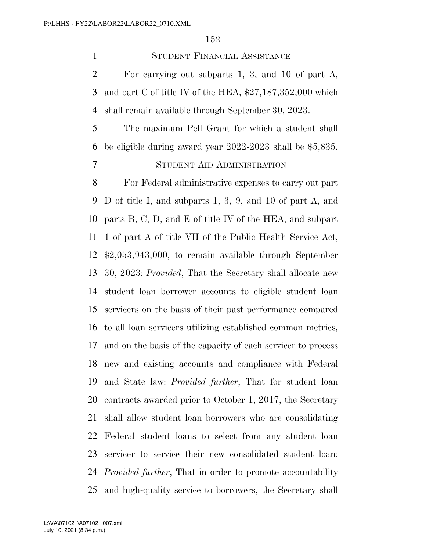STUDENT FINANCIAL ASSISTANCE

 For carrying out subparts 1, 3, and 10 of part A, and part C of title IV of the HEA, \$27,187,352,000 which shall remain available through September 30, 2023.

 The maximum Pell Grant for which a student shall be eligible during award year 2022-2023 shall be \$5,835. STUDENT AID ADMINISTRATION

 For Federal administrative expenses to carry out part D of title I, and subparts 1, 3, 9, and 10 of part A, and parts B, C, D, and E of title IV of the HEA, and subpart 1 of part A of title VII of the Public Health Service Act, \$2,053,943,000, to remain available through September 30, 2023: *Provided*, That the Secretary shall allocate new student loan borrower accounts to eligible student loan servicers on the basis of their past performance compared to all loan servicers utilizing established common metrics, and on the basis of the capacity of each servicer to process new and existing accounts and compliance with Federal and State law: *Provided further*, That for student loan contracts awarded prior to October 1, 2017, the Secretary shall allow student loan borrowers who are consolidating Federal student loans to select from any student loan servicer to service their new consolidated student loan: *Provided further*, That in order to promote accountability and high-quality service to borrowers, the Secretary shall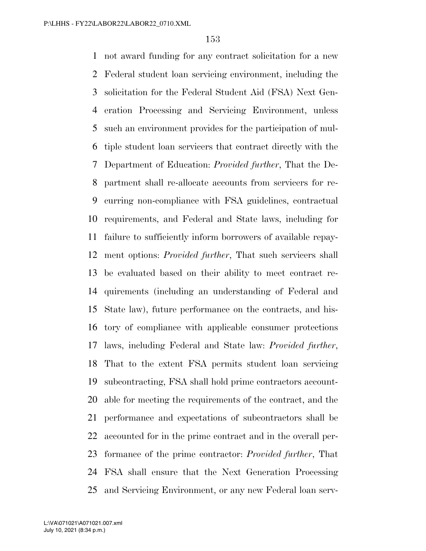not award funding for any contract solicitation for a new Federal student loan servicing environment, including the solicitation for the Federal Student Aid (FSA) Next Gen- eration Processing and Servicing Environment, unless such an environment provides for the participation of mul- tiple student loan servicers that contract directly with the Department of Education: *Provided further*, That the De- partment shall re-allocate accounts from servicers for re- curring non-compliance with FSA guidelines, contractual requirements, and Federal and State laws, including for failure to sufficiently inform borrowers of available repay- ment options: *Provided further*, That such servicers shall be evaluated based on their ability to meet contract re- quirements (including an understanding of Federal and State law), future performance on the contracts, and his- tory of compliance with applicable consumer protections laws, including Federal and State law: *Provided further*, That to the extent FSA permits student loan servicing subcontracting, FSA shall hold prime contractors account- able for meeting the requirements of the contract, and the performance and expectations of subcontractors shall be accounted for in the prime contract and in the overall per- formance of the prime contractor: *Provided further*, That FSA shall ensure that the Next Generation Processing and Servicing Environment, or any new Federal loan serv-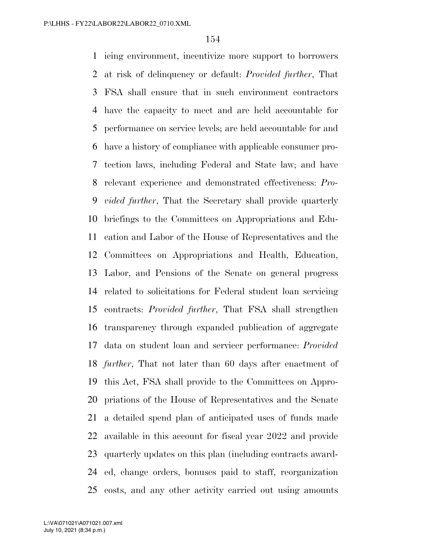icing environment, incentivize more support to borrowers at risk of delinquency or default: *Provided further*, That FSA shall ensure that in such environment contractors have the capacity to meet and are held accountable for performance on service levels; are held accountable for and have a history of compliance with applicable consumer pro- tection laws, including Federal and State law; and have relevant experience and demonstrated effectiveness: *Pro- vided further*, That the Secretary shall provide quarterly briefings to the Committees on Appropriations and Edu- cation and Labor of the House of Representatives and the Committees on Appropriations and Health, Education, Labor, and Pensions of the Senate on general progress related to solicitations for Federal student loan servicing contracts: *Provided further*, That FSA shall strengthen transparency through expanded publication of aggregate data on student loan and servicer performance: *Provided further*, That not later than 60 days after enactment of this Act, FSA shall provide to the Committees on Appro- priations of the House of Representatives and the Senate a detailed spend plan of anticipated uses of funds made available in this account for fiscal year 2022 and provide quarterly updates on this plan (including contracts award- ed, change orders, bonuses paid to staff, reorganization costs, and any other activity carried out using amounts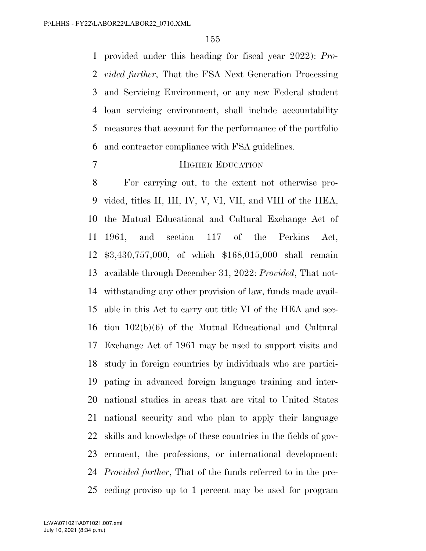provided under this heading for fiscal year 2022): *Pro- vided further*, That the FSA Next Generation Processing and Servicing Environment, or any new Federal student loan servicing environment, shall include accountability measures that account for the performance of the portfolio and contractor compliance with FSA guidelines.

#### HIGHER EDUCATION

 For carrying out, to the extent not otherwise pro- vided, titles II, III, IV, V, VI, VII, and VIII of the HEA, the Mutual Educational and Cultural Exchange Act of 1961, and section 117 of the Perkins Act, \$3,430,757,000, of which \$168,015,000 shall remain available through December 31, 2022: *Provided*, That not- withstanding any other provision of law, funds made avail- able in this Act to carry out title VI of the HEA and sec- tion 102(b)(6) of the Mutual Educational and Cultural Exchange Act of 1961 may be used to support visits and study in foreign countries by individuals who are partici- pating in advanced foreign language training and inter- national studies in areas that are vital to United States national security and who plan to apply their language skills and knowledge of these countries in the fields of gov- ernment, the professions, or international development: *Provided further*, That of the funds referred to in the pre-ceding proviso up to 1 percent may be used for program

July 10, 2021 (8:34 p.m.) L:\VA\071021\A071021.007.xml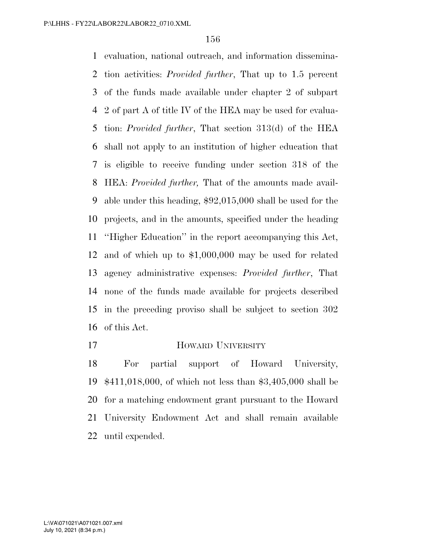evaluation, national outreach, and information dissemina- tion activities: *Provided further*, That up to 1.5 percent of the funds made available under chapter 2 of subpart 2 of part A of title IV of the HEA may be used for evalua- tion: *Provided further*, That section 313(d) of the HEA shall not apply to an institution of higher education that is eligible to receive funding under section 318 of the HEA: *Provided further,* That of the amounts made avail- able under this heading, \$92,015,000 shall be used for the projects, and in the amounts, specified under the heading ''Higher Education'' in the report accompanying this Act, and of which up to \$1,000,000 may be used for related agency administrative expenses: *Provided further*, That none of the funds made available for projects described in the preceding proviso shall be subject to section 302 of this Act.

#### **HOWARD UNIVERSITY**

 For partial support of Howard University, \$411,018,000, of which not less than \$3,405,000 shall be for a matching endowment grant pursuant to the Howard University Endowment Act and shall remain available until expended.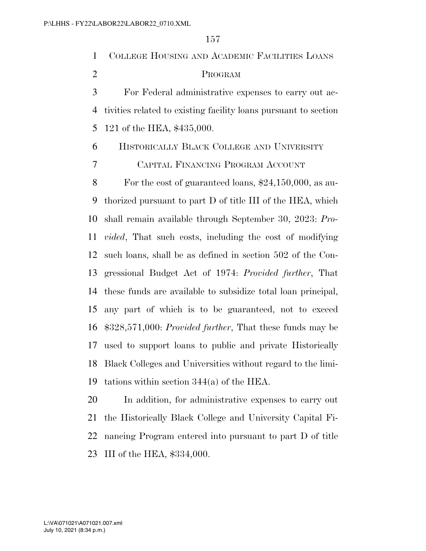COLLEGE HOUSING AND ACADEMIC FACILITIES LOANS PROGRAM For Federal administrative expenses to carry out ac- tivities related to existing facility loans pursuant to section 121 of the HEA, \$435,000. HISTORICALLY BLACK COLLEGE AND UNIVERSITY CAPITAL FINANCING PROGRAM ACCOUNT For the cost of guaranteed loans, \$24,150,000, as au- thorized pursuant to part D of title III of the HEA, which shall remain available through September 30, 2023: *Pro- vided*, That such costs, including the cost of modifying such loans, shall be as defined in section 502 of the Con- gressional Budget Act of 1974: *Provided further*, That these funds are available to subsidize total loan principal, any part of which is to be guaranteed, not to exceed \$328,571,000: *Provided further*, That these funds may be used to support loans to public and private Historically Black Colleges and Universities without regard to the limi- tations within section 344(a) of the HEA. In addition, for administrative expenses to carry out

 the Historically Black College and University Capital Fi- nancing Program entered into pursuant to part D of title III of the HEA, \$334,000.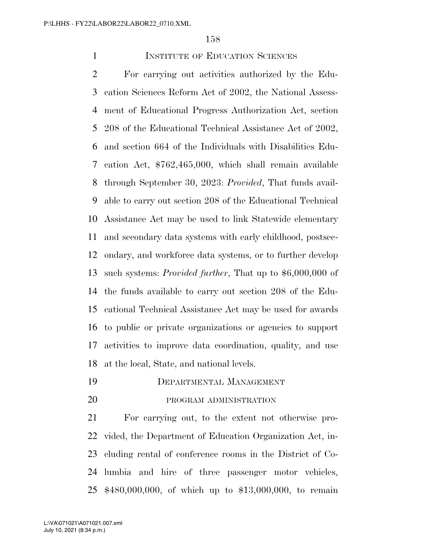### **INSTITUTE OF EDUCATION SCIENCES**

 For carrying out activities authorized by the Edu- cation Sciences Reform Act of 2002, the National Assess- ment of Educational Progress Authorization Act, section 208 of the Educational Technical Assistance Act of 2002, and section 664 of the Individuals with Disabilities Edu- cation Act, \$762,465,000, which shall remain available through September 30, 2023: *Provided*, That funds avail- able to carry out section 208 of the Educational Technical Assistance Act may be used to link Statewide elementary and secondary data systems with early childhood, postsec- ondary, and workforce data systems, or to further develop such systems: *Provided further*, That up to \$6,000,000 of the funds available to carry out section 208 of the Edu- cational Technical Assistance Act may be used for awards to public or private organizations or agencies to support activities to improve data coordination, quality, and use at the local, State, and national levels.

## DEPARTMENTAL MANAGEMENT

20 PROGRAM ADMINISTRATION

 For carrying out, to the extent not otherwise pro- vided, the Department of Education Organization Act, in- cluding rental of conference rooms in the District of Co- lumbia and hire of three passenger motor vehicles, \$480,000,000, of which up to \$13,000,000, to remain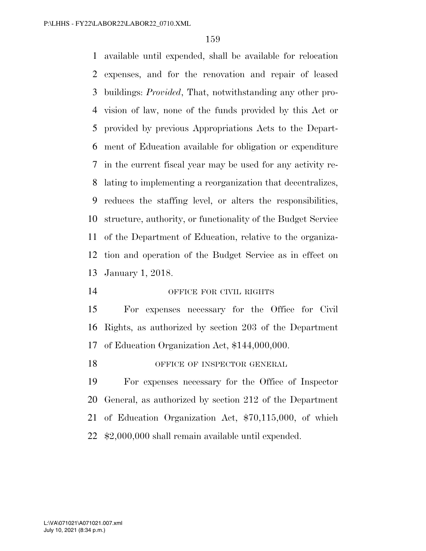available until expended, shall be available for relocation expenses, and for the renovation and repair of leased buildings: *Provided*, That, notwithstanding any other pro- vision of law, none of the funds provided by this Act or provided by previous Appropriations Acts to the Depart- ment of Education available for obligation or expenditure in the current fiscal year may be used for any activity re- lating to implementing a reorganization that decentralizes, reduces the staffing level, or alters the responsibilities, structure, authority, or functionality of the Budget Service of the Department of Education, relative to the organiza- tion and operation of the Budget Service as in effect on January 1, 2018.

### OFFICE FOR CIVIL RIGHTS

 For expenses necessary for the Office for Civil Rights, as authorized by section 203 of the Department of Education Organization Act, \$144,000,000.

18 OFFICE OF INSPECTOR GENERAL

 For expenses necessary for the Office of Inspector General, as authorized by section 212 of the Department of Education Organization Act, \$70,115,000, of which \$2,000,000 shall remain available until expended.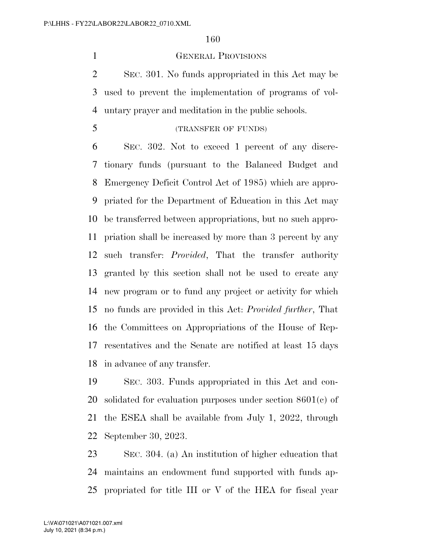#### GENERAL PROVISIONS

 SEC. 301. No funds appropriated in this Act may be used to prevent the implementation of programs of vol-untary prayer and meditation in the public schools.

 SEC. 302. Not to exceed 1 percent of any discre- tionary funds (pursuant to the Balanced Budget and Emergency Deficit Control Act of 1985) which are appro- priated for the Department of Education in this Act may be transferred between appropriations, but no such appro- priation shall be increased by more than 3 percent by any such transfer: *Provided*, That the transfer authority granted by this section shall not be used to create any new program or to fund any project or activity for which no funds are provided in this Act: *Provided further*, That the Committees on Appropriations of the House of Rep- resentatives and the Senate are notified at least 15 days in advance of any transfer.

 SEC. 303. Funds appropriated in this Act and con- solidated for evaluation purposes under section 8601(c) of the ESEA shall be available from July 1, 2022, through September 30, 2023.

 SEC. 304. (a) An institution of higher education that maintains an endowment fund supported with funds ap-propriated for title III or V of the HEA for fiscal year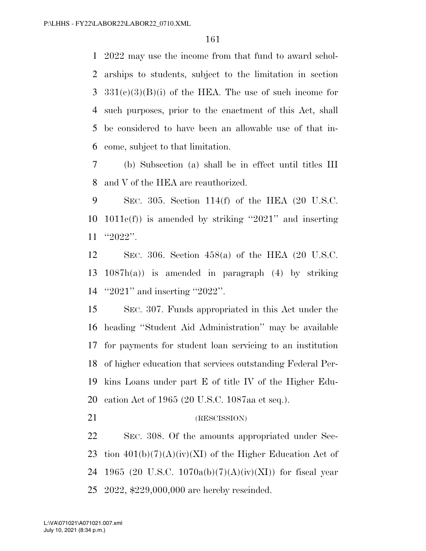2022 may use the income from that fund to award schol- arships to students, subject to the limitation in section  $331(e)(3)(B)(i)$  of the HEA. The use of such income for such purposes, prior to the enactment of this Act, shall be considered to have been an allowable use of that in-come, subject to that limitation.

 (b) Subsection (a) shall be in effect until titles III and V of the HEA are reauthorized.

 SEC. 305. Section 114(f) of the HEA (20 U.S.C. 1011c(f)) is amended by striking ''2021'' and inserting ''2022''.

 SEC. 306. Section 458(a) of the HEA (20 U.S.C. 1087h(a)) is amended in paragraph (4) by striking ''2021'' and inserting ''2022''.

 SEC. 307. Funds appropriated in this Act under the heading ''Student Aid Administration'' may be available for payments for student loan servicing to an institution of higher education that services outstanding Federal Per- kins Loans under part E of title IV of the Higher Edu-cation Act of 1965 (20 U.S.C. 1087aa et seq.).

# 21 (RESCISSION)

 SEC. 308. Of the amounts appropriated under Sec-23 tion  $401(b)(7)(A)(iv)(XI)$  of the Higher Education Act of 24 1965 (20 U.S.C. 1070a(b)(7)(A)(iv)(XI)) for fiscal year 2022, \$229,000,000 are hereby rescinded.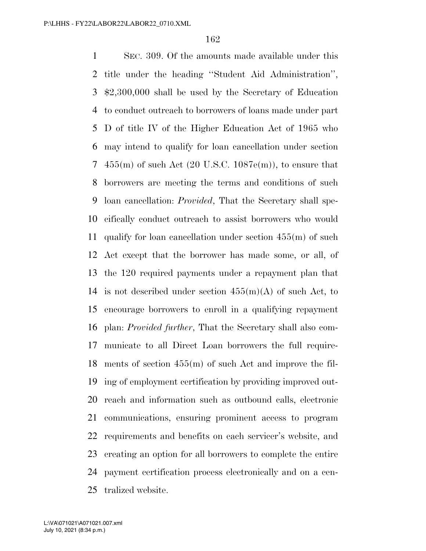SEC. 309. Of the amounts made available under this title under the heading ''Student Aid Administration'', \$2,300,000 shall be used by the Secretary of Education to conduct outreach to borrowers of loans made under part D of title IV of the Higher Education Act of 1965 who may intend to qualify for loan cancellation under section 7 455(m) of such Act  $(20 \text{ U.S.C. } 1087\text{e(m)})$ , to ensure that borrowers are meeting the terms and conditions of such loan cancellation: *Provided*, That the Secretary shall spe- cifically conduct outreach to assist borrowers who would qualify for loan cancellation under section 455(m) of such Act except that the borrower has made some, or all, of the 120 required payments under a repayment plan that 14 is not described under section  $455(m)(A)$  of such Act, to encourage borrowers to enroll in a qualifying repayment plan: *Provided further*, That the Secretary shall also com- municate to all Direct Loan borrowers the full require- ments of section 455(m) of such Act and improve the fil- ing of employment certification by providing improved out- reach and information such as outbound calls, electronic communications, ensuring prominent access to program requirements and benefits on each servicer's website, and creating an option for all borrowers to complete the entire payment certification process electronically and on a cen-tralized website.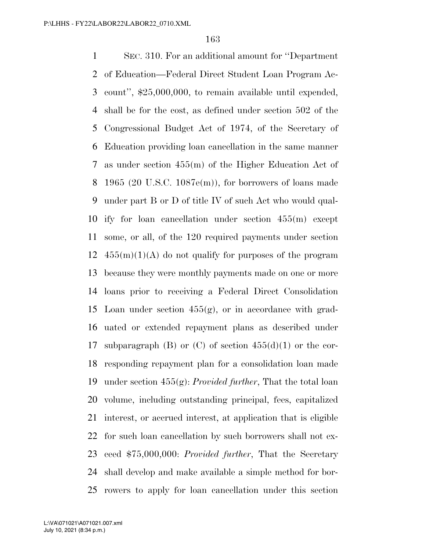SEC. 310. For an additional amount for ''Department of Education—Federal Direct Student Loan Program Ac- count'', \$25,000,000, to remain available until expended, shall be for the cost, as defined under section 502 of the Congressional Budget Act of 1974, of the Secretary of Education providing loan cancellation in the same manner as under section 455(m) of the Higher Education Act of 8 1965 (20 U.S.C. 1087 $e(m)$ ), for borrowers of loans made under part B or D of title IV of such Act who would qual- ify for loan cancellation under section 455(m) except some, or all, of the 120 required payments under section  $455(m)(1)(A)$  do not qualify for purposes of the program because they were monthly payments made on one or more loans prior to receiving a Federal Direct Consolidation 15 Loan under section  $455(g)$ , or in accordance with grad- uated or extended repayment plans as described under 17 subparagraph (B) or (C) of section  $455(d)(1)$  or the cor- responding repayment plan for a consolidation loan made under section 455(g): *Provided further*, That the total loan volume, including outstanding principal, fees, capitalized interest, or accrued interest, at application that is eligible for such loan cancellation by such borrowers shall not ex- ceed \$75,000,000: *Provided further*, That the Secretary shall develop and make available a simple method for bor-rowers to apply for loan cancellation under this section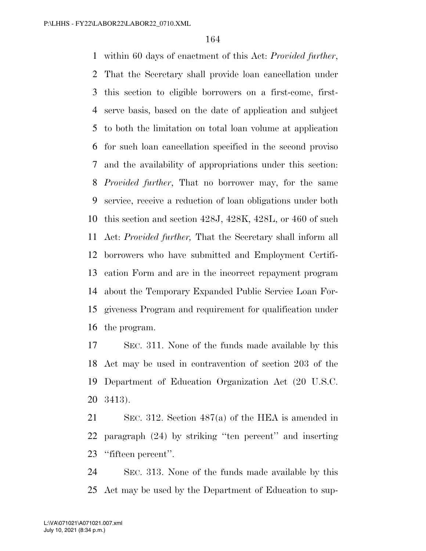within 60 days of enactment of this Act: *Provided further*, That the Secretary shall provide loan cancellation under this section to eligible borrowers on a first-come, first- serve basis, based on the date of application and subject to both the limitation on total loan volume at application for such loan cancellation specified in the second proviso and the availability of appropriations under this section: *Provided further*, That no borrower may, for the same service, receive a reduction of loan obligations under both this section and section 428J, 428K, 428L, or 460 of such Act: *Provided further,* That the Secretary shall inform all borrowers who have submitted and Employment Certifi- cation Form and are in the incorrect repayment program about the Temporary Expanded Public Service Loan For- giveness Program and requirement for qualification under the program.

 SEC. 311. None of the funds made available by this Act may be used in contravention of section 203 of the Department of Education Organization Act (20 U.S.C. 3413).

 SEC. 312. Section 487(a) of the HEA is amended in paragraph (24) by striking ''ten percent'' and inserting ''fifteen percent''.

 SEC. 313. None of the funds made available by this Act may be used by the Department of Education to sup-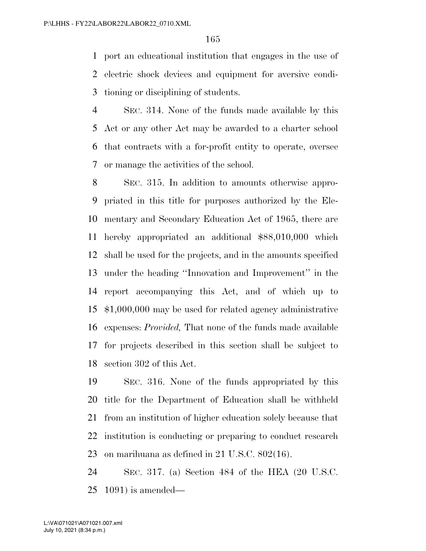port an educational institution that engages in the use of electric shock devices and equipment for aversive condi-tioning or disciplining of students.

 SEC. 314. None of the funds made available by this Act or any other Act may be awarded to a charter school that contracts with a for-profit entity to operate, oversee or manage the activities of the school.

 SEC. 315. In addition to amounts otherwise appro- priated in this title for purposes authorized by the Ele- mentary and Secondary Education Act of 1965, there are hereby appropriated an additional \$88,010,000 which shall be used for the projects, and in the amounts specified under the heading ''Innovation and Improvement'' in the report accompanying this Act, and of which up to \$1,000,000 may be used for related agency administrative expenses: *Provided,* That none of the funds made available for projects described in this section shall be subject to section 302 of this Act.

 SEC. 316. None of the funds appropriated by this title for the Department of Education shall be withheld from an institution of higher education solely because that institution is conducting or preparing to conduct research on marihuana as defined in 21 U.S.C. 802(16).

 SEC. 317. (a) Section 484 of the HEA (20 U.S.C. 1091) is amended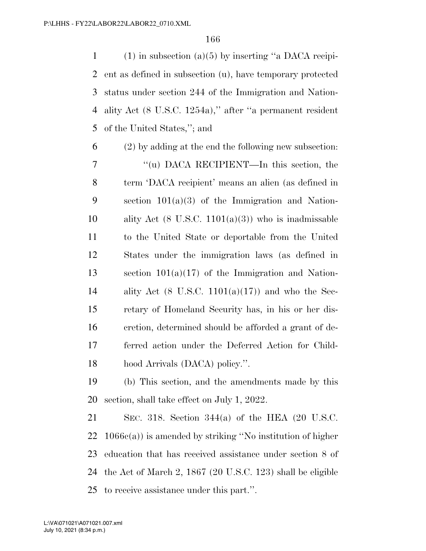1 (1) in subsection (a)(5) by inserting "a DACA recipi- ent as defined in subsection (u), have temporary protected status under section 244 of the Immigration and Nation- ality Act (8 U.S.C. 1254a),'' after ''a permanent resident of the United States,''; and

 (2) by adding at the end the following new subsection: ''(u) DACA RECIPIENT—In this section, the term 'DACA recipient' means an alien (as defined in section 101(a)(3) of the Immigration and Nation-10 ality Act  $(8 \text{ U.S.C. } 1101(a)(3))$  who is inadmissable to the United State or deportable from the United States under the immigration laws (as defined in section 101(a)(17) of the Immigration and Nation-14 ality Act (8 U.S.C. 1101(a)(17)) and who the Sec- retary of Homeland Security has, in his or her dis- cretion, determined should be afforded a grant of de- ferred action under the Deferred Action for Child-hood Arrivals (DACA) policy.''.

 (b) This section, and the amendments made by this section, shall take effect on July 1, 2022.

 SEC. 318. Section 344(a) of the HEA (20 U.S.C. 1066c(a)) is amended by striking ''No institution of higher education that has received assistance under section 8 of the Act of March 2, 1867 (20 U.S.C. 123) shall be eligible to receive assistance under this part.''.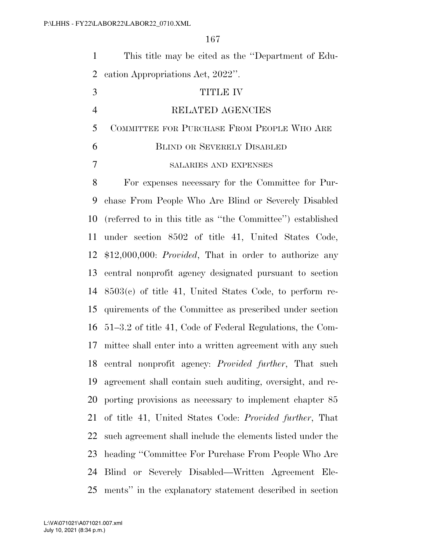| $\mathbf{1}$   | This title may be cited as the "Department of Edu-               |
|----------------|------------------------------------------------------------------|
| $\overline{2}$ | eation Appropriations Act, 2022".                                |
| 3              | <b>TITLE IV</b>                                                  |
| $\overline{4}$ | RELATED AGENCIES                                                 |
| 5              | COMMITTEE FOR PURCHASE FROM PEOPLE WHO ARE                       |
| 6              | <b>BLIND OR SEVERELY DISABLED</b>                                |
| 7              | SALARIES AND EXPENSES                                            |
| 8              | For expenses necessary for the Committee for Pur-                |
| 9              | chase From People Who Are Blind or Severely Disabled             |
| 10             | (referred to in this title as "the Committee") established       |
| 11             | under section 8502 of title 41, United States Code,              |
| 12             | $$12,000,000$ : <i>Provided</i> , That in order to authorize any |
| 13             | central nonprofit agency designated pursuant to section          |
| 14             | $8503(c)$ of title 41, United States Code, to perform re-        |
| 15             | quirements of the Committee as prescribed under section          |
| 16             | 51–3.2 of title 41, Code of Federal Regulations, the Com-        |
| 17             | mittee shall enter into a written agreement with any such        |
|                | 18 central nonprofit agency: <i>Provided further</i> , That such |
| 19             | agreement shall contain such auditing, oversight, and re-        |
| 20             | porting provisions as necessary to implement chapter 85          |
| 21             | of title 41, United States Code: Provided further, That          |
| 22             | such agreement shall include the elements listed under the       |
| 23             | heading "Committee For Purchase From People Who Are              |
| 24             | Blind or Severely Disabled—Written Agreement Ele-                |
| 25             | ments" in the explanatory statement described in section         |

July 10, 2021 (8:34 p.m.) L:\VA\071021\A071021.007.xml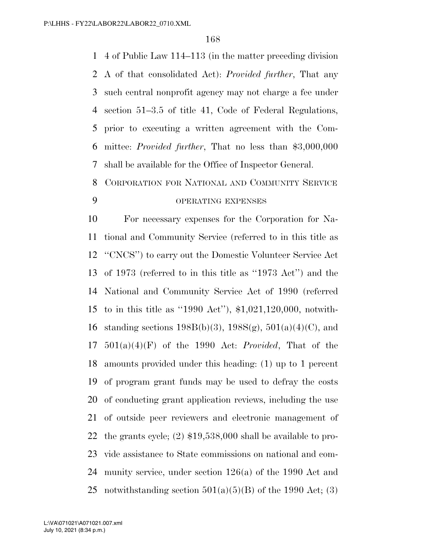4 of Public Law 114–113 (in the matter preceding division A of that consolidated Act): *Provided further*, That any such central nonprofit agency may not charge a fee under section 51–3.5 of title 41, Code of Federal Regulations, prior to executing a written agreement with the Com- mittee: *Provided further*, That no less than \$3,000,000 shall be available for the Office of Inspector General.

# CORPORATION FOR NATIONAL AND COMMUNITY SERVICE OPERATING EXPENSES

 For necessary expenses for the Corporation for Na- tional and Community Service (referred to in this title as ''CNCS'') to carry out the Domestic Volunteer Service Act of 1973 (referred to in this title as ''1973 Act'') and the National and Community Service Act of 1990 (referred to in this title as ''1990 Act''), \$1,021,120,000, notwith-16 standing sections  $198B(b)(3)$ ,  $198S(g)$ ,  $501(a)(4)(C)$ , and 501(a)(4)(F) of the 1990 Act: *Provided*, That of the amounts provided under this heading: (1) up to 1 percent of program grant funds may be used to defray the costs of conducting grant application reviews, including the use of outside peer reviewers and electronic management of the grants cycle; (2) \$19,538,000 shall be available to pro- vide assistance to State commissions on national and com- munity service, under section 126(a) of the 1990 Act and 25 notwithstanding section  $501(a)(5)(B)$  of the 1990 Act; (3)

July 10, 2021 (8:34 p.m.) L:\VA\071021\A071021.007.xml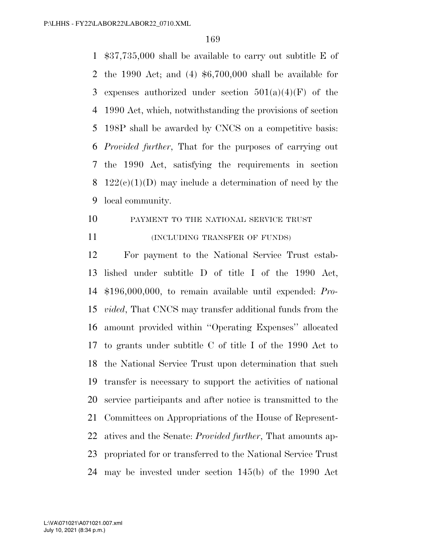\$37,735,000 shall be available to carry out subtitle E of the 1990 Act; and (4) \$6,700,000 shall be available for 3 expenses authorized under section  $501(a)(4)(F)$  of the 1990 Act, which, notwithstanding the provisions of section 198P shall be awarded by CNCS on a competitive basis: *Provided further*, That for the purposes of carrying out the 1990 Act, satisfying the requirements in section 8 122(c)(1)(D) may include a determination of need by the local community.

- PAYMENT TO THE NATIONAL SERVICE TRUST
- 

#### 11 (INCLUDING TRANSFER OF FUNDS)

 For payment to the National Service Trust estab- lished under subtitle D of title I of the 1990 Act, \$196,000,000, to remain available until expended: *Pro- vided*, That CNCS may transfer additional funds from the amount provided within ''Operating Expenses'' allocated to grants under subtitle C of title I of the 1990 Act to the National Service Trust upon determination that such transfer is necessary to support the activities of national service participants and after notice is transmitted to the Committees on Appropriations of the House of Represent- atives and the Senate: *Provided further*, That amounts ap- propriated for or transferred to the National Service Trust may be invested under section 145(b) of the 1990 Act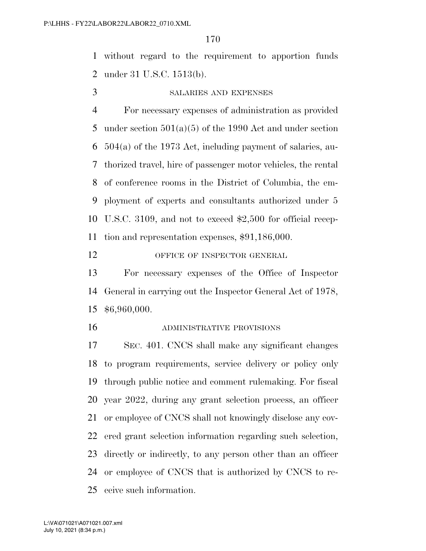without regard to the requirement to apportion funds under 31 U.S.C. 1513(b).

#### SALARIES AND EXPENSES

 For necessary expenses of administration as provided 5 under section  $501(a)(5)$  of the 1990 Act and under section 504(a) of the 1973 Act, including payment of salaries, au- thorized travel, hire of passenger motor vehicles, the rental of conference rooms in the District of Columbia, the em- ployment of experts and consultants authorized under 5 U.S.C. 3109, and not to exceed \$2,500 for official recep-tion and representation expenses, \$91,186,000.

# 12 OFFICE OF INSPECTOR GENERAL

 For necessary expenses of the Office of Inspector General in carrying out the Inspector General Act of 1978, \$6,960,000.

ADMINISTRATIVE PROVISIONS

 SEC. 401. CNCS shall make any significant changes to program requirements, service delivery or policy only through public notice and comment rulemaking. For fiscal year 2022, during any grant selection process, an officer or employee of CNCS shall not knowingly disclose any cov- ered grant selection information regarding such selection, directly or indirectly, to any person other than an officer or employee of CNCS that is authorized by CNCS to re-ceive such information.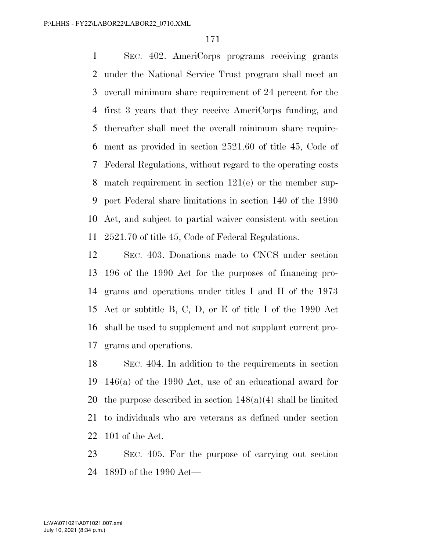SEC. 402. AmeriCorps programs receiving grants under the National Service Trust program shall meet an overall minimum share requirement of 24 percent for the first 3 years that they receive AmeriCorps funding, and thereafter shall meet the overall minimum share require- ment as provided in section 2521.60 of title 45, Code of Federal Regulations, without regard to the operating costs match requirement in section 121(e) or the member sup- port Federal share limitations in section 140 of the 1990 Act, and subject to partial waiver consistent with section 2521.70 of title 45, Code of Federal Regulations.

 SEC. 403. Donations made to CNCS under section 196 of the 1990 Act for the purposes of financing pro- grams and operations under titles I and II of the 1973 Act or subtitle B, C, D, or E of title I of the 1990 Act shall be used to supplement and not supplant current pro-grams and operations.

 SEC. 404. In addition to the requirements in section 146(a) of the 1990 Act, use of an educational award for 20 the purpose described in section  $148(a)(4)$  shall be limited to individuals who are veterans as defined under section 101 of the Act.

 SEC. 405. For the purpose of carrying out section 189D of the 1990 Act—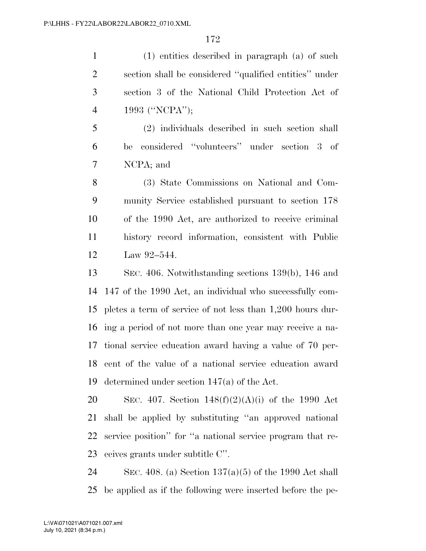(1) entities described in paragraph (a) of such section shall be considered ''qualified entities'' under section 3 of the National Child Protection Act of 1993 (''NCPA'');

 (2) individuals described in such section shall be considered ''volunteers'' under section 3 of NCPA; and

 (3) State Commissions on National and Com- munity Service established pursuant to section 178 of the 1990 Act, are authorized to receive criminal history record information, consistent with Public Law 92–544.

 SEC. 406. Notwithstanding sections 139(b), 146 and 147 of the 1990 Act, an individual who successfully com- pletes a term of service of not less than 1,200 hours dur- ing a period of not more than one year may receive a na- tional service education award having a value of 70 per- cent of the value of a national service education award determined under section 147(a) of the Act.

20 SEC. 407. Section  $148(f)(2)(A)(i)$  of the 1990 Act shall be applied by substituting ''an approved national service position'' for ''a national service program that re-ceives grants under subtitle C''.

24 SEC. 408. (a) Section  $137(a)(5)$  of the 1990 Act shall be applied as if the following were inserted before the pe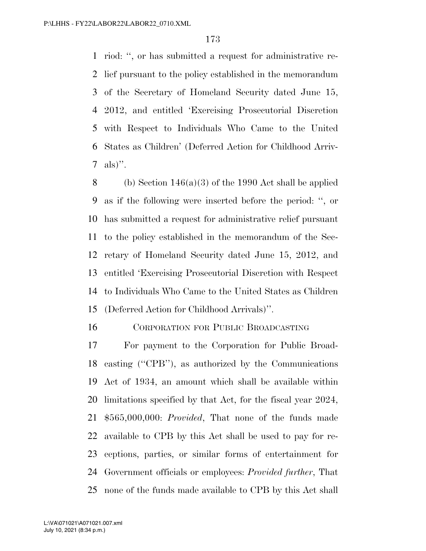riod: '', or has submitted a request for administrative re- lief pursuant to the policy established in the memorandum of the Secretary of Homeland Security dated June 15, 2012, and entitled 'Exercising Prosecutorial Discretion with Respect to Individuals Who Came to the United States as Children' (Deferred Action for Childhood Arriv-7 als)".

8 (b) Section  $146(a)(3)$  of the 1990 Act shall be applied as if the following were inserted before the period: '', or has submitted a request for administrative relief pursuant to the policy established in the memorandum of the Sec- retary of Homeland Security dated June 15, 2012, and entitled 'Exercising Prosecutorial Discretion with Respect to Individuals Who Came to the United States as Children (Deferred Action for Childhood Arrivals)''.

CORPORATION FOR PUBLIC BROADCASTING

 For payment to the Corporation for Public Broad- casting (''CPB''), as authorized by the Communications Act of 1934, an amount which shall be available within limitations specified by that Act, for the fiscal year 2024, \$565,000,000: *Provided*, That none of the funds made available to CPB by this Act shall be used to pay for re- ceptions, parties, or similar forms of entertainment for Government officials or employees: *Provided further*, That none of the funds made available to CPB by this Act shall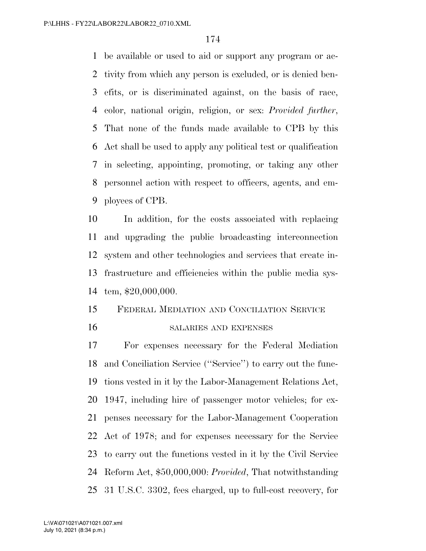be available or used to aid or support any program or ac- tivity from which any person is excluded, or is denied ben- efits, or is discriminated against, on the basis of race, color, national origin, religion, or sex: *Provided further*, That none of the funds made available to CPB by this Act shall be used to apply any political test or qualification in selecting, appointing, promoting, or taking any other personnel action with respect to officers, agents, and em-ployees of CPB.

 In addition, for the costs associated with replacing and upgrading the public broadcasting interconnection system and other technologies and services that create in- frastructure and efficiencies within the public media sys-tem, \$20,000,000.

# FEDERAL MEDIATION AND CONCILIATION SERVICE SALARIES AND EXPENSES

 For expenses necessary for the Federal Mediation and Conciliation Service (''Service'') to carry out the func- tions vested in it by the Labor-Management Relations Act, 1947, including hire of passenger motor vehicles; for ex- penses necessary for the Labor-Management Cooperation Act of 1978; and for expenses necessary for the Service to carry out the functions vested in it by the Civil Service Reform Act, \$50,000,000: *Provided*, That notwithstanding 31 U.S.C. 3302, fees charged, up to full-cost recovery, for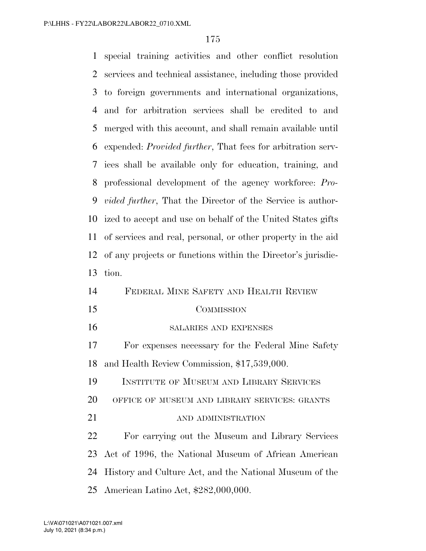special training activities and other conflict resolution services and technical assistance, including those provided to foreign governments and international organizations, and for arbitration services shall be credited to and merged with this account, and shall remain available until expended: *Provided further*, That fees for arbitration serv- ices shall be available only for education, training, and professional development of the agency workforce: *Pro- vided further*, That the Director of the Service is author- ized to accept and use on behalf of the United States gifts of services and real, personal, or other property in the aid of any projects or functions within the Director's jurisdic- tion. FEDERAL MINE SAFETY AND HEALTH REVIEW COMMISSION SALARIES AND EXPENSES For expenses necessary for the Federal Mine Safety and Health Review Commission, \$17,539,000. INSTITUTE OF MUSEUM AND LIBRARY SERVICES OFFICE OF MUSEUM AND LIBRARY SERVICES: GRANTS 21 AND ADMINISTRATION For carrying out the Museum and Library Services Act of 1996, the National Museum of African American History and Culture Act, and the National Museum of the American Latino Act, \$282,000,000.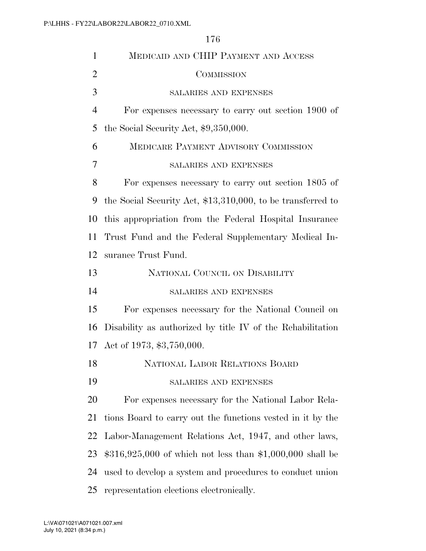MEDICAID AND CHIP PAYMENT AND ACCESS COMMISSION SALARIES AND EXPENSES For expenses necessary to carry out section 1900 of 5 the Social Security Act,  $$9,350,000$ . MEDICARE PAYMENT ADVISORY COMMISSION SALARIES AND EXPENSES For expenses necessary to carry out section 1805 of the Social Security Act, \$13,310,000, to be transferred to this appropriation from the Federal Hospital Insurance Trust Fund and the Federal Supplementary Medical In- surance Trust Fund. NATIONAL COUNCIL ON DISABILITY SALARIES AND EXPENSES For expenses necessary for the National Council on Disability as authorized by title IV of the Rehabilitation Act of 1973, \$3,750,000. NATIONAL LABOR RELATIONS BOARD SALARIES AND EXPENSES For expenses necessary for the National Labor Rela- tions Board to carry out the functions vested in it by the Labor-Management Relations Act, 1947, and other laws, \$316,925,000 of which not less than \$1,000,000 shall be used to develop a system and procedures to conduct union

representation elections electronically.

July 10, 2021 (8:34 p.m.) L:\VA\071021\A071021.007.xml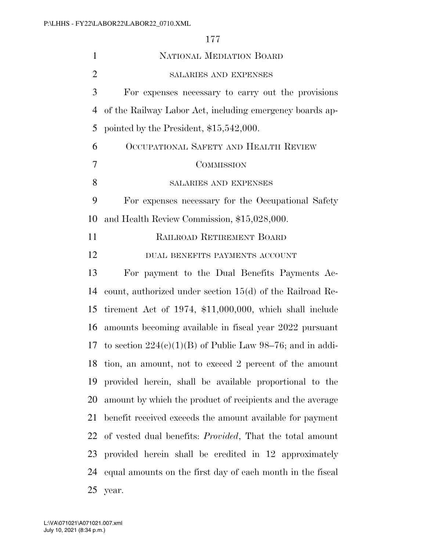| $\mathbf{1}$   | NATIONAL MEDIATION BOARD                                         |
|----------------|------------------------------------------------------------------|
| $\overline{2}$ | SALARIES AND EXPENSES                                            |
| 3              | For expenses necessary to carry out the provisions               |
| 4              | of the Railway Labor Act, including emergency boards ap-         |
| 5              | pointed by the President, $$15,542,000$ .                        |
| 6              | OCCUPATIONAL SAFETY AND HEALTH REVIEW                            |
| 7              | <b>COMMISSION</b>                                                |
| 8              | <b>SALARIES AND EXPENSES</b>                                     |
| 9              | For expenses necessary for the Occupational Safety               |
| 10             | and Health Review Commission, \$15,028,000.                      |
| 11             | RAILROAD RETIREMENT BOARD                                        |
| 12             | DUAL BENEFITS PAYMENTS ACCOUNT                                   |
| 13             | For payment to the Dual Benefits Payments Ac-                    |
| 14             | count, authorized under section $15(d)$ of the Railroad Re-      |
| 15             | tirement Act of 1974, $$11,000,000$ , which shall include        |
| 16             | amounts becoming available in fiscal year 2022 pursuant          |
| 17             | to section $224(c)(1)(B)$ of Public Law 98–76; and in addi-      |
|                | 18 tion, an amount, not to exceed 2 percent of the amount        |
| 19             | provided herein, shall be available proportional to the          |
| 20             | amount by which the product of recipients and the average        |
| 21             | benefit received exceeds the amount available for payment        |
| 22             | of vested dual benefits: <i>Provided</i> , That the total amount |
| 23             | provided herein shall be credited in 12 approximately            |
| 24             | equal amounts on the first day of each month in the fiscal       |
| 25             | year.                                                            |

July 10, 2021 (8:34 p.m.) L:\VA\071021\A071021.007.xml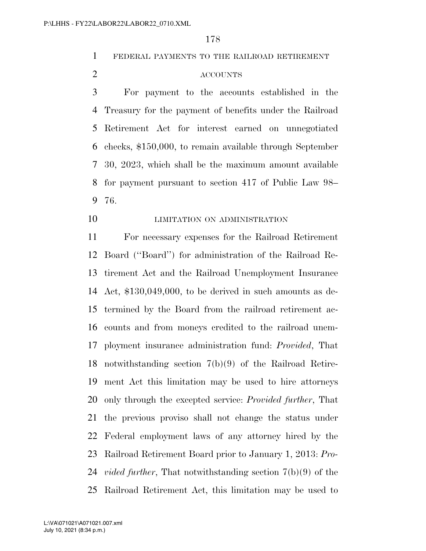FEDERAL PAYMENTS TO THE RAILROAD RETIREMENT

# ACCOUNTS

 For payment to the accounts established in the Treasury for the payment of benefits under the Railroad Retirement Act for interest earned on unnegotiated checks, \$150,000, to remain available through September 30, 2023, which shall be the maximum amount available for payment pursuant to section 417 of Public Law 98– 76.

**LIMITATION ON ADMINISTRATION** 

 For necessary expenses for the Railroad Retirement Board (''Board'') for administration of the Railroad Re- tirement Act and the Railroad Unemployment Insurance Act, \$130,049,000, to be derived in such amounts as de- termined by the Board from the railroad retirement ac- counts and from moneys credited to the railroad unem- ployment insurance administration fund: *Provided*, That notwithstanding section 7(b)(9) of the Railroad Retire- ment Act this limitation may be used to hire attorneys only through the excepted service: *Provided further*, That the previous proviso shall not change the status under Federal employment laws of any attorney hired by the Railroad Retirement Board prior to January 1, 2013: *Pro- vided further*, That notwithstanding section 7(b)(9) of the Railroad Retirement Act, this limitation may be used to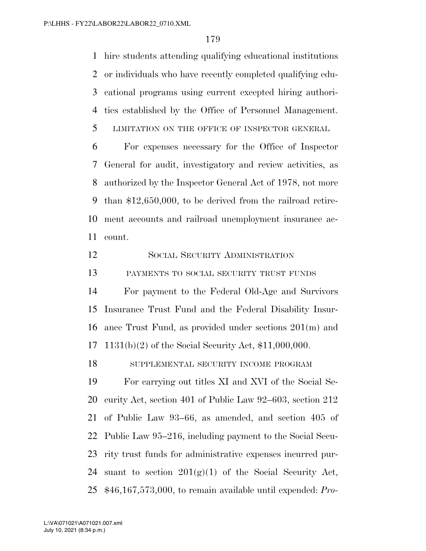hire students attending qualifying educational institutions or individuals who have recently completed qualifying edu- cational programs using current excepted hiring authori-ties established by the Office of Personnel Management.

LIMITATION ON THE OFFICE OF INSPECTOR GENERAL

 For expenses necessary for the Office of Inspector General for audit, investigatory and review activities, as authorized by the Inspector General Act of 1978, not more than \$12,650,000, to be derived from the railroad retire- ment accounts and railroad unemployment insurance ac-count.

SOCIAL SECURITY ADMINISTRATION

PAYMENTS TO SOCIAL SECURITY TRUST FUNDS

 For payment to the Federal Old-Age and Survivors Insurance Trust Fund and the Federal Disability Insur- ance Trust Fund, as provided under sections 201(m) and 1131(b)(2) of the Social Security Act, \$11,000,000.

SUPPLEMENTAL SECURITY INCOME PROGRAM

 For carrying out titles XI and XVI of the Social Se- curity Act, section 401 of Public Law 92–603, section 212 of Public Law 93–66, as amended, and section 405 of Public Law 95–216, including payment to the Social Secu- rity trust funds for administrative expenses incurred pur-24 suant to section  $201(g)(1)$  of the Social Security Act, \$46,167,573,000, to remain available until expended: *Pro-*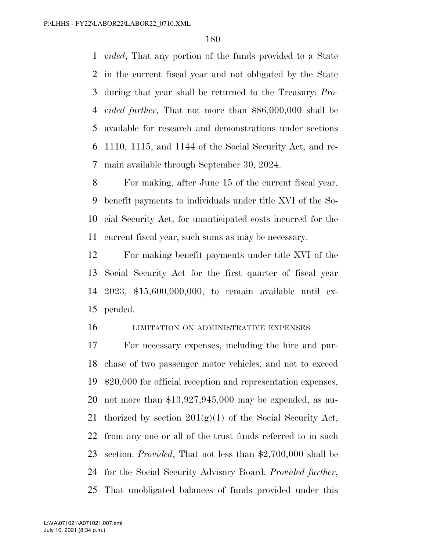*vided*, That any portion of the funds provided to a State in the current fiscal year and not obligated by the State during that year shall be returned to the Treasury: *Pro- vided further*, That not more than \$86,000,000 shall be available for research and demonstrations under sections 1110, 1115, and 1144 of the Social Security Act, and re-main available through September 30, 2024.

 For making, after June 15 of the current fiscal year, benefit payments to individuals under title XVI of the So- cial Security Act, for unanticipated costs incurred for the current fiscal year, such sums as may be necessary.

 For making benefit payments under title XVI of the Social Security Act for the first quarter of fiscal year 2023, \$15,600,000,000, to remain available until ex-pended.

#### LIMITATION ON ADMINISTRATIVE EXPENSES

 For necessary expenses, including the hire and pur- chase of two passenger motor vehicles, and not to exceed \$20,000 for official reception and representation expenses, not more than \$13,927,945,000 may be expended, as au-21 thorized by section  $201(g)(1)$  of the Social Security Act, from any one or all of the trust funds referred to in such section: *Provided*, That not less than \$2,700,000 shall be for the Social Security Advisory Board: *Provided further*, That unobligated balances of funds provided under this

July 10, 2021 (8:34 p.m.) L:\VA\071021\A071021.007.xml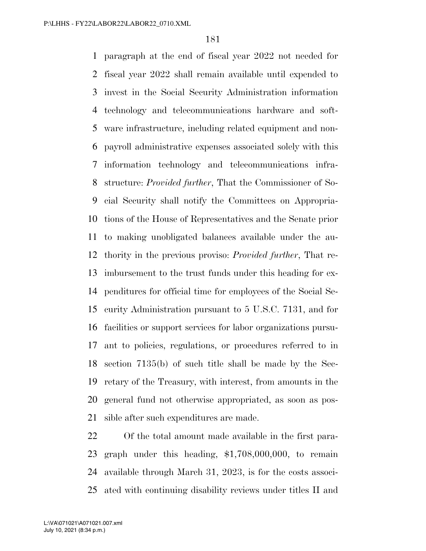paragraph at the end of fiscal year 2022 not needed for fiscal year 2022 shall remain available until expended to invest in the Social Security Administration information technology and telecommunications hardware and soft- ware infrastructure, including related equipment and non- payroll administrative expenses associated solely with this information technology and telecommunications infra- structure: *Provided further*, That the Commissioner of So- cial Security shall notify the Committees on Appropria- tions of the House of Representatives and the Senate prior to making unobligated balances available under the au- thority in the previous proviso: *Provided further*, That re- imbursement to the trust funds under this heading for ex- penditures for official time for employees of the Social Se- curity Administration pursuant to 5 U.S.C. 7131, and for facilities or support services for labor organizations pursu- ant to policies, regulations, or procedures referred to in section 7135(b) of such title shall be made by the Sec- retary of the Treasury, with interest, from amounts in the general fund not otherwise appropriated, as soon as pos-sible after such expenditures are made.

 Of the total amount made available in the first para- graph under this heading, \$1,708,000,000, to remain available through March 31, 2023, is for the costs associ-ated with continuing disability reviews under titles II and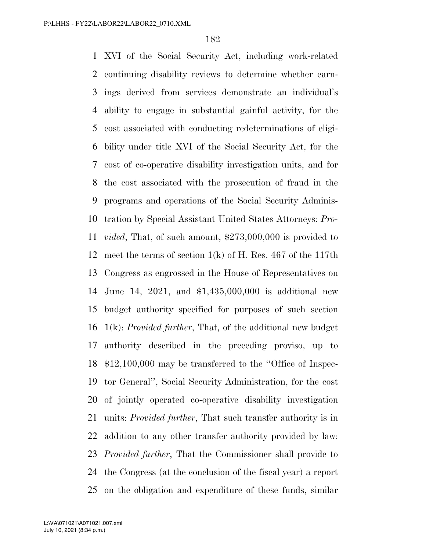XVI of the Social Security Act, including work-related continuing disability reviews to determine whether earn- ings derived from services demonstrate an individual's ability to engage in substantial gainful activity, for the cost associated with conducting redeterminations of eligi- bility under title XVI of the Social Security Act, for the cost of co-operative disability investigation units, and for the cost associated with the prosecution of fraud in the programs and operations of the Social Security Adminis- tration by Special Assistant United States Attorneys: *Pro- vided*, That, of such amount, \$273,000,000 is provided to meet the terms of section 1(k) of H. Res. 467 of the 117th Congress as engrossed in the House of Representatives on June 14, 2021, and \$1,435,000,000 is additional new budget authority specified for purposes of such section 1(k): *Provided further*, That, of the additional new budget authority described in the preceding proviso, up to \$12,100,000 may be transferred to the ''Office of Inspec- tor General'', Social Security Administration, for the cost of jointly operated co-operative disability investigation units: *Provided further*, That such transfer authority is in addition to any other transfer authority provided by law: *Provided further*, That the Commissioner shall provide to the Congress (at the conclusion of the fiscal year) a report on the obligation and expenditure of these funds, similar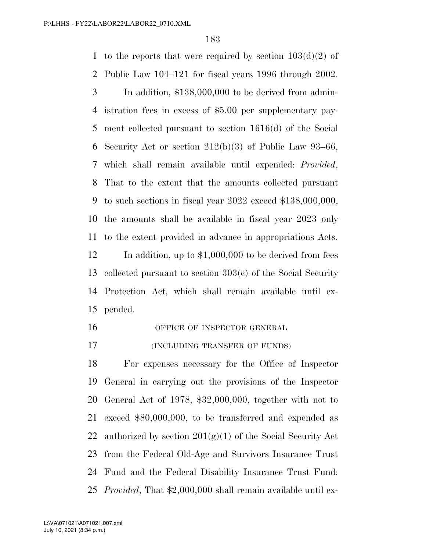1 to the reports that were required by section  $103(d)(2)$  of Public Law 104–121 for fiscal years 1996 through 2002.

- In addition, \$138,000,000 to be derived from admin- istration fees in excess of \$5.00 per supplementary pay- ment collected pursuant to section 1616(d) of the Social Security Act or section 212(b)(3) of Public Law 93–66, which shall remain available until expended: *Provided*, That to the extent that the amounts collected pursuant to such sections in fiscal year 2022 exceed \$138,000,000, the amounts shall be available in fiscal year 2023 only to the extent provided in advance in appropriations Acts. 12 In addition, up to \$1,000,000 to be derived from fees collected pursuant to section 303(c) of the Social Security Protection Act, which shall remain available until ex-pended.
- 16 OFFICE OF INSPECTOR GENERAL
- **(INCLUDING TRANSFER OF FUNDS)**

 For expenses necessary for the Office of Inspector General in carrying out the provisions of the Inspector General Act of 1978, \$32,000,000, together with not to exceed \$80,000,000, to be transferred and expended as 22 authorized by section  $201(g)(1)$  of the Social Security Act from the Federal Old-Age and Survivors Insurance Trust Fund and the Federal Disability Insurance Trust Fund: *Provided*, That \$2,000,000 shall remain available until ex-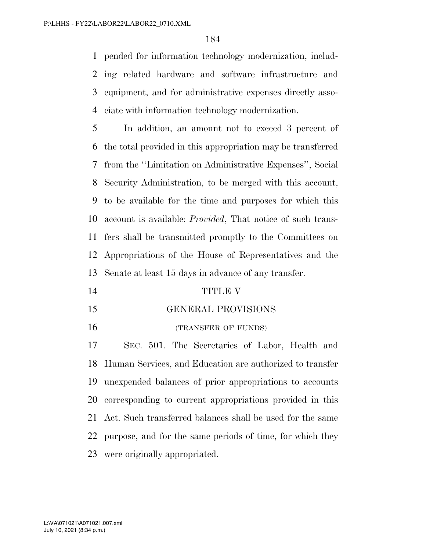pended for information technology modernization, includ- ing related hardware and software infrastructure and equipment, and for administrative expenses directly asso-ciate with information technology modernization.

 In addition, an amount not to exceed 3 percent of the total provided in this appropriation may be transferred from the ''Limitation on Administrative Expenses'', Social Security Administration, to be merged with this account, to be available for the time and purposes for which this account is available: *Provided*, That notice of such trans- fers shall be transmitted promptly to the Committees on Appropriations of the House of Representatives and the Senate at least 15 days in advance of any transfer.

- TITLE V
- GENERAL PROVISIONS
- 16 (TRANSFER OF FUNDS)

 SEC. 501. The Secretaries of Labor, Health and Human Services, and Education are authorized to transfer unexpended balances of prior appropriations to accounts corresponding to current appropriations provided in this Act. Such transferred balances shall be used for the same purpose, and for the same periods of time, for which they were originally appropriated.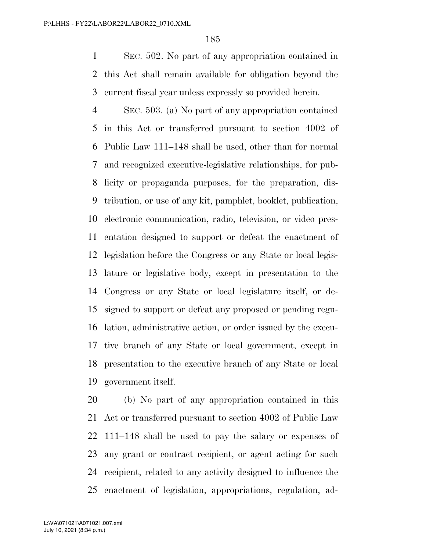SEC. 502. No part of any appropriation contained in this Act shall remain available for obligation beyond the current fiscal year unless expressly so provided herein.

 SEC. 503. (a) No part of any appropriation contained in this Act or transferred pursuant to section 4002 of Public Law 111–148 shall be used, other than for normal and recognized executive-legislative relationships, for pub- licity or propaganda purposes, for the preparation, dis- tribution, or use of any kit, pamphlet, booklet, publication, electronic communication, radio, television, or video pres- entation designed to support or defeat the enactment of legislation before the Congress or any State or local legis- lature or legislative body, except in presentation to the Congress or any State or local legislature itself, or de- signed to support or defeat any proposed or pending regu- lation, administrative action, or order issued by the execu- tive branch of any State or local government, except in presentation to the executive branch of any State or local government itself.

 (b) No part of any appropriation contained in this Act or transferred pursuant to section 4002 of Public Law 111–148 shall be used to pay the salary or expenses of any grant or contract recipient, or agent acting for such recipient, related to any activity designed to influence the enactment of legislation, appropriations, regulation, ad-

July 10, 2021 (8:34 p.m.) L:\VA\071021\A071021.007.xml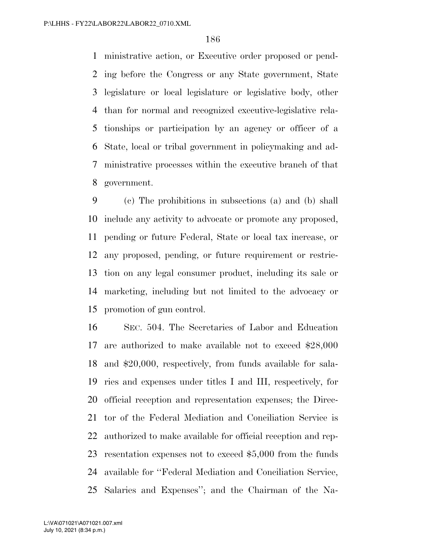ministrative action, or Executive order proposed or pend- ing before the Congress or any State government, State legislature or local legislature or legislative body, other than for normal and recognized executive-legislative rela- tionships or participation by an agency or officer of a State, local or tribal government in policymaking and ad- ministrative processes within the executive branch of that government.

 (c) The prohibitions in subsections (a) and (b) shall include any activity to advocate or promote any proposed, pending or future Federal, State or local tax increase, or any proposed, pending, or future requirement or restric- tion on any legal consumer product, including its sale or marketing, including but not limited to the advocacy or promotion of gun control.

 SEC. 504. The Secretaries of Labor and Education are authorized to make available not to exceed \$28,000 and \$20,000, respectively, from funds available for sala- ries and expenses under titles I and III, respectively, for official reception and representation expenses; the Direc- tor of the Federal Mediation and Conciliation Service is authorized to make available for official reception and rep- resentation expenses not to exceed \$5,000 from the funds available for ''Federal Mediation and Conciliation Service, Salaries and Expenses''; and the Chairman of the Na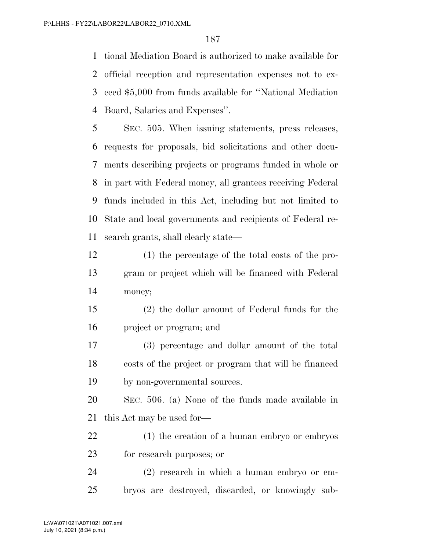tional Mediation Board is authorized to make available for official reception and representation expenses not to ex- ceed \$5,000 from funds available for ''National Mediation Board, Salaries and Expenses''.

 SEC. 505. When issuing statements, press releases, requests for proposals, bid solicitations and other docu- ments describing projects or programs funded in whole or in part with Federal money, all grantees receiving Federal funds included in this Act, including but not limited to State and local governments and recipients of Federal re-search grants, shall clearly state—

- (1) the percentage of the total costs of the pro- gram or project which will be financed with Federal money;
- (2) the dollar amount of Federal funds for the project or program; and
- (3) percentage and dollar amount of the total costs of the project or program that will be financed by non-governmental sources.

 SEC. 506. (a) None of the funds made available in this Act may be used for—

 (1) the creation of a human embryo or embryos for research purposes; or

 (2) research in which a human embryo or em-bryos are destroyed, discarded, or knowingly sub-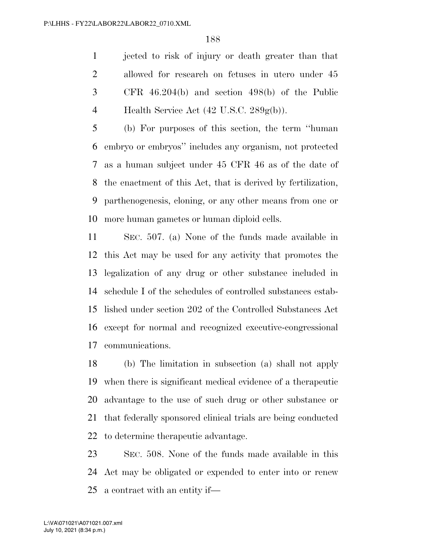jected to risk of injury or death greater than that allowed for research on fetuses in utero under 45 CFR 46.204(b) and section 498(b) of the Public 4 Health Service Act  $(42 \text{ U.S.C. } 289 \text{g(b)})$ .

 (b) For purposes of this section, the term ''human embryo or embryos'' includes any organism, not protected as a human subject under 45 CFR 46 as of the date of the enactment of this Act, that is derived by fertilization, parthenogenesis, cloning, or any other means from one or more human gametes or human diploid cells.

 SEC. 507. (a) None of the funds made available in this Act may be used for any activity that promotes the legalization of any drug or other substance included in schedule I of the schedules of controlled substances estab- lished under section 202 of the Controlled Substances Act except for normal and recognized executive-congressional communications.

 (b) The limitation in subsection (a) shall not apply when there is significant medical evidence of a therapeutic advantage to the use of such drug or other substance or that federally sponsored clinical trials are being conducted to determine therapeutic advantage.

 SEC. 508. None of the funds made available in this Act may be obligated or expended to enter into or renew a contract with an entity if—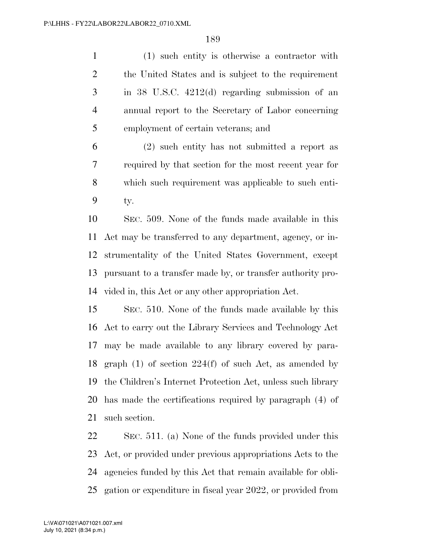(1) such entity is otherwise a contractor with the United States and is subject to the requirement in 38 U.S.C. 4212(d) regarding submission of an annual report to the Secretary of Labor concerning employment of certain veterans; and

 (2) such entity has not submitted a report as required by that section for the most recent year for which such requirement was applicable to such enti-ty.

 SEC. 509. None of the funds made available in this Act may be transferred to any department, agency, or in- strumentality of the United States Government, except pursuant to a transfer made by, or transfer authority pro-vided in, this Act or any other appropriation Act.

 SEC. 510. None of the funds made available by this Act to carry out the Library Services and Technology Act may be made available to any library covered by para-18 graph (1) of section  $224(f)$  of such Act, as amended by the Children's Internet Protection Act, unless such library has made the certifications required by paragraph (4) of such section.

 SEC. 511. (a) None of the funds provided under this Act, or provided under previous appropriations Acts to the agencies funded by this Act that remain available for obli-gation or expenditure in fiscal year 2022, or provided from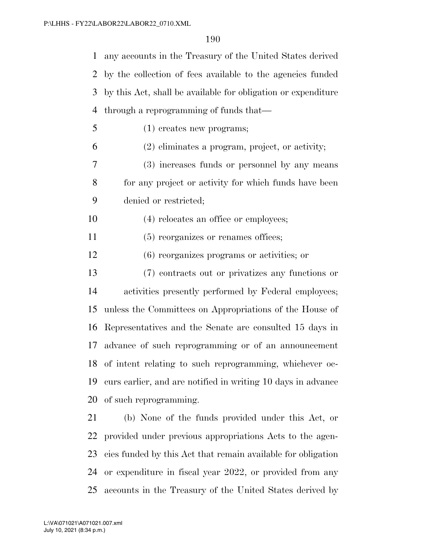any accounts in the Treasury of the United States derived by the collection of fees available to the agencies funded by this Act, shall be available for obligation or expenditure through a reprogramming of funds that—

(1) creates new programs;

(2) eliminates a program, project, or activity;

 (3) increases funds or personnel by any means for any project or activity for which funds have been denied or restricted;

- (4) relocates an office or employees;
- 11 (5) reorganizes or renames offices;

(6) reorganizes programs or activities; or

 (7) contracts out or privatizes any functions or activities presently performed by Federal employees; unless the Committees on Appropriations of the House of Representatives and the Senate are consulted 15 days in advance of such reprogramming or of an announcement of intent relating to such reprogramming, whichever oc- curs earlier, and are notified in writing 10 days in advance of such reprogramming.

 (b) None of the funds provided under this Act, or provided under previous appropriations Acts to the agen- cies funded by this Act that remain available for obligation or expenditure in fiscal year 2022, or provided from any accounts in the Treasury of the United States derived by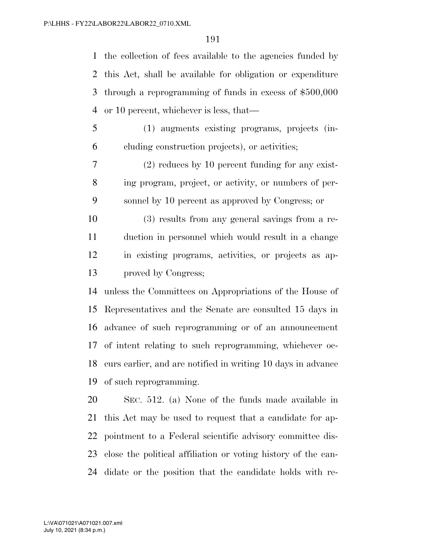the collection of fees available to the agencies funded by this Act, shall be available for obligation or expenditure through a reprogramming of funds in excess of \$500,000 or 10 percent, whichever is less, that—

 (1) augments existing programs, projects (in-cluding construction projects), or activities;

 (2) reduces by 10 percent funding for any exist- ing program, project, or activity, or numbers of per-sonnel by 10 percent as approved by Congress; or

 (3) results from any general savings from a re- duction in personnel which would result in a change in existing programs, activities, or projects as ap-proved by Congress;

 unless the Committees on Appropriations of the House of Representatives and the Senate are consulted 15 days in advance of such reprogramming or of an announcement of intent relating to such reprogramming, whichever oc- curs earlier, and are notified in writing 10 days in advance of such reprogramming.

 SEC. 512. (a) None of the funds made available in this Act may be used to request that a candidate for ap- pointment to a Federal scientific advisory committee dis- close the political affiliation or voting history of the can-didate or the position that the candidate holds with re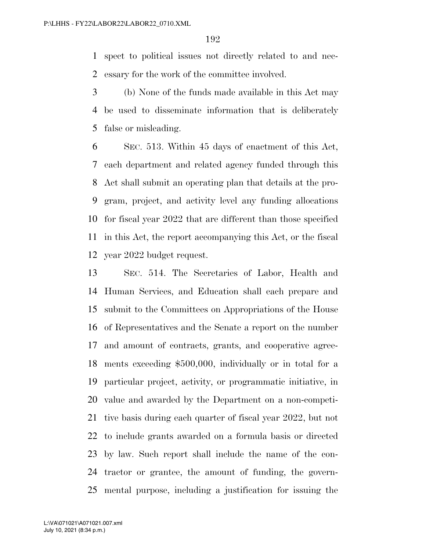spect to political issues not directly related to and nec-essary for the work of the committee involved.

 (b) None of the funds made available in this Act may be used to disseminate information that is deliberately false or misleading.

 SEC. 513. Within 45 days of enactment of this Act, each department and related agency funded through this Act shall submit an operating plan that details at the pro- gram, project, and activity level any funding allocations for fiscal year 2022 that are different than those specified in this Act, the report accompanying this Act, or the fiscal year 2022 budget request.

 SEC. 514. The Secretaries of Labor, Health and Human Services, and Education shall each prepare and submit to the Committees on Appropriations of the House of Representatives and the Senate a report on the number and amount of contracts, grants, and cooperative agree- ments exceeding \$500,000, individually or in total for a particular project, activity, or programmatic initiative, in value and awarded by the Department on a non-competi- tive basis during each quarter of fiscal year 2022, but not to include grants awarded on a formula basis or directed by law. Such report shall include the name of the con- tractor or grantee, the amount of funding, the govern-mental purpose, including a justification for issuing the

July 10, 2021 (8:34 p.m.) L:\VA\071021\A071021.007.xml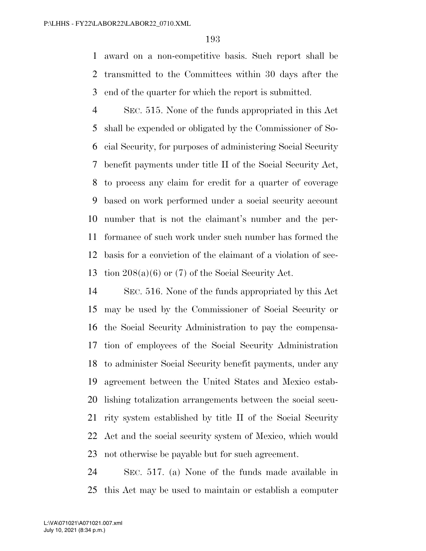award on a non-competitive basis. Such report shall be transmitted to the Committees within 30 days after the end of the quarter for which the report is submitted.

 SEC. 515. None of the funds appropriated in this Act shall be expended or obligated by the Commissioner of So- cial Security, for purposes of administering Social Security benefit payments under title II of the Social Security Act, to process any claim for credit for a quarter of coverage based on work performed under a social security account number that is not the claimant's number and the per- formance of such work under such number has formed the basis for a conviction of the claimant of a violation of sec-tion 208(a)(6) or (7) of the Social Security Act.

 SEC. 516. None of the funds appropriated by this Act may be used by the Commissioner of Social Security or the Social Security Administration to pay the compensa- tion of employees of the Social Security Administration to administer Social Security benefit payments, under any agreement between the United States and Mexico estab- lishing totalization arrangements between the social secu- rity system established by title II of the Social Security Act and the social security system of Mexico, which would not otherwise be payable but for such agreement.

 SEC. 517. (a) None of the funds made available in this Act may be used to maintain or establish a computer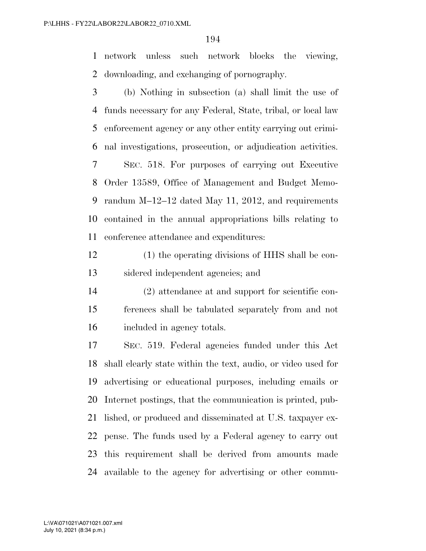network unless such network blocks the viewing, downloading, and exchanging of pornography.

 (b) Nothing in subsection (a) shall limit the use of funds necessary for any Federal, State, tribal, or local law enforcement agency or any other entity carrying out crimi- nal investigations, prosecution, or adjudication activities. SEC. 518. For purposes of carrying out Executive Order 13589, Office of Management and Budget Memo-randum M–12–12 dated May 11, 2012, and requirements

 contained in the annual appropriations bills relating to conference attendance and expenditures:

 (1) the operating divisions of HHS shall be con-sidered independent agencies; and

 (2) attendance at and support for scientific con- ferences shall be tabulated separately from and not included in agency totals.

 SEC. 519. Federal agencies funded under this Act shall clearly state within the text, audio, or video used for advertising or educational purposes, including emails or Internet postings, that the communication is printed, pub- lished, or produced and disseminated at U.S. taxpayer ex- pense. The funds used by a Federal agency to carry out this requirement shall be derived from amounts made available to the agency for advertising or other commu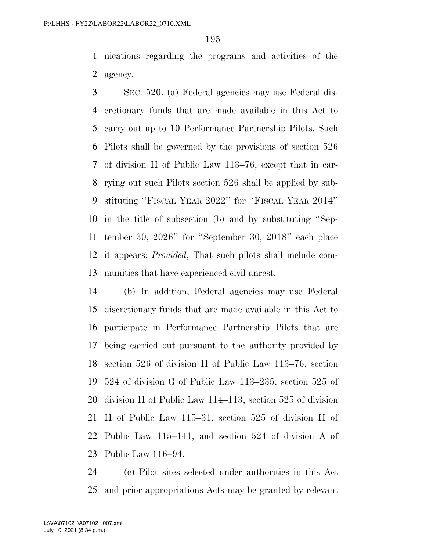nications regarding the programs and activities of the agency.

 SEC. 520. (a) Federal agencies may use Federal dis- cretionary funds that are made available in this Act to carry out up to 10 Performance Partnership Pilots. Such Pilots shall be governed by the provisions of section 526 of division H of Public Law 113–76, except that in car- rying out such Pilots section 526 shall be applied by sub- stituting ''FISCAL YEAR 2022'' for ''FISCAL YEAR 2014'' in the title of subsection (b) and by substituting ''Sep- tember 30, 2026'' for ''September 30, 2018'' each place it appears: *Provided*, That such pilots shall include com-munities that have experienced civil unrest.

 (b) In addition, Federal agencies may use Federal discretionary funds that are made available in this Act to participate in Performance Partnership Pilots that are being carried out pursuant to the authority provided by section 526 of division H of Public Law 113–76, section 524 of division G of Public Law 113–235, section 525 of division H of Public Law 114–113, section 525 of division H of Public Law 115–31, section 525 of division H of Public Law 115–141, and section 524 of division A of Public Law 116–94.

 (c) Pilot sites selected under authorities in this Act and prior appropriations Acts may be granted by relevant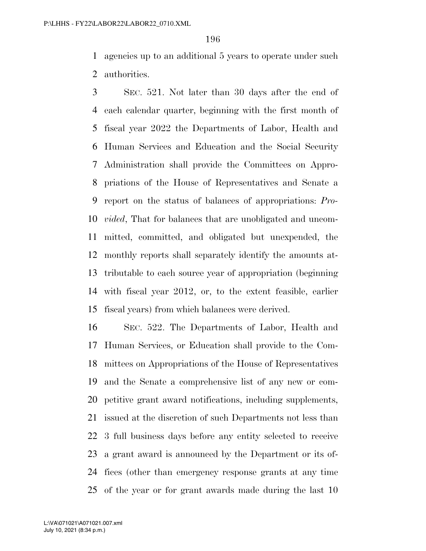agencies up to an additional 5 years to operate under such authorities.

 SEC. 521. Not later than 30 days after the end of each calendar quarter, beginning with the first month of fiscal year 2022 the Departments of Labor, Health and Human Services and Education and the Social Security Administration shall provide the Committees on Appro- priations of the House of Representatives and Senate a report on the status of balances of appropriations: *Pro- vided*, That for balances that are unobligated and uncom- mitted, committed, and obligated but unexpended, the monthly reports shall separately identify the amounts at- tributable to each source year of appropriation (beginning with fiscal year 2012, or, to the extent feasible, earlier fiscal years) from which balances were derived.

 SEC. 522. The Departments of Labor, Health and Human Services, or Education shall provide to the Com- mittees on Appropriations of the House of Representatives and the Senate a comprehensive list of any new or com- petitive grant award notifications, including supplements, issued at the discretion of such Departments not less than 3 full business days before any entity selected to receive a grant award is announced by the Department or its of- fices (other than emergency response grants at any time of the year or for grant awards made during the last 10

July 10, 2021 (8:34 p.m.) L:\VA\071021\A071021.007.xml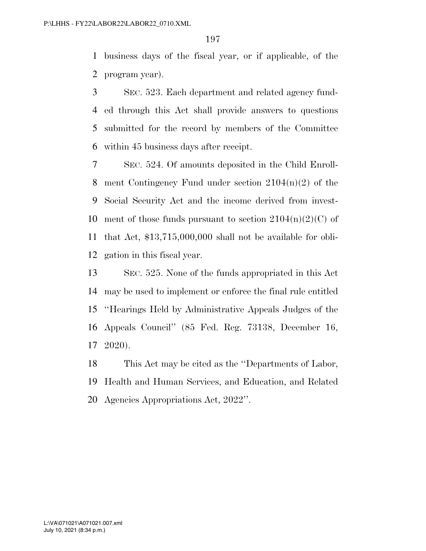business days of the fiscal year, or if applicable, of the program year).

 SEC. 523. Each department and related agency fund- ed through this Act shall provide answers to questions submitted for the record by members of the Committee within 45 business days after receipt.

 SEC. 524. Of amounts deposited in the Child Enroll-8 ment Contingency Fund under section  $2104(n)(2)$  of the Social Security Act and the income derived from invest-10 ment of those funds pursuant to section  $2104(n)(2)(C)$  of that Act, \$13,715,000,000 shall not be available for obli-gation in this fiscal year.

 SEC. 525. None of the funds appropriated in this Act may be used to implement or enforce the final rule entitled ''Hearings Held by Administrative Appeals Judges of the Appeals Council'' (85 Fed. Reg. 73138, December 16, 2020).

 This Act may be cited as the ''Departments of Labor, Health and Human Services, and Education, and Related Agencies Appropriations Act, 2022''.